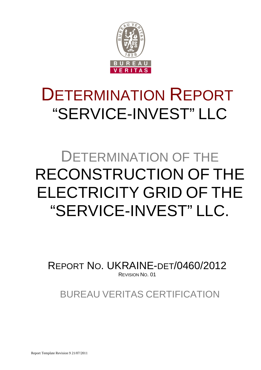

# DETERMINATION REPORT "SERVICE-INVEST" LLC

# DETERMINATION OF THE RECONSTRUCTION OF THE ELECTRICITY GRID OF THE "SERVICE-INVEST" LLC.

REPORT NO. UKRAINE-DET/0460/2012 REVISION NO. 01

BUREAU VERITAS CERTIFICATION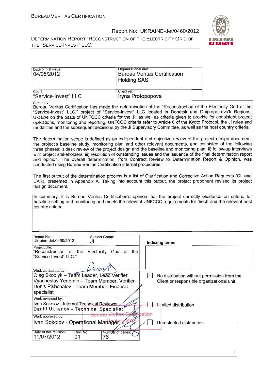DETERMINATION REPORT "RECONSTRUCTION OF THE ELECTRICITY GRID OF THE "SERVICE-INVEST" LLC."



| Date of first issue:<br>04/05/2012                                                                                                                                                                                                                                                                                                                                                                                                                                                                                                                                                                                                              | Organizational unit:<br><b>Bureau Veritas Certification</b><br><b>Holding SAS</b>                                                                                                                                                                                                                                                                                                                                                                                                                                                                                                |  |  |  |
|-------------------------------------------------------------------------------------------------------------------------------------------------------------------------------------------------------------------------------------------------------------------------------------------------------------------------------------------------------------------------------------------------------------------------------------------------------------------------------------------------------------------------------------------------------------------------------------------------------------------------------------------------|----------------------------------------------------------------------------------------------------------------------------------------------------------------------------------------------------------------------------------------------------------------------------------------------------------------------------------------------------------------------------------------------------------------------------------------------------------------------------------------------------------------------------------------------------------------------------------|--|--|--|
| Client:<br>"Service-Invest" LLC                                                                                                                                                                                                                                                                                                                                                                                                                                                                                                                                                                                                                 | Client ref.:<br>Iryna Protopopova                                                                                                                                                                                                                                                                                                                                                                                                                                                                                                                                                |  |  |  |
| Summary:                                                                                                                                                                                                                                                                                                                                                                                                                                                                                                                                                                                                                                        | Bureau Veritas Certification has made the determination of the "Reconstruction of the Electricity Grid of the<br>"Service-Invest" LLC." project of "Service-Invest" LLC located in Donetsk and Dnipropetrovs'k Regions,<br>Ukraine on the basis of UNFCCC criteria for the JI, as well as criteria given to provide for consistent project<br>operations, monitoring and reporting. UNFCCC criteria refer to Article 6 of the Kyoto Protocol, the JI rules and<br>modalities and the subsequent decisions by the JI Supervisory Committee, as well as the host country criteria. |  |  |  |
| The determination scope is defined as an independent and objective review of the project design document,<br>the project's baseline study, monitoring plan and other relevant documents, and consisted of the following<br>three phases: i) desk review of the project design and the baseline and monitoring plan; ii) follow-up interviews<br>with project stakeholders; iii) resolution of outstanding issues and the issuance of the final determination report<br>and opinion. The overall determination, from Contract Review to Determination Report & Opinion, was<br>conducted using Bureau Veritas Certification internal procedures. |                                                                                                                                                                                                                                                                                                                                                                                                                                                                                                                                                                                  |  |  |  |
| design document.                                                                                                                                                                                                                                                                                                                                                                                                                                                                                                                                                                                                                                | The first output of the determination process is a list of Clarification and Corrective Action Requests (CL and<br>CAR), presented in Appendix A. Taking into account this output, the project proponent revised its project                                                                                                                                                                                                                                                                                                                                                     |  |  |  |
| country criteria.                                                                                                                                                                                                                                                                                                                                                                                                                                                                                                                                                                                                                               | In summary, it is Bureau Veritas Certification's opinion that the project correctly Guidance on criteria for<br>baseline setting and monitoring and meets the relevant UNFCCC requirements for the JI and the relevant host                                                                                                                                                                                                                                                                                                                                                      |  |  |  |
| Report No.:<br>Subject Group:<br>Ukraine-det/0460/2012<br>JI                                                                                                                                                                                                                                                                                                                                                                                                                                                                                                                                                                                    |                                                                                                                                                                                                                                                                                                                                                                                                                                                                                                                                                                                  |  |  |  |
| Project title:<br>"Reconstruction of the<br>Electricity Grid of the<br>"Service-Invest" LLC."                                                                                                                                                                                                                                                                                                                                                                                                                                                                                                                                                   | <b>Indexing terms</b>                                                                                                                                                                                                                                                                                                                                                                                                                                                                                                                                                            |  |  |  |
| Work carried out by:<br>Oleg Skoblyk - Team Leader, Lead Verifier<br>$\boxtimes$<br>No distribution without permission from the<br>Vyacheslav Yeriomin - Team Member, Verifier<br>Client or responsible organizational unit<br>Denis Pishchalov - Team Member, Finansial<br>specialist<br>Work reviewed by:                                                                                                                                                                                                                                                                                                                                     |                                                                                                                                                                                                                                                                                                                                                                                                                                                                                                                                                                                  |  |  |  |
| Ivan Sokolov - Internal Technical Reviewer<br>Daniil Ukhanov - Technical Specialst<br>Russou Vortige                                                                                                                                                                                                                                                                                                                                                                                                                                                                                                                                            | <b>Limited distribution</b><br><b>A</b> cation                                                                                                                                                                                                                                                                                                                                                                                                                                                                                                                                   |  |  |  |
| Work approved by:<br>Ivan Sokolov - Operational Managery                                                                                                                                                                                                                                                                                                                                                                                                                                                                                                                                                                                        | Unrestricted distribution                                                                                                                                                                                                                                                                                                                                                                                                                                                                                                                                                        |  |  |  |
| Date of this revision:<br>Rev. No.:<br>11/07/2012<br>01<br>76                                                                                                                                                                                                                                                                                                                                                                                                                                                                                                                                                                                   | Number of pages:                                                                                                                                                                                                                                                                                                                                                                                                                                                                                                                                                                 |  |  |  |

1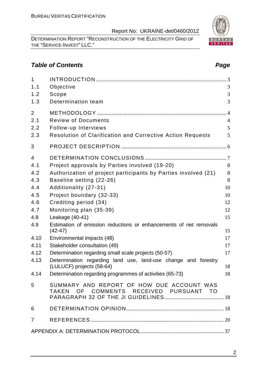DETERMINATION REPORT "RECONSTRUCTION OF THE ELECTRICITY GRID OF THE "SERVICE-INVEST" LLC."

# **Table of Contents Page 2018**

| $\mathbf{1}$<br>1.1<br>1.2   | Objective<br>Scope                                                                          | 3<br>3         |
|------------------------------|---------------------------------------------------------------------------------------------|----------------|
| 1.3                          | Determination team                                                                          | 3              |
| $\overline{2}$<br>2.1<br>2.2 | <b>Review of Documents</b>                                                                  | $\overline{4}$ |
| 2.3                          | Follow-up Interviews<br><b>Resolution of Clarification and Corrective Action Requests</b>   | 5<br>5         |
| 3                            |                                                                                             |                |
| 4                            |                                                                                             |                |
| 4.1                          | Project approvals by Parties involved (19-20)                                               | 8              |
| 4.2                          | Authorization of project participants by Parties involved (21)                              | 8              |
| 4.3                          | Baseline setting (22-26)                                                                    | 8              |
| 4.4                          | Additionality (27-31)                                                                       | 10             |
| 4.5                          | Project boundary (32-33)                                                                    | 10             |
| 4.6                          | Crediting period (34)                                                                       | 12             |
| 4.7                          | Monitoring plan (35-39)                                                                     | 12             |
| 4.8                          | Leakage (40-41)                                                                             | 15             |
| 4.9                          | Estimation of emission reductions or enhancements of net removals<br>$(42-47)$              | 15             |
| 4.10                         | Environmental impacts (48)                                                                  | 17             |
| 4.11                         | Stakeholder consultation (49)                                                               | 17             |
| 4.12                         | Determination regarding small scale projects (50-57)                                        | 17             |
| 4.13                         | Determination regarding land use, land-use change and forestry<br>(LULUCF) projects (58-64) | 18             |
| 4.14                         | Determination regarding programmes of activities (65-73)                                    | 18             |
| 5                            | SUMMARY AND REPORT OF HOW DUE ACCOUNT WAS<br>TAKEN OF COMMENTS RECEIVED PURSUANT TO         |                |
| 6                            |                                                                                             |                |
| $\overline{7}$               |                                                                                             |                |
|                              |                                                                                             |                |



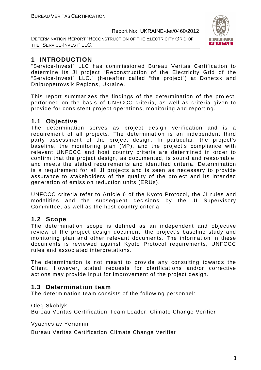DETERMINATION REPORT "RECONSTRUCTION OF THE ELECTRICITY GRID OF THE "SERVICE-INVEST" LLC."



# **1 INTRODUCTION**

"Service-Invest" LLC has commissioned Bureau Veritas Certification to determine its JI project "Reconstruction of the Electricity Grid of the "Service-Invest" LLC." (hereafter called "the project") at Donetsk and Dnipropetrovs'k Regions, Ukraine.

This report summarizes the findings of the determination of the project, performed on the basis of UNFCCC criteria, as well as criteria given to provide for consistent project operations, monitoring and reporting.

# **1.1 Objective**

The determination serves as project design verification and is a requirement of all projects. The determination is an independent third party assessment of the project design. In particular, the project's baseline, the monitoring plan (MP), and the project's compliance with relevant UNFCCC and host country criteria are determined in order to confirm that the project design, as documented, is sound and reasonable, and meets the stated requirements and identified criteria. Determination is a requirement for all JI projects and is seen as necessary to provide assurance to stakeholders of the quality of the project and its intended generation of emission reduction units (ERUs).

UNFCCC criteria refer to Article 6 of the Kyoto Protocol, the JI rules and modalities and the subsequent decisions by the JI Supervisory Committee, as well as the host country criteria.

# **1.2 Scope**

The determination scope is defined as an independent and objective review of the project design document, the project's baseline study and monitoring plan and other relevant documents. The information in these documents is reviewed against Kyoto Protocol requirements, UNFCCC rules and associated interpretations.

The determination is not meant to provide any consulting towards the Client. However, stated requests for clarifications and/or corrective actions may provide input for improvement of the project design.

# **1.3 Determination team**

The determination team consists of the following personnel:

Oleg Skoblyk

Bureau Veritas Certification Team Leader, Climate Change Verifier

Vyacheslav Yeriomin

Bureau Veritas Certification Climate Change Verifier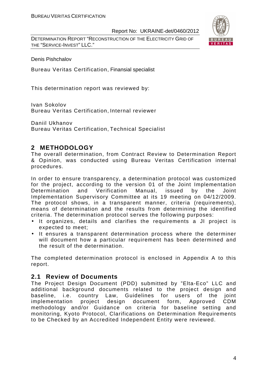DETERMINATION REPORT "RECONSTRUCTION OF THE ELECTRICITY GRID OF THE "SERVICE-INVEST" LLC."



Denis Pishchalov

Bureau Veritas Certification, Finansial specialist

This determination report was reviewed by:

Ivan Sokolov Bureau Veritas Certification, Internal reviewer

Daniil Ukhanov Bureau Veritas Certification, Technical Specialist

#### **2 METHODOLOGY**

The overall determination, from Contract Review to Determination Report & Opinion, was conducted using Bureau Veritas Certification internal procedures.

In order to ensure transparency, a determination protocol was customized for the project, according to the version 01 of the Joint Implementation Determination and Verification Manual, issued by the Joint Implementation Supervisory Committee at its 19 meeting on 04/12/2009. The protocol shows, in a transparent manner, criteria (requirements), means of determination and the results from determining the identified criteria. The determination protocol serves the following purposes:

- It organizes, details and clarifies the requirements a JI project is expected to meet;
- It ensures a transparent determination process where the determiner will document how a particular requirement has been determined and the result of the determination.

The completed determination protocol is enclosed in Appendix A to this report.

#### **2.1 Review of Documents**

The Project Design Document (PDD) submitted by "Elta-Eco" LLC and additional background documents related to the project design and baseline, i.e. country Law, Guidelines for users of the joint implementation project design document form, Approved CDM methodology and/or Guidance on criteria for baseline setting and monitoring, Kyoto Protocol, Clarifications on Determination Requirements to be Checked by an Accredited Independent Entity were reviewed.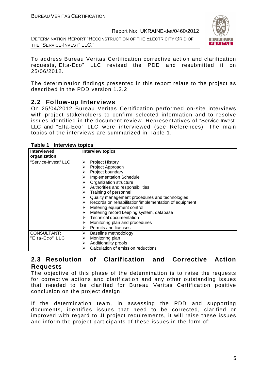DETERMINATION REPORT "RECONSTRUCTION OF THE ELECTRICITY GRID OF THE "SERVICE-INVEST" LLC."



To address Bureau Veritas Certification corrective action and clarification requests,"Elta-Eco" LLC revised the PDD and resubmitted it on 25/06/2012.

The determination findings presented in this report relate to the project as described in the PDD version 1.2.2.

#### **2.2 Follow-up Interviews**

On 25/04/2012 Bureau Veritas Certification performed on-site interviews with project stakeholders to confirm selected information and to resolve issues identified in the document review. Representatives of "Service-Invest" LLC and "Elta-Eco" LLC were interviewed (see References). The main topics of the interviews are summarized in Table 1.

| <b>Interviewed</b><br>organization | <b>Interview topics</b>                               |
|------------------------------------|-------------------------------------------------------|
| "Service-Invest" LLC               | <b>Project History</b><br>⋗                           |
|                                    | Project Approach                                      |
|                                    | Project boundary                                      |
|                                    | <b>Implementation Schedule</b>                        |
|                                    | Organization structure                                |
|                                    | Authorities and responsibilities<br>➤                 |
|                                    | Training of personnel                                 |
|                                    | Quality management procedures and technologies        |
|                                    | Records on rehabilitation/implementation of equipment |
|                                    | Metering equipment control                            |
|                                    | Metering record keeping system, database              |
|                                    | <b>Technical documentation</b>                        |
|                                    | Monitoring plan and procedures                        |
|                                    | Permits and licenses                                  |
| <b>CONSULTANT:</b>                 | Baseline methodology<br>➤                             |
| "Elta-Eco" LLC                     | Monitoring plan<br>➤                                  |
|                                    | Additionality proofs<br>⋗                             |
|                                    | Calculation of emission reductions                    |

**Table 1 Interview topics** 

#### **2.3 Resolution of Clarification and Corrective Action Requests**

The objective of this phase of the determination is to raise the requests for corrective actions and clarification and any other outstanding issues that needed to be clarified for Bureau Veritas Certification positive conclusion on the project design.

If the determination team, in assessing the PDD and supporting documents, identifies issues that need to be corrected, clarified or improved with regard to JI project requirements, it will raise these issues and inform the project participants of these issues in the form of: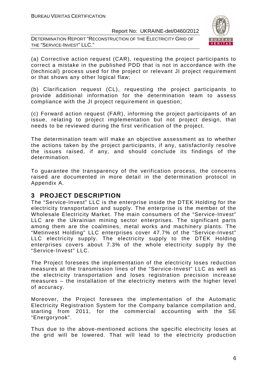DETERMINATION REPORT "RECONSTRUCTION OF THE ELECTRICITY GRID OF THE "SERVICE-INVEST" LLC."



(a) Corrective action request (CAR), requesting the project participants to correct a mistake in the published PDD that is not in accordance with the (technical) process used for the project or relevant JI project requirement or that shows any other logical flaw;

(b) Clarification request (CL), requesting the project participants to provide additional information for the determination team to assess compliance with the JI project requirement in question;

(c) Forward action request (FAR), informing the project participants of an issue, relating to project implementation but not project design, that needs to be reviewed during the first verification of the project.

The determination team will make an objective assessment as to whether the actions taken by the project participants, if any, satisfactorily resolve the issues raised, if any, and should conclude its findings of the determination.

To guarantee the transparency of the verification process, the concerns raised are documented in more detail in the determination protocol in Appendix A.

# **3 PROJECT DESCRIPTION**

The "Service-Invest" LLC is the enterprise inside the DTEK Holding for the electricity transportation and supply. The enterprise is the member of the Wholesale Electricity Market. The main consumers of the "Service-Invest" LLC are the Ukrainian mining sector enterprises. The significant parts among them are the coalmines, metal works and machinery plants. The "Metinvest Holding" LLC enterprises cover 47.7% of the "Service-Invest" LLC electricity supply. The electricity supply to the DTEK Holding enterprises covers about 7.3% of the whole electricity supply by the "Service-Invest" LLC.

The Project foresees the implementation of the electricity loses reduction measures at the transmission lines of the "Service-Invest" LLC as well as the electricity transportation and loses registration precision increase measures – the installation of the electricity meters with the higher level of accuracy.

Moreover, the Project foresees the implementation of the Automatic Electricity Registration System for the Company balance compilation and, starting from 2011, for the commercial accounting with the SE "Energorynok".

Thus due to the above-mentioned actions the specific electricity loses at the grid will be lowered. That will lead to the electricity production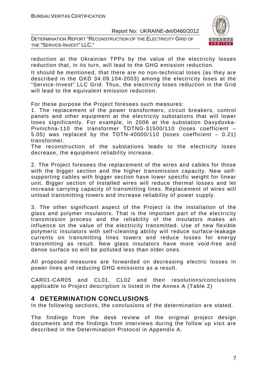DETERMINATION REPORT "RECONSTRUCTION OF THE ELECTRICITY GRID OF THE "SERVICE-INVEST" LLC."



reduction at the Ukrainian TPPs by the value of the electricity losses reduction that, in its turn, will lead to the GHG emission reduction.

It should be mentioned, that there are no non-technical loses (as they are described in the GKD 34.09.104-2003) among the electricity loses at the "Service-Invest" LLC Grid. Thus, the electricity loses reduction in the Grid will lead to the equivalent emission reduction.

For these purpose the Project foresees such measures:

1. The replacement of the power transformers, circuit breakers, control panels and other equipment at the electricity substations that will lower loses significantly. For example, in 2006 at the substation Davydovka-Pivnichna-110 the transformer ТDTNG-31500/110 (loses coefficient – 5.05) was replaced by the ТDТN-40000/110 (loses coefficient – 0.21) transformer.

The reconstruction of the substations leads to the electricity loses decrease, the equipment reliability increase.

2. The Project foresees the replacement of the wires and cables for those with the bigger section and the higher transmission capacity. New selfsupporting cables with bigger section have lower specific weight for linear unit. Bigger section of installed wires will reduce thermal losses and let increase carrying capacity of transmitting lines. Replacement of wires will unload transmitting towers and increase reliability of power supply.

3. The other significant aspect of the Project is the installation of the glass and polymer insulators. That is the important part of the electricity transmission process and the reliability of the insulators makes an influence on the value of the electricity transmitted. Use of new flexible polymeric insulators with self-cleaning ability will reduce surface-leakage currents on transmitting lines towers and reduce losses for energy transmitting as result. New glass insulators have more void-free and dense surface so will be polluted less than older ones.

All proposed measures are forwarded on decreasing electric losses in power lines and reducing GHG emissions as a result.

CAR01-CAR05 and CL01, CL02 and their resolutions/conclusions applicable to Project description is listed in the Annex A (Table 2)

# **4 DETERMINATION CONCLUSIONS**

In the following sections, the conclusions of the determination are stated.

The findings from the desk review of the original project design documents and the findings from interviews during the follow up visit are described in the Determination Protocol in Appendix A.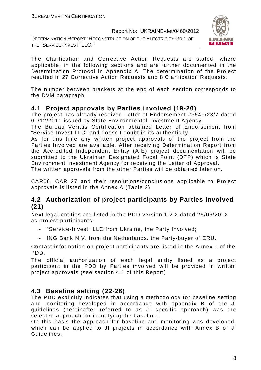DETERMINATION REPORT "RECONSTRUCTION OF THE ELECTRICITY GRID OF THE "SERVICE-INVEST" LLC."



The Clarification and Corrective Action Requests are stated, where applicable, in the following sections and are further documented in the Determination Protocol in Appendix A. The determination of the Project resulted in 27 Corrective Action Requests and 8 Clarification Requests.

The number between brackets at the end of each section corresponds to the DVM paragraph

# **4.1 Project approvals by Parties involved (19-20)**

The project has already received Letter of Endorsement #3540/23/7 dated 01/12/2011 issued by State Environmental Investment Agency.

The Bureau Veritas Certification obtained Letter of Endorsement from "Service-Invest LLC" and doesn't doubt in its authenticity.

As for this time any written project approvals of the project from the Parties Involved are available. After receiving Determination Report from the Accredited Independent Entity (AIE) project documentation will be submitted to the Ukrainian Designated Focal Point (DFP) which is State Environment Investment Agency for receiving the Letter of Approval.

The written approvals from the other Parties will be obtained later on.

CAR06, CAR 27 and their resolutions/conclusions applicable to Project approvals is listed in the Annex A (Table 2)

# **4.2 Authorization of project participants by Parties involved (21)**

Next legal entities are listed in the PDD version 1.2.2 dated 25/06/2012 as project participants:

- "Service-Invest" LLC from Ukraine, the Party Involved;
- ING Bank N.V. from the Netherlands, the Party-buyer of ERU.

Contact information on project participants are listed in the Annex 1 of the PDD.

The official authorization of each legal entity listed as a project participant in the PDD by Parties involved will be provided in written project approvals (see section 4.1 of this Report).

# **4.3 Baseline setting (22-26)**

The PDD explicitly indicates that using a methodology for baseline setting and monitoring developed in accordance with appendix B of the JI guidelines (hereinafter referred to as JI specific approach) was the selected approach for identifying the baseline.

On this basis the approach for baseline and monitoring was developed, which can be applied to JI projects in accordance with Annex B of JI Guidelines.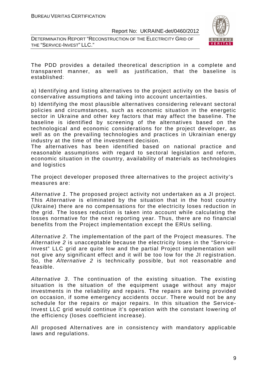DETERMINATION REPORT "RECONSTRUCTION OF THE ELECTRICITY GRID OF THE "SERVICE-INVEST" LLC."



The PDD provides a detailed theoretical description in a complete and transparent manner, as well as justification, that the baseline is established:

a) Identifying and listing alternatives to the project activity on the basis of conservative assumptions and taking into account uncertainties.

b) Identifying the most plausible alternatives considering relevant sectoral policies and circumstances, such as economic situation in the energetic sector in Ukraine and other key factors that may affect the baseline. The baseline is identified by screening of the alternatives based on the technological and economic considerations for the project developer, as well as on the prevailing technologies and practices in Ukrainian energy industry at the time of the investment decision.

The alternatives has been identified based on national practice and reasonable assumptions with regard to sectoral legislation and reform, economic situation in the country, availability of materials as technologies and logistics

The project developer proposed three alternatives to the project activity's measures are:

Alternative 1. The proposed project activity not undertaken as a JI project. This Alternative is eliminated by the situation that in the host country (Ukraine) there are no compensations for the electricity loses reduction in the grid. The losses reduction is taken into account while calculating the losses normative for the next reporting year. Thus, there are no financial benefits from the Project implementation except the ERUs selling.

Alternative 2. The implementation of the part of the Project measures. The Alternative 2 is unacceptable because the electricity loses in the "Service-Invest" LLC grid are quite low and the partial Project implementation will not give any significant effect and it will be too low for the JI registration. So, the Alternative 2 is technically possible, but not reasonable and feasible.

Alternative 3. The continuation of the existing situation. The existing situation is the situation of the equipment usage without any major investments in the reliability and repairs. The repairs are being provided on occasion, if some emergency accidents occur. There would not be any schedule for the repairs or major repairs. In this situation the Service-Invest LLC grid would continue it's operation with the constant lowering of the efficiency (loses coefficient increase).

All proposed Alternatives are in consistency with mandatory applicable laws and regulations.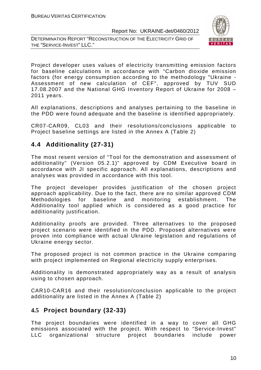DETERMINATION REPORT "RECONSTRUCTION OF THE ELECTRICITY GRID OF THE "SERVICE-INVEST" LLC."



Project developer uses values of electricity transmitting emission factors for baseline calculations in accordance with "Carbon dioxide emission factors (for energy consumption according to the methodology "Ukraine - Assessment of new calculation of CEF", approved by TUV SUD 17.08.2007 and the National GHG Inventory Report of Ukraine for 2008 – 2011 years.

All explanations, descriptions and analyses pertaining to the baseline in the PDD were found adequate and the baseline is identified appropriately.

CR07-CAR09, CL03 and their resolutions/conclusions applicable to Project baseline settings are listed in the Annex A (Table 2)

# **4.4 Additionality (27-31)**

The most resent version of "Tool for the demonstration and assessment of additionality" (Version 05.2.1)" approved by CDM Executive board in accordance with JI specific approach. All explanations, descriptions and analyses was provided in accordance with this tool.

The project developer provides justification of the chosen project approach applicability. Due to the fact, there are no similar approved CDM Methodologies for baseline and monitoring establishment. The Additionality tool applied which is considered as a good practice for additionality justification.

Additionality proofs are provided. Three alternatives to the proposed project scenario were identified in the PDD. Proposed alternatives were proven into compliance with actual Ukraine legislation and regulations of Ukraine energy sector.

The proposed project is not common practice in the Ukraine comparing with project implemented on Regional electricity supply enterprises.

Additionality is demonstrated appropriately way as a result of analysis using to chosen approach.

CAR10-CAR16 and their resolution/conclusion applicable to the project additionality are listed in the Annex A (Table 2)

# **4.5 Project boundary (32-33)**

The project boundaries were identified in a way to cover all GHG emissions associated with the project. With respect to "Service-Invest" LLC organizational structure project boundaries include power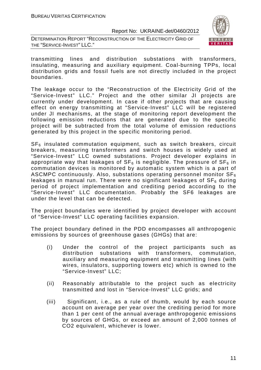DETERMINATION REPORT "RECONSTRUCTION OF THE ELECTRICITY GRID OF THE "SERVICE-INVEST" LLC."



transmitting lines and distribution substations with transformers, insulating, measuring and auxiliary equipment. Coal-burning TPPs, local distribution grids and fossil fuels are not directly included in the project boundaries.

The leakage occur to the "Reconstruction of the Electricity Grid of the "Service-Invest" LLC." Project and the other similar JI projects are currently under development. In case if other projects that are causing effect on energy transmitting at "Service-Invest" LLC will be registered under JI mechanisms, at the stage of monitoring report development the following emission reductions that are generated due to the specific project will be subtracted from the total volume of emission reductions generated by this project in the specific monitoring period.

 $SF<sub>6</sub>$  insulated commutation equipment, such as switch breakers, circuit breakers, measuring transformers and switch houses is widely used at "Service-Invest" LLC owned substations. Project developer explains in appropriate way that leakages of  $SF<sub>6</sub>$  is negligible. The pressure of  $SF<sub>6</sub>$  in commutation devices is monitored by automatic system which is a part of ASCMPC continuously. Also, substations operating personnel monitor  $SF_6$ leakages in manual run. There were no significant leakages of  $SF<sub>6</sub>$  during period of project implementation and crediting period according to the "Service-Invest" LLC documentation. Probably the SF6 leakages are under the level that can be detected.

The project boundaries were identified by project developer with account of "Service-Invest" LLC operating facilities expansion.

The project boundary defined in the PDD encompasses all anthropogenic emissions by sources of greenhouse gases (GHGs) that are:

- (i) Under the control of the project participants such as distribution substations with transformers, commutation, auxiliary and measuring equipment and transmitting lines (with wires, insulators, supporting towers etc) which is owned to the "Service-Invest" LLC;
- (ii) Reasonably attributable to the project such as electricity transmitted and lost in "Service-Invest" LLC grids; and
- (iii) Significant, i.e., as a rule of thumb, would by each source account on average per year over the crediting period for more than 1 per cent of the annual average anthropogenic emissions by sources of GHGs, or exceed an amount of 2,000 tonnes of CO2 equivalent, whichever is lower.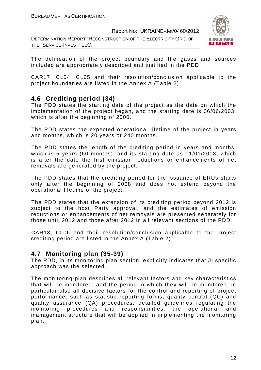DETERMINATION REPORT "RECONSTRUCTION OF THE ELECTRICITY GRID OF THE "SERVICE-INVEST" LLC."



The delineation of the project boundary and the gases and sources included are appropriately described and justified in the PDD

CAR17, CL04, CL05 and their resolution/conclusion applicable to the project boundaries are listed in the Annex A (Table 2)

# **4.6 Crediting period (34)**

The PDD states the starting date of the project as the date on which the implementation of the project began, and the starting date is 06/06/2003, which is after the beginning of 2000.

The PDD states the expected operational lifetime of the project in years and months, which is 20 years or 240 months.

The PDD states the length of the crediting period in years and months, which is 5 years (60 months), and its starting date as 01/01/2008, which is after the date the first emission reductions or enhancements of net removals are generated by the project.

The PDD states that the crediting period for the issuance of ERUs starts only after the beginning of 2008 and does not extend beyond the operational lifetime of the project.

The PDD states that the extension of its crediting period beyond 2012 is subject to the host Party approval, and the estimates of emission reductions or enhancements of net removals are presented separately for those until 2012 and those after 2012 in all relevant sections of the PDD.

CAR18, CL06 and their resolution/conclusion applicable to the project crediting period are listed in the Annex A (Table 2)

#### **4.7 Monitoring plan (35-39)**

The PDD, in its monitoring plan section, explicitly indicates that JI specific approach was the selected.

The monitoring plan describes all relevant factors and key characteristics that will be monitored, and the period in which they will be monitored, in particular also all decisive factors for the control and reporting of project performance, such as statistic reporting forms, quality control (QC) and quality assurance (QA) procedures; detailed guidelines regulating the monitoring procedures and responsibilities; the operational and management structure that will be applied in implementing the monitoring plan.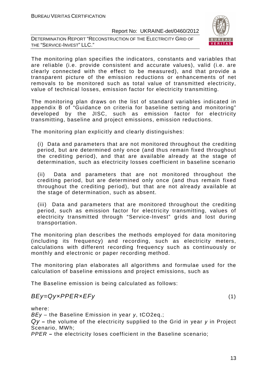DETERMINATION REPORT "RECONSTRUCTION OF THE ELECTRICITY GRID OF THE "SERVICE-INVEST" LLC."



The monitoring plan specifies the indicators, constants and variables that are reliable (i.e. provide consistent and accurate values), valid (i.e. are clearly connected with the effect to be measured), and that provide a transparent picture of the emission reductions or enhancements of net removals to be monitored such as total value of transmitted electricity, value of technical losses, emission factor for electricity transmitting.

The monitoring plan draws on the list of standard variables indicated in appendix B of "Guidance on criteria for baseline setting and monitoring" developed by the JISC, such as emission factor for electricity transmitting, baseline and project emissions, emission reductions.

The monitoring plan explicitly and clearly distinguishes:

(i) Data and parameters that are not monitored throughout the crediting period, but are determined only once (and thus remain fixed throughout the crediting period), and that are available already at the stage of determination, such as electricity losses coefficient in baseline scenario

(ii) Data and parameters that are not monitored throughout the crediting period, but are determined only once (and thus remain fixed throughout the crediting period), but that are not already available at the stage of determination, such as absent.

(iii) Data and parameters that are monitored throughout the crediting period, such as emission factor for electricity transmitting, values of electricity transmitted through "Service-Invest" grids and lost during transportation.

The monitoring plan describes the methods employed for data monitoring (including its frequency) and recording, such as electricity meters, calculations with different recording frequency such as continuously or monthly and electronic or paper recording method.

The monitoring plan elaborates all algorithms and formulae used for the calculation of baseline emissions and project emissions, such as

The Baseline emission is being calculated as follows:

#### BEy=Qy×PPER×EFy (1)

where:

*ВЕу* – the Baseline Emission in year *у*, tCO2eq.;

Qy **–** the volume of the electricity supplied to the Grid in year *у* in Project Scenario, MWh;

PPER **–** the electricity loses coefficient in the Baseline scenario;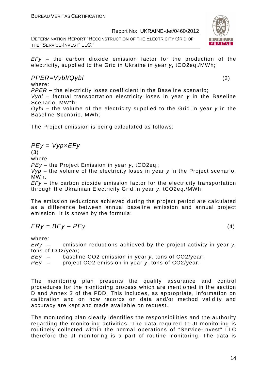DETERMINATION REPORT "RECONSTRUCTION OF THE ELECTRICITY GRID OF THE "SERVICE-INVEST" LLC."

 $EFy$  – the carbon dioxide emission factor for the production of the electricity, supplied to the Grid in Ukraine in year *у*, tCO2eq./MWh;

PPER=Vybl/Qybl (2)

where:

PPER **–** the electricity loses coefficient in the Baseline scenario;

Vybl – factual transportation electricity loses in year *у* in the Baseline Scenario, MW\*h;

Qybl **–** the volume of the electricity supplied to the Grid in year *у* in the Baseline Scenario, MWh;

The Project emission is being calculated as follows:

 $PEV = VVpxEFV$ 

(3)

where

P*Еу* – the Project Emission in year *у*, tCO2eq.;

Vyp – the volume of the electricity loses in year *у* in the Project scenario, MWh;

 $EFv -$  the carbon dioxide emission factor for the electricity transportation through the Ukrainian Electricity Grid in year *у*, tCO2eq./MWh;

The emission reductions achieved during the project period are calculated as a difference between annual baseline emission and annual project emission. It is shown by the formula:

$$
ERy = BEy - PEy \tag{4}
$$

where:

 $ERy -$  emission reductions achieved by the project activity in year y, tons of CO2/year;

BEy - baseline CO2 emission in year y, tons of CO2/year;

PEy – project CO2 emission in year y, tons of CO2/year.

The monitoring plan presents the quality assurance and control procedures for the monitoring process which are mentioned in the section D and Annex 3 of the PDD. This includes, as appropriate, information on calibration and on how records on data and/or method validity and accuracy are kept and made available on request.

The monitoring plan clearly identifies the responsibilities and the authority regarding the monitoring activities. The data required to JI monitoring is routinely collected within the normal operations of "Service-Invest" LLC therefore the JI monitoring is a part of routine monitoring. The data is

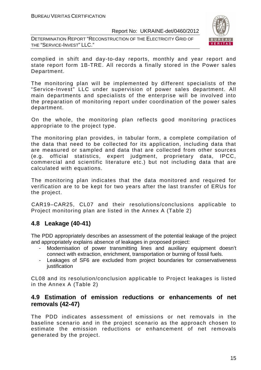DETERMINATION REPORT "RECONSTRUCTION OF THE ELECTRICITY GRID OF THE "SERVICE-INVEST" LLC."



complied in shift and day-to-day reports, monthly and year report and state report form 1B-TRE. All records a finally stored in the Power sales Department.

The monitoring plan will be implemented by different specialists of the "Service-Invest" LLC under supervision of power sales department. All main departments and specialists of the enterprise will be involved into the preparation of monitoring report under coordination of the power sales department.

On the whole, the monitoring plan reflects good monitoring practices appropriate to the project type.

The monitoring plan provides, in tabular form, a complete compilation of the data that need to be collected for its application, including data that are measured or sampled and data that are collected from other sources (e.g. official statistics, expert judgment, proprietary data, IPCC, commercial and scientific literature etc.) but not including data that are calculated with equations.

The monitoring plan indicates that the data monitored and required for verification are to be kept for two years after the last transfer of ERUs for the project.

CAR19–CAR25, CL07 and their resolutions/conclusions applicable to Project monitoring plan are listed in the Annex A (Table 2)

#### **4.8 Leakage (40-41)**

The PDD appropriately describes an assessment of the potential leakage of the project and appropriately explains absence of leakages in proposed project:

- Modernisation of power transmitting lines and auxiliary equipment doesn't connect with extraction, enrichment, transportation or burning of fossil fuels.
- Leakages of SF6 are excluded from project boundaries for conservativeness justification

CL08 and its resolution/conclusion applicable to Project leakages is listed in the Annex A (Table 2)

#### **4.9 Estimation of emission reductions or enhancements of net removals (42-47)**

The PDD indicates assessment of emissions or net removals in the baseline scenario and in the project scenario as the approach chosen to estimate the emission reductions or enhancement of net removals generated by the project.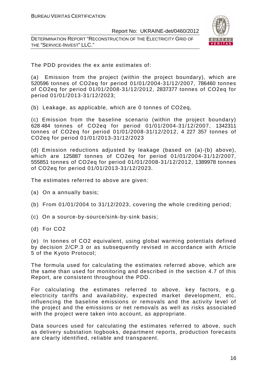DETERMINATION REPORT "RECONSTRUCTION OF THE ELECTRICITY GRID OF THE "SERVICE-INVEST" LLC."



The PDD provides the ex ante estimates of:

(a) Emission from the project (within the project boundary), which are 520596 tonnes of CO2eq for period 01/01/2004-31/12/2007, 786460 tonnes of CO2eq for period 01/01/2008-31/12/2012, 2837377 tonnes of CO2eq for period 01/01/2013-31/12/2023;

(b) Leakage, as applicable, which are 0 tonnes of CO2eq,

(c) Emission from the baseline scenario (within the project boundary) 628 484 tonnes of CO2eq for period 01/01/2004-31/12/2007, 1342311 tonnes of CO2eq for period 01/01/2008-31/12/2012, 4 227 357 tonnes of CO2eq for period 01/01/2013-31/12/2023

(d) Emission reductions adjusted by leakage (based on (a)-(b) above), which are 125887 tonnes of CO2eq for period 01/01/2004-31/12/2007, 555851 tonnes of CO2eq for period 01/01/2008-31/12/2012, 1389978 tonnes of CO2eq for period 01/01/2013-31/12/2023.

The estimates referred to above are given:

- (a) On a annually basis;
- (b) From 01/01/2004 to 31/12/2023, covering the whole crediting period;
- (c) On a source-by-source/sink-by-sink basis;
- (d) For CO2

(e) In tonnes of CO2 equivalent, using global warming potentials defined by decision 2/CP.3 or as subsequently revised in accordance with Article 5 of the Kyoto Protocol;

The formula used for calculating the estimates referred above, which are the same than used for monitoring and described in the section 4.7 of this Report, are consistent throughout the PDD.

For calculating the estimates referred to above, key factors, e.g. electricity tariffs and availability, expected market development, etc, influencing the baseline emissions or removals and the activity level of the project and the emissions or net removals as well as risks associated with the project were taken into account, as appropriate.

Data sources used for calculating the estimates referred to above, such as delivery substation logbooks, department reports, production forecasts are clearly identified, reliable and transparent.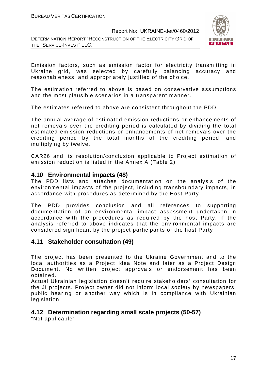DETERMINATION REPORT "RECONSTRUCTION OF THE ELECTRICITY GRID OF THE "SERVICE-INVEST" LLC."



Emission factors, such as emission factor for electricity transmitting in Ukraine grid, was selected by carefully balancing accuracy and reasonableness, and appropriately justified of the choice.

The estimation referred to above is based on conservative assumptions and the most plausible scenarios in a transparent manner.

The estimates referred to above are consistent throughout the PDD.

The annual average of estimated emission reductions or enhancements of net removals over the crediting period is calculated by dividing the total estimated emission reductions or enhancements of net removals over the crediting period by the total months of the crediting period, and multiplying by twelve.

CAR26 and its resolution/conclusion applicable to Project estimation of emission reduction is listed in the Annex A (Table 2)

#### **4.10 Environmental impacts (48)**

The PDD lists and attaches documentation on the analysis of the environmental impacts of the project, including transboundary impacts, in accordance with procedures as determined by the Host Party.

The PDD provides conclusion and all references to supporting documentation of an environmental impact assessment undertaken in accordance with the procedures as required by the host Party, if the analysis referred to above indicates that the environmental impacts are considered significant by the project participants or the host Party

#### **4.11 Stakeholder consultation (49)**

The project has been presented to the Ukraine Government and to the local authorities as a Project Idea Note and later as a Project Design Document. No written project approvals or endorsement has been obtained.

Actual Ukrainian legislation doesn't require stakeholders' consultation for the JI projects. Project owner did not inform local society by newspapers, public hearing or another way which is in compliance with Ukrainian legislation.

#### **4.12 Determination regarding small scale projects (50-57)**

"Not applicable"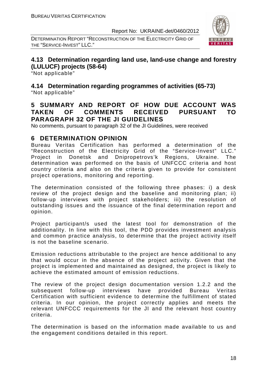DETERMINATION REPORT "RECONSTRUCTION OF THE ELECTRICITY GRID OF THE "SERVICE-INVEST" LLC."



# **4.13 Determination regarding land use, land-use change and forestry (LULUCF) projects (58-64)**

"Not applicable"

**4.14 Determination regarding programmes of activities (65-73)**  "Not applicable"

# **5 SUMMARY AND REPORT OF HOW DUE ACCOUNT WAS TAKEN OF COMMENTS RECEIVED PURSUANT TO PARAGRAPH 32 OF THE JI GUIDELINES**

No comments, pursuant to paragraph 32 of the JI Guidelines, were received

#### **6 DETERMINATION OPINION**

Bureau Veritas Certification has performed a determination of the "Reconstruction of the Electricity Grid of the "Service-Invest" LLC." Project in Donetsk and Dnipropetrovs'k Regions, Ukraine. The determination was performed on the basis of UNFCCC criteria and host country criteria and also on the criteria given to provide for consistent project operations, monitoring and reporting.

The determination consisted of the following three phases: i) a desk review of the project design and the baseline and monitoring plan; ii) follow-up interviews with project stakeholders; iii) the resolution of outstanding issues and the issuance of the final determination report and opinion.

Project participant/s used the latest tool for demonstration of the additionality. In line with this tool, the PDD provides investment analysis and common practice analysis, to determine that the project activity itself is not the baseline scenario.

Emission reductions attributable to the project are hence additional to any that would occur in the absence of the project activity. Given that the project is implemented and maintained as designed, the project is likely to achieve the estimated amount of emission reductions.

The review of the project design documentation version 1.2.2 and the subsequent follow-up interviews have provided Bureau Veritas Certification with sufficient evidence to determine the fulfillment of stated criteria. In our opinion, the project correctly applies and meets the relevant UNFCCC requirements for the JI and the relevant host country criteria.

The determination is based on the information made available to us and the engagement conditions detailed in this report.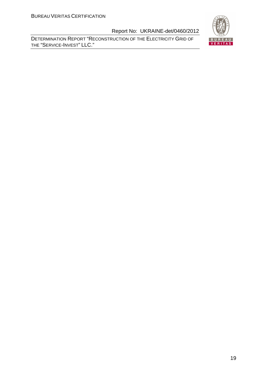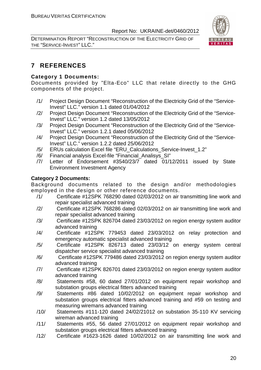DETERMINATION REPORT "RECONSTRUCTION OF THE ELECTRICITY GRID OF THE "SERVICE-INVEST" LLC."



# **7 REFERENCES**

#### **Category 1 Documents:**

Documents provided by "Elta-Eco" LLC that relate directly to the GHG components of the project.

- /1/ Project Design Document "Reconstruction of the Electricity Grid of the "Service-Invest" LLC." version 1.1 dated 01/04/2012
- /2/ Project Design Document "Reconstruction of the Electricity Grid of the "Service-Invest" LLC." version 1.2 dated 13/05/2012
- /3/ Project Design Document "Reconstruction of the Electricity Grid of the "Service-Invest" LLC." version 1.2.1 dated 05/06/2012
- /4/ Project Design Document "Reconstruction of the Electricity Grid of the "Service-Invest" LLC." version 1.2.2 dated 25/06/2012
- /5/ ERUs calculation Excel file "ERU\_Calculations\_Service-Invest\_1.2"
- /6/ Financial analysis Excel-file "Financial\_Analisys\_SI"
- /7/ Letter of Endorsement #3540/23/7 dated 01/12/2011 issued by State Environment Investment Agency

#### **Category 2 Documents:**

Background documents related to the design and/or methodologies employed in the design or other reference documents.

- /1/ Certificate #12SPK 768290 dated 02/03/2012 on air transmitting line work and repair specialist advanced training
- /2/ Certificate #12SPK 768286 dated 02/03/2012 on air transmitting line work and repair specialist advanced training
- /3/ Certificate #12SPK 826704 dated 23/03/2012 on region energy system auditor advanced training
- /4/ Certificate #12SPK 779453 dated 23/03/2012 on relay protection and emergency automatic specialist advanced training
- /5/ Certificate #12SPK 826713 dated 23/03/12 on energy system central dispatcher service specialist advanced training
- /6/ Certificate #12SPK 779486 dated 23/03/2012 on region energy system auditor advanced training
- /7/ Certificate #12SPK 826701 dated 23/03/2012 on region energy system auditor advanced training
- /8/ Statements #58, 60 dated 27/01/2012 on equipment repair workshop and substation groups electrical fitters advanced training
- /9/ Statements #86 dated 10/02/2012 on equipment repair workshop and substation groups electrical fitters advanced training and #59 on testing and measuring wiremans advanced training
- /10/ Statements #111-120 dated 24/02/21012 on substation 35-110 KV servicing wireman advanced training
- /11/ Statements #55, 56 dated 27/01/2012 on equipment repair workshop and substation groups electrical fitters advanced training
- /12/ Certificate #1623-1626 dated 10/02/2012 on air transmitting line work and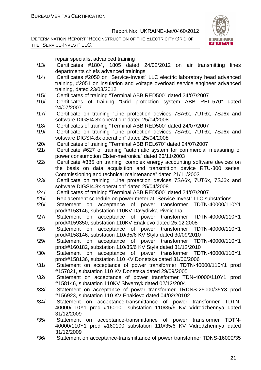DETERMINATION REPORT "RECONSTRUCTION OF THE ELECTRICITY GRID OF THE "SERVICE-INVEST" LLC."



repair specialist advanced training

- /13/ Certificates #1804, 1805 dated 24/02/2012 on air transmitting lines departments chiefs advanced trainings
- /14/ Certificates #2050 on "Service-Invest" LLC electric laboratory head advanced training, #2051 on insulation and voltage overload service engineer advanced training, dated 23/03/2012
- /15/ Certificates of training "Terminal ABB RED500" dated 24/07/2007
- /16/ Certificates of training "Grid protection system ABB REL-570" dated 24/07/2007
- /17/ Certificate on training "Line protection devices 7SA6x, 7UT6x, 7SJ6x and software DIGSI4.8x operation" dated 25/04/2008
- /18/ Certificates of training "Terminal ABB RED500" dated 24/07/2007
- /19/ Certificate on training "Line protection devices 7SA6x, 7UT6x, 7SJ6x and software DIGSI4.8x operation" dated 25/04/2008
- /20/ Certificates of training "Terminal ABB REL670" dated 24/07/2007
- /21/ Certificate #627 of training "automatic system for commercial measuring of power consumption Elster-metronica" dated 26/11/2003
- /22/ Certificate #385 on training "complex energy accounting software devices on the basis on data acquisition and transmittion device RTU-300 series. Commissioning and technical maintenance" dated 21/11/2003
- /23/ Certificate on training "Line protection devices 7SA6x, 7UT6x, 7SJ6x and software DIGSI4.8x operation" dated 25/04/2008
- /24/ Certificates of training "Terminal ABB RED500" dated 24/07/2007
- /25/ Replacement schedule on power meter at "Service Invest" LLC substations
- /26/ Statement on acceptance of power transformer TDTN-40000/110Y1 prod/#158146, substation 110KV Davydivka-Pivnichna
- /27/ Statement on acceptance of power transformer TDTN-40000/110Y1 prod/#159350, substation 110KV Enakievo dated 25.12.2008
- /28/ Statement on acceptance of power transformer TDTN-40000/110Y1 prod/#158146, substation 110/35/6 KV Styla dated 30/09/2010
- /29/ Statement on acceptance of power transformer TDTN-40000/110Y1 prod/#160182, substation 110/35/6 KV Styla dated 31/12/2010
- /30/ Statement on acceptance of power transformer TDTN-40000/110Y1 prod/#158136, substation 110 KV Donetska dated 31/06/2006
- /31/ Statement on acceptance of power transformer TDTN-40000/110Y1 prod #157821, substation 110 KV Donetska dated 29/09/2005
- /32/ Statement on acceptance of power transformer TDN-40000/110Y1 prod #158146, substation 110KV Shvernyk dated 02/12/2004
- /33/ Statement on acceptance of power transformer TRDNS-25000/35Y3 prod #156923, substation 110 KV Enakievo dated 04/02/20102
- /34/ Statement on acceptance-transmittance of power transformer TDTN-40000/110Y1 prod #160101 substation 110/35/6 KV Vidrodzhennya dated 31/12/2009
- /35/ Statement on acceptance-transmittance of power transformer TDTN-40000/110Y1 prod #160100 substation 110/35/6 KV Vidrodzhennya dated 31/12/2009
- /36/ Statement on acceptance-transmittance of power transformer TDNS-16000/35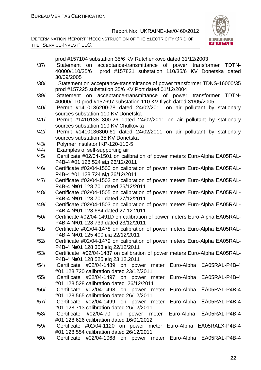DETERMINATION REPORT "RECONSTRUCTION OF THE ELECTRICITY GRID OF THE "SERVICE-INVEST" LLC."



prod #157104 substation 35/6 KV Rutchenkovo dated 31/12/2003

/37/ Statement on acceptance-transmittance of power transformer TDTN-40000/110/35/6 prod #157821 substation 110/35/6 KV Donetska dated 30/09/2005 /38/ Statement on acceptance-transmittance of power transformer TDNS-16000/35 prod #157225 substation 35/6 KV Port dated 01/12/2004 /39/ Statement on acceptance-transmittance of power transformer TDTN-40000/110 prod #157697 substation 110 KV Illych dated 31/05/2005 /40/ Permit #1410136200-78 dated 24/02/2011 on air pollutant by stationary sources substation 110 KV Donetska /41/ Permit #1410138 300-26 dated 24/02/2011 on air pollutant by stationary sources substation 110 KV Chulkovka /42/ Permit #1410136300-61 dated 24/02/2011 on air pollutant by stationary sources substation 35 KV Donetska /43/ Polymer insulator IKP-120-110-5 /44/ Examples of self-supporting air /45/ Certificate #02/04-1501 on calibration of power meters Euro-Alpha ЕА05RAL-P4B-4 #01 128 524 від 26/12/2011 /46/ Certificate #02/04-1500 on calibration of power meters Euro-Alpha ЕА05RAL-P4B-4 #01 128 724 від 26/12/2011 /47/ Certificate #02/04-1502 on calibration of power meters Euro-Alpha ЕА05RAL-P4B-4 №01 128 701 dated 26/12/2011 /48/ Certificate #02/04-1505 on calibration of power meters Euro-Alpha ЕА05RAL-P4B-4 №01 128 701 dated 27/12/2011 /49/ Certificate #02/04-1503 on calibration of power meters Euro-Alpha ЕА05RAL-P4B-4 №01 128 684 dated 27.12.2011 /50/ Certificate #02/04-1491D on calibration of power meters Euro-Alpha ЕА05RAL-P4B-4 №01 128 739 dated 23/12/2011 /51/ Certificate #02/04-1478 on calibration of power meters Euro-Alpha ЕА05RAL-P4B-4 №01 125 400 від 22/12/2011 /52/ Certificate #02/04-1479 on calibration of power meters Euro-Alpha ЕА05RAL-P4B-4 №01 128 353 від 22/12/2011 /53/ Certificate #02/04-1487 on calibration of power meters Euro-Alpha ЕА05RAL-P4B-4 №01 128 525 від 23.12.2011 /54/ Certificate #02/04-1489 on power meter Euro-Alpha ЕА05RAL-P4B-4 #01 128 720 calibration dated 23/12/2011 /55/ Certificate #02/04-1497 on power meter Euro-Alpha ЕА05RAL-P4B-4 #01 128 528 calibration dated 26/12/2011 /56/ Certificate #02/04-1498 on power meter Euro-Alpha ЕА05RAL-P4B-4 #01 128 565 calibration dated 26/12/2011 /57/ Certificate #02/04-1499 on power meter Euro-Alpha ЕА05RAL-P4B-4 #01 128 713 calibration dated 26/12/2011 /58/ Certificate #02/04-70 on power meter Euro-Alpha ЕА05RAL-P4B-4 #01 128 626 calibration dated 16/01/2012 /59/ Certificate #02/04-1120 on power meter Euro-Alpha ЕА05RALX-P4B-4 #01 128 554 calibration dated 26/12/2011 /60/ Certificate #02/04-1068 on power meter Euro-Alpha ЕА05RAL-P4B-4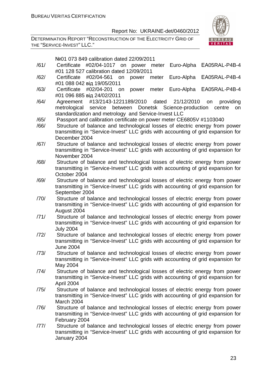DETERMINATION REPORT "RECONSTRUCTION OF THE ELECTRICITY GRID OF THE "SERVICE-INVEST" LLC."



№01 073 849 calibration dated 22/09/2011

- /61/ Certificate #02/04-1017 on power meter Euro-Alpha ЕА05RAL-P4B-4 #01 128 527 calibration dated 12/09/2011
- /62/ Certificate #02/04-561 on power meter Euro-Alpha ЕА05RAL-P4B-4 #01 088 042 від 19/05/2011
- /63/ Certificate #02/04-201 on power meter Euro-Alpha ЕА05RAL-P4B-4 #01 096 885 від 24/02/2011
- /64/ Agreement #13/2143-1221189/2010 dated 21/12/2010 on providing metrological service between Donetsk Science-production centre on standardization and metrology and Service-Invest LLC
- /65/ Passport and calibration certificate on power meter CE6805V #1103040
- /66/ Structure of balance and technological losses of electric energy from power transmitting in "Service-Invest" LLC grids with accounting of grid expansion for December 2004
- /67/ Structure of balance and technological losses of electric energy from power transmitting in "Service-Invest" LLC grids with accounting of grid expansion for November 2004
- /68/ Structure of balance and technological losses of electric energy from power transmitting in "Service-Invest" LLC grids with accounting of grid expansion for October 2004
- /69/ Structure of balance and technological losses of electric energy from power transmitting in "Service-Invest" LLC grids with accounting of grid expansion for September 2004
- /70/ Structure of balance and technological losses of electric energy from power transmitting in "Service-Invest" LLC grids with accounting of grid expansion for August 2004
- /71/ Structure of balance and technological losses of electric energy from power transmitting in "Service-Invest" LLC grids with accounting of grid expansion for July 2004
- /72/ Structure of balance and technological losses of electric energy from power transmitting in "Service-Invest" LLC grids with accounting of grid expansion for June 2004
- /73/ Structure of balance and technological losses of electric energy from power transmitting in "Service-Invest" LLC grids with accounting of grid expansion for May 2004
- /74/ Structure of balance and technological losses of electric energy from power transmitting in "Service-Invest" LLC grids with accounting of grid expansion for April 2004
- /75/ Structure of balance and technological losses of electric energy from power transmitting in "Service-Invest" LLC grids with accounting of grid expansion for March 2004
- /76/ Structure of balance and technological losses of electric energy from power transmitting in "Service-Invest" LLC grids with accounting of grid expansion for February 2004
- /77/ Structure of balance and technological losses of electric energy from power transmitting in "Service-Invest" LLC grids with accounting of grid expansion for January 2004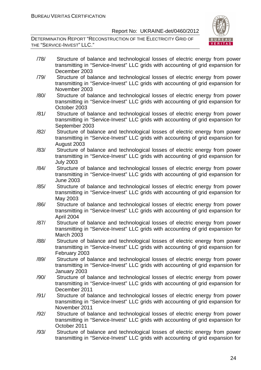

- /78/ Structure of balance and technological losses of electric energy from power transmitting in "Service-Invest" LLC grids with accounting of grid expansion for December 2003
- /79/ Structure of balance and technological losses of electric energy from power transmitting in "Service-Invest" LLC grids with accounting of grid expansion for November 2003
- /80/ Structure of balance and technological losses of electric energy from power transmitting in "Service-Invest" LLC grids with accounting of grid expansion for October 2003
- /81/ Structure of balance and technological losses of electric energy from power transmitting in "Service-Invest" LLC grids with accounting of grid expansion for September 2003
- /82/ Structure of balance and technological losses of electric energy from power transmitting in "Service-Invest" LLC grids with accounting of grid expansion for August 2003
- /83/ Structure of balance and technological losses of electric energy from power transmitting in "Service-Invest" LLC grids with accounting of grid expansion for July 2003
- /84/ Structure of balance and technological losses of electric energy from power transmitting in "Service-Invest" LLC grids with accounting of grid expansion for June 2003
- /85/ Structure of balance and technological losses of electric energy from power transmitting in "Service-Invest" LLC grids with accounting of grid expansion for May 2003
- /86/ Structure of balance and technological losses of electric energy from power transmitting in "Service-Invest" LLC grids with accounting of grid expansion for April 2004
- /87/ Structure of balance and technological losses of electric energy from power transmitting in "Service-Invest" LLC grids with accounting of grid expansion for March 2003
- /88/ Structure of balance and technological losses of electric energy from power transmitting in "Service-Invest" LLC grids with accounting of grid expansion for February 2003
- /89/ Structure of balance and technological losses of electric energy from power transmitting in "Service-Invest" LLC grids with accounting of grid expansion for January 2003
- /90/ Structure of balance and technological losses of electric energy from power transmitting in "Service-Invest" LLC grids with accounting of grid expansion for December 2011
- /91/ Structure of balance and technological losses of electric energy from power transmitting in "Service-Invest" LLC grids with accounting of grid expansion for November 2011
- /92/ Structure of balance and technological losses of electric energy from power transmitting in "Service-Invest" LLC grids with accounting of grid expansion for October 2011
- /93/ Structure of balance and technological losses of electric energy from power transmitting in "Service-Invest" LLC grids with accounting of grid expansion for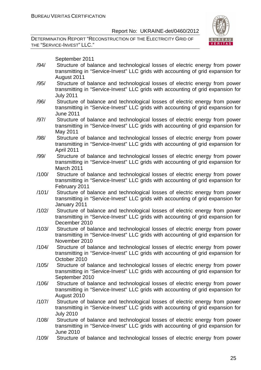DETERMINATION REPORT "RECONSTRUCTION OF THE ELECTRICITY GRID OF THE "SERVICE-INVEST" LLC."



September 2011

- /94/ Structure of balance and technological losses of electric energy from power transmitting in "Service-Invest" LLC grids with accounting of grid expansion for August 2011
- /95/ Structure of balance and technological losses of electric energy from power transmitting in "Service-Invest" LLC grids with accounting of grid expansion for July 2011
- /96/ Structure of balance and technological losses of electric energy from power transmitting in "Service-Invest" LLC grids with accounting of grid expansion for June 2011
- /97/ Structure of balance and technological losses of electric energy from power transmitting in "Service-Invest" LLC grids with accounting of grid expansion for May 2011
- /98/ Structure of balance and technological losses of electric energy from power transmitting in "Service-Invest" LLC grids with accounting of grid expansion for April 2011
- /99/ Structure of balance and technological losses of electric energy from power transmitting in "Service-Invest" LLC grids with accounting of grid expansion for March 2011
- /100/ Structure of balance and technological losses of electric energy from power transmitting in "Service-Invest" LLC grids with accounting of grid expansion for February 2011
- /101/ Structure of balance and technological losses of electric energy from power transmitting in "Service-Invest" LLC grids with accounting of grid expansion for January 2011
- /102/ Structure of balance and technological losses of electric energy from power transmitting in "Service-Invest" LLC grids with accounting of grid expansion for December 2010
- /103/ Structure of balance and technological losses of electric energy from power transmitting in "Service-Invest" LLC grids with accounting of grid expansion for November 2010
- /104/ Structure of balance and technological losses of electric energy from power transmitting in "Service-Invest" LLC grids with accounting of grid expansion for October 2010
- /105/ Structure of balance and technological losses of electric energy from power transmitting in "Service-Invest" LLC grids with accounting of grid expansion for September 2010
- /106/ Structure of balance and technological losses of electric energy from power transmitting in "Service-Invest" LLC grids with accounting of grid expansion for August 2010
- /107/ Structure of balance and technological losses of electric energy from power transmitting in "Service-Invest" LLC grids with accounting of grid expansion for July 2010
- /108/ Structure of balance and technological losses of electric energy from power transmitting in "Service-Invest" LLC grids with accounting of grid expansion for June 2010
- /109/ Structure of balance and technological losses of electric energy from power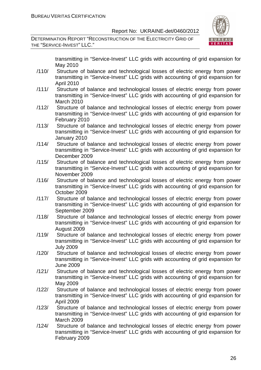DETERMINATION REPORT "RECONSTRUCTION OF THE ELECTRICITY GRID OF THE "SERVICE-INVEST" LLC."



transmitting in "Service-Invest" LLC grids with accounting of grid expansion for May 2010

- /110/ Structure of balance and technological losses of electric energy from power transmitting in "Service-Invest" LLC grids with accounting of grid expansion for April 2010
- /111/ Structure of balance and technological losses of electric energy from power transmitting in "Service-Invest" LLC grids with accounting of grid expansion for March 2010
- /112/ Structure of balance and technological losses of electric energy from power transmitting in "Service-Invest" LLC grids with accounting of grid expansion for February 2010
- /113/ Structure of balance and technological losses of electric energy from power transmitting in "Service-Invest" LLC grids with accounting of grid expansion for January 2010
- /114/ Structure of balance and technological losses of electric energy from power transmitting in "Service-Invest" LLC grids with accounting of grid expansion for December 2009
- /115/ Structure of balance and technological losses of electric energy from power transmitting in "Service-Invest" LLC grids with accounting of grid expansion for November 2009
- /116/ Structure of balance and technological losses of electric energy from power transmitting in "Service-Invest" LLC grids with accounting of grid expansion for October 2009
- /117/ Structure of balance and technological losses of electric energy from power transmitting in "Service-Invest" LLC grids with accounting of grid expansion for September 2009
- /118/ Structure of balance and technological losses of electric energy from power transmitting in "Service-Invest" LLC grids with accounting of grid expansion for August 2009
- /119/ Structure of balance and technological losses of electric energy from power transmitting in "Service-Invest" LLC grids with accounting of grid expansion for July 2009
- /120/ Structure of balance and technological losses of electric energy from power transmitting in "Service-Invest" LLC grids with accounting of grid expansion for June 2009
- /121/ Structure of balance and technological losses of electric energy from power transmitting in "Service-Invest" LLC grids with accounting of grid expansion for May 2009
- /122/ Structure of balance and technological losses of electric energy from power transmitting in "Service-Invest" LLC grids with accounting of grid expansion for April 2009
- /123/ Structure of balance and technological losses of electric energy from power transmitting in "Service-Invest" LLC grids with accounting of grid expansion for March 2009
- /124/ Structure of balance and technological losses of electric energy from power transmitting in "Service-Invest" LLC grids with accounting of grid expansion for February 2009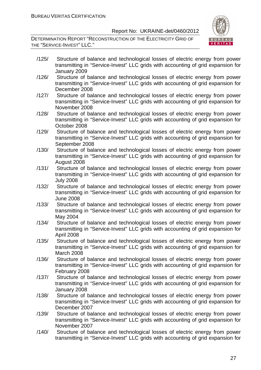

- /125/ Structure of balance and technological losses of electric energy from power transmitting in "Service-Invest" LLC grids with accounting of grid expansion for January 2009
- /126/ Structure of balance and technological losses of electric energy from power transmitting in "Service-Invest" LLC grids with accounting of grid expansion for December 2008
- /127/ Structure of balance and technological losses of electric energy from power transmitting in "Service-Invest" LLC grids with accounting of grid expansion for November 2008
- /128/ Structure of balance and technological losses of electric energy from power transmitting in "Service-Invest" LLC grids with accounting of grid expansion for October 2008
- /129/ Structure of balance and technological losses of electric energy from power transmitting in "Service-Invest" LLC grids with accounting of grid expansion for September 2008
- /130/ Structure of balance and technological losses of electric energy from power transmitting in "Service-Invest" LLC grids with accounting of grid expansion for August 2008
- /131/ Structure of balance and technological losses of electric energy from power transmitting in "Service-Invest" LLC grids with accounting of grid expansion for July 2008
- /132/ Structure of balance and technological losses of electric energy from power transmitting in "Service-Invest" LLC grids with accounting of grid expansion for June 2008
- /133/ Structure of balance and technological losses of electric energy from power transmitting in "Service-Invest" LLC grids with accounting of grid expansion for May 2004
- /134/ Structure of balance and technological losses of electric energy from power transmitting in "Service-Invest" LLC grids with accounting of grid expansion for April 2008
- /135/ Structure of balance and technological losses of electric energy from power transmitting in "Service-Invest" LLC grids with accounting of grid expansion for March 2008
- /136/ Structure of balance and technological losses of electric energy from power transmitting in "Service-Invest" LLC grids with accounting of grid expansion for February 2008
- /137/ Structure of balance and technological losses of electric energy from power transmitting in "Service-Invest" LLC grids with accounting of grid expansion for January 2008
- /138/ Structure of balance and technological losses of electric energy from power transmitting in "Service-Invest" LLC grids with accounting of grid expansion for December 2007
- /139/ Structure of balance and technological losses of electric energy from power transmitting in "Service-Invest" LLC grids with accounting of grid expansion for November 2007
- /140/ Structure of balance and technological losses of electric energy from power transmitting in "Service-Invest" LLC grids with accounting of grid expansion for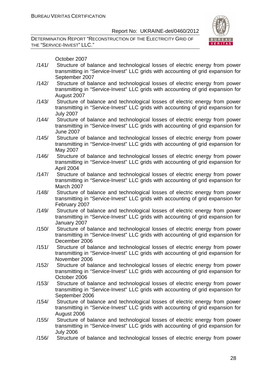DETERMINATION REPORT "RECONSTRUCTION OF THE ELECTRICITY GRID OF THE "SERVICE-INVEST" LLC."



October 2007

- /141/ Structure of balance and technological losses of electric energy from power transmitting in "Service-Invest" LLC grids with accounting of grid expansion for September 2007
- /142/ Structure of balance and technological losses of electric energy from power transmitting in "Service-Invest" LLC grids with accounting of grid expansion for August 2007
- /143/ Structure of balance and technological losses of electric energy from power transmitting in "Service-Invest" LLC grids with accounting of grid expansion for July 2007
- /144/ Structure of balance and technological losses of electric energy from power transmitting in "Service-Invest" LLC grids with accounting of grid expansion for June 2007
- /145/ Structure of balance and technological losses of electric energy from power transmitting in "Service-Invest" LLC grids with accounting of grid expansion for May 2007
- /146/ Structure of balance and technological losses of electric energy from power transmitting in "Service-Invest" LLC grids with accounting of grid expansion for April 2004
- /147/ Structure of balance and technological losses of electric energy from power transmitting in "Service-Invest" LLC grids with accounting of grid expansion for March 2007
- /148/ Structure of balance and technological losses of electric energy from power transmitting in "Service-Invest" LLC grids with accounting of grid expansion for February 2007
- /149/ Structure of balance and technological losses of electric energy from power transmitting in "Service-Invest" LLC grids with accounting of grid expansion for January 2007
- /150/ Structure of balance and technological losses of electric energy from power transmitting in "Service-Invest" LLC grids with accounting of grid expansion for December 2006
- /151/ Structure of balance and technological losses of electric energy from power transmitting in "Service-Invest" LLC grids with accounting of grid expansion for November 2006
- /152/ Structure of balance and technological losses of electric energy from power transmitting in "Service-Invest" LLC grids with accounting of grid expansion for October 2006
- /153/ Structure of balance and technological losses of electric energy from power transmitting in "Service-Invest" LLC grids with accounting of grid expansion for September 2006
- /154/ Structure of balance and technological losses of electric energy from power transmitting in "Service-Invest" LLC grids with accounting of grid expansion for August 2006
- /155/ Structure of balance and technological losses of electric energy from power transmitting in "Service-Invest" LLC grids with accounting of grid expansion for July 2006
- /156/ Structure of balance and technological losses of electric energy from power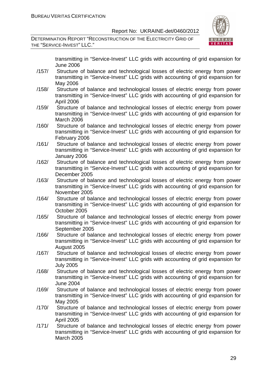DETERMINATION REPORT "RECONSTRUCTION OF THE ELECTRICITY GRID OF THE "SERVICE-INVEST" LLC."



transmitting in "Service-Invest" LLC grids with accounting of grid expansion for June 2006

- /157/ Structure of balance and technological losses of electric energy from power transmitting in "Service-Invest" LLC grids with accounting of grid expansion for May 2006
- /158/ Structure of balance and technological losses of electric energy from power transmitting in "Service-Invest" LLC grids with accounting of grid expansion for April 2006
- /159/ Structure of balance and technological losses of electric energy from power transmitting in "Service-Invest" LLC grids with accounting of grid expansion for March 2006
- /160/ Structure of balance and technological losses of electric energy from power transmitting in "Service-Invest" LLC grids with accounting of grid expansion for February 2006
- /161/ Structure of balance and technological losses of electric energy from power transmitting in "Service-Invest" LLC grids with accounting of grid expansion for January 2006
- /162/ Structure of balance and technological losses of electric energy from power transmitting in "Service-Invest" LLC grids with accounting of grid expansion for December 2005
- /163/ Structure of balance and technological losses of electric energy from power transmitting in "Service-Invest" LLC grids with accounting of grid expansion for November 2005
- /164/ Structure of balance and technological losses of electric energy from power transmitting in "Service-Invest" LLC grids with accounting of grid expansion for October 2005
- /165/ Structure of balance and technological losses of electric energy from power transmitting in "Service-Invest" LLC grids with accounting of grid expansion for September 2005
- /166/ Structure of balance and technological losses of electric energy from power transmitting in "Service-Invest" LLC grids with accounting of grid expansion for August 2005
- /167/ Structure of balance and technological losses of electric energy from power transmitting in "Service-Invest" LLC grids with accounting of grid expansion for July 2005
- /168/ Structure of balance and technological losses of electric energy from power transmitting in "Service-Invest" LLC grids with accounting of grid expansion for June 2004
- /169/ Structure of balance and technological losses of electric energy from power transmitting in "Service-Invest" LLC grids with accounting of grid expansion for May 2005
- /170/ Structure of balance and technological losses of electric energy from power transmitting in "Service-Invest" LLC grids with accounting of grid expansion for April 2005
- /171/ Structure of balance and technological losses of electric energy from power transmitting in "Service-Invest" LLC grids with accounting of grid expansion for March 2005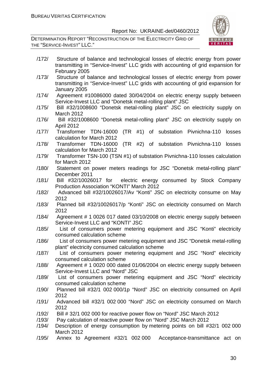

- /172/ Structure of balance and technological losses of electric energy from power transmitting in "Service-Invest" LLC grids with accounting of grid expansion for February 2005
- /173/ Structure of balance and technological losses of electric energy from power transmitting in "Service-Invest" LLC grids with accounting of grid expansion for January 2005
- /174/ Agreement #10086000 dated 30/04/2004 on electric energy supply between Service-Invest LLC and "Donetsk metal-rolling plant" JSC
- /175/ Bill #32/1008600 "Donetsk metal-rolling plant" JSC on electricity supply on March 2012
- /176/ Bill #32/1008600 "Donetsk metal-rolling plant" JSC on electricity supply on April 2012
- /177/ Transformer TDN-16000 (TR #1) of substation Pivnichna-110 losses calculation for March 2012
- /178/ Transformer TDN-16000 (TR #2) of substation Pivnichna-110 losses calculation for March 2012
- /179/ Transformer TSN-100 (TSN #1) of substation Pivnichna-110 losses calculation for March 2012
- /180/ Statement on power meters readings for JSC "Donetsk metal-rolling plant" December 2011
- /181/ Bill #32/10026017 for electric energy consumed by Stock Company Production Association "KONTI" March 2012
- /182/ Advanced bill #32/10026017/Av "Konti" JSC on electricity consume on May 2012
- /183/ Planned bill #32/10026017/p "Konti" JSC on electricity consumed on March 2012
- /184/ Agreement # 1 0026 017 dated 03/10/2008 on electric energy supply between Service-Invest LLC and "KONTI" JSC
- /185/ List of consumers power metering equipment and JSC "Konti" electricity consumed calculation scheme
- /186/ List of consumers power metering equipment and JSC "Donetsk metal-rolling plant" electricity consumed calculation scheme
- /187/ List of consumers power metering equipment and JSC "Nord" electricity consumed calculation scheme
- /188/ Agreement # 1 0020 000 dated 01/06/2004 on electric energy supply between Service-Invest LLC and "Nord" JSC
- /189/ List of consumers power metering equipment and JSC "Nord" electricity consumed calculation scheme
- /190/ Planned bill #32/1 002 000/1p "Nord" JSC on electricity consumed on April 2012
- /191/ Advanced bill #32/1 002 000 "Nord" JSC on electricity consumed on March 2012
- /192/ Bill # 32/1 002 000 for reactive power flow on "Nord" JSC March 2012
- /193/ Pay calculation of reactive power flow on "Nord" JSC March 2012
- /194/ Description of energy consumption by metering points on bill #32/1 002 000 March 2012
- /195/ Annex to Agreement #32/1 002 000 Acceptance-transmittance act on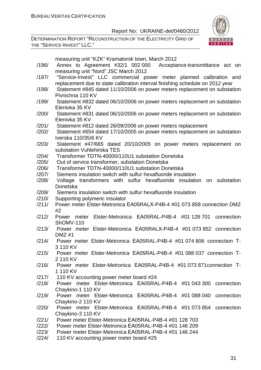

|       | measuring unit "KZK" Kramatorsk town, March 2012                              |
|-------|-------------------------------------------------------------------------------|
| /196/ | Annex to Agreement #32/1 002 000 Acceptance-transmittance act on              |
|       | measuring unit "Nord" JSC March 2012                                          |
| /197/ | "Service-Invest" LLC commercial power meter planned calibration and           |
|       | replacement due to state calibration interval finishing schedule on 2012 year |
| /198/ | Statement #845 dated 11/10/2006 on power meters replacement on substation     |
|       | Pivnichna 110 KV                                                              |
| /199/ | Statement #832 dated 06/10/2006 on power meters replacement on substation     |
|       | Elenivka 35 KV                                                                |
| /200/ | Statement #831 dated 06/10/2006 on power meters replacement on substation     |
|       | Elenivka 35 KV                                                                |
| /201/ | Statement #812 dated 26/09/2006 on power meters replacement                   |
| /202/ | Statement #654 dated 17/10/2005 on power meters replacement on substation     |
|       | Iverska 110/35/6 KV                                                           |
| /203/ | Statement #47/665 dated 20/10/2005 on power meters replacement on             |
|       | substation Vuhlehirska TES                                                    |
| /204/ | Transformer TDTN-40000/110U1 substation Donetska                              |
| /205/ | Out of service transformer, substation Donetska                               |
| /206/ | Transformer TDTN-40000/110U1 substation Donetska                              |
| /207/ | Siemens insulation switch with sulfur hexafluoride insulation                 |
| /208/ | Voltage transformers with sulfur hexafluoride insulation<br>on substation     |
|       | Donetska                                                                      |
| /209/ | Siemens insulation switch with sulfur hexafluoride insulation                 |
| /210/ | Supporting polymeric insulator                                                |
| /211/ | Power meter Elster-Metronica EA05RALX-P4B-4 #01 073 858 connection DMZ        |
|       | #2                                                                            |
| /212/ | Elster-Metronica EA05RAL-P4B-4 #01 128 701<br>connection<br>Power meter       |
|       | ShOMV-110                                                                     |
| /213/ | Power meter Elster-Metronica EA05RALX-P4B-4 #01 073 852 connection            |
|       | $DMZ$ #1                                                                      |
| /214/ | Power meter Elster-Metronica EA05RAL-P4B-4 #01 074 806 connection T-          |
|       | 3 110 KV                                                                      |
| /215/ | Power meter Elster-Metronica EA05RAL-P4B-4 #01 088 037 connection T-          |
|       | 2 110 KV                                                                      |
| /216/ | Power meter Elster-Metronica EA05RAL-P4B-4 #01 073 871 connection T-          |
|       | 1 110 KV                                                                      |
| /217/ | 110 KV accounting power meter board #24                                       |
| /218/ | Power meter Elster-Metronica EA05RAL-P4B-4 #01 043 300 connection             |
|       | Chaykino-1 110 KV                                                             |
| /219/ | Power meter Elster-Metronica EA05RAL-P4B-4 #01 088 040 connection             |
|       | Chaykino-2 110 KV                                                             |
| /220/ | Power meter Elster-Metronica EA05RAL-P4B-4 #01 073 854 connection             |
|       | Chaykino-3 110 KV                                                             |
| /221/ | Power meter Elster-Metronica EA05RAL-P4B-4 #01 128 703                        |
| /222/ | Power meter Elster-Metronica EA05RAL-P4B-4 #01 146 209                        |
| /223/ | Power meter Elster-Metronica EA05RAL-P4B-4 #01 146 244                        |
| /224/ | 110 KV accounting power meter board #25                                       |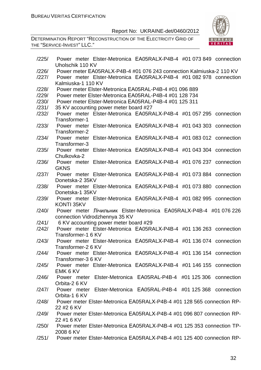

| /225/ | Power meter Elster-Metronica EA05RALX-P4B-4 #01 073 849 connection     |
|-------|------------------------------------------------------------------------|
|       | Uholschik 110 KV                                                       |
| /226/ | Power meter EA05RALX-P4B-4 #01 076 243 connection Kalmiuska-2 110 KV   |
| /227/ | Power meter Elster-Metronica EA05RALX-P4B-4 #01 082 978 connection     |
|       | Kalmiuska-1 110 KV                                                     |
| /228/ | Power meter Elster-Metronica EA05RAL-P4B-4 #01 096 889                 |
| /229/ | Power meter Elster-Metronica EA05RAL-P4B-4 #01 128 734                 |
| /230/ | Power meter Elster-Metronica EA05RAL-P4B-4 #01 125 311                 |
| /231/ | 35 KV accounting power meter board #27                                 |
| /232/ | Power meter Elster-Metronica EA05RALX-P4B-4 #01 057 295 connection     |
|       | Transformer-1                                                          |
| /233/ | Power meter Elster-Metronica EA05RALX-P4B-4 #01 043 303 connection     |
|       | Transformer-2                                                          |
| /234/ | Elster-Metronica EA05RALX-P4B-4 #01 083 012 connection<br>Power meter  |
|       | Transformer-3                                                          |
| /235/ | Power meter Elster-Metronica EA05RALX-P4B-4 #01 043 304 connection     |
|       | Chulkovka-2                                                            |
| /236/ | Power meter Elster-Metronica EA05RALX-P4B-4 #01 076 237 connection     |
|       | <b>GKNS</b>                                                            |
| /237/ | Power meter Elster-Metronica EA05RALX-P4B-4 #01 073 884 connection     |
|       | Donetska-2 35KV                                                        |
| /238/ | Power meter Elster-Metronica EA05RALX-P4B-4 #01 073 880 connection     |
|       | Donetska-1 35KV                                                        |
| /239/ | Power meter Elster-Metronica EA05RALX-P4B-4 #01 082 995 connection     |
|       | KONTI 35KV                                                             |
| /240/ | Power meter Лічильник Elster-Metronica EA05RALX-P4B-4 #01 076 226      |
|       | connection Vidrodzhennya 35 KV                                         |
| /241/ | 6 KV accounting power meter board #29                                  |
| /242/ | Power meter Elster-Metronica EA05RALX-P4B-4 #01 136 263 connection     |
|       | Transformer-1 6 KV                                                     |
| /243/ | Power meter Elster-Metronica EA05RALX-P4B-4 #01 136 074 connection     |
|       | Transformer-2 6 KV                                                     |
| /244/ | Power meter Elster-Metronica EA05RALX-P4B-4 #01 136 154 connection     |
|       | Transformer-3 6 KV                                                     |
| /245/ | Power meter Elster-Metronica EA05RALX-P4B-4 #01 146 155 connection     |
|       | EMK 6 KV                                                               |
| /246/ | Power meter Elster-Metronica EA05RAL-P4B-4 #01 125 306 connection      |
|       | Orbita-2 6 KV                                                          |
| /247/ | Power meter Elster-Metronica EA05RAL-P4B-4 #01 125 368 connection      |
|       | Orbita-1 6 KV                                                          |
| /248/ | Power meter Elster-Metronica EA05RALX-P4B-4 #01 128 565 connection RP- |
|       | 22 #2 6 KV                                                             |
| /249/ | Power meter Elster-Metronica EA05RALX-P4B-4 #01 096 807 connection RP- |
|       | 22 #1 6 KV                                                             |
| /250/ | Power meter Elster-Metronica EA05RALX-P4B-4 #01 125 353 connection TP- |
|       | 2008 6 KV                                                              |
| /251/ | Power meter Elster-Metronica EA05RALX-P4B-4 #01 125 400 connection RP- |
|       |                                                                        |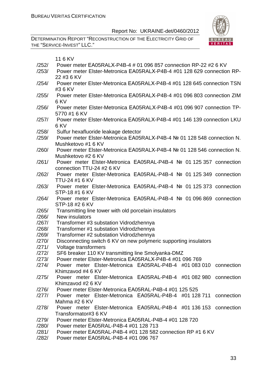DETERMINATION REPORT "RECONSTRUCTION OF THE ELECTRICITY GRID OF THE "SERVICE-INVEST" LLC."



11 6 KV

- /252/ Power meter ЕА05RALХ-P4B-4 # 01 096 857 connection RP-22 #2 6 KV
- /253/ Power meter Elster-Metronica ЕА05RALХ-P4B-4 #01 128 629 connection RP-22 #3 6 KV
- /254/ Power meter Elster-Metronica ЕА05RALХ-P4B-4 #01 128 645 connection TSN #3 6 KV
- /255/ Power meter Elster-Metronica ЕА05RALХ-P4B-4 #01 096 803 connection ZIM 6 KV
- /256/ Power meter Elster-Metronica ЕА05RALХ-P4B-4 #01 096 907 connection TP-5770 #1 6 KV
- /257/ Power meter Elster-Metronica ЕА05RALХ-P4B-4 #01 146 139 connection LKU 6 KV
- /258/ Sulfur hexafluoride leakage detector
- /259/ Power meter Elster-Metronica ЕА05RALХ-P4B-4 № 01 128 548 connection N. Mushketovo #1 6 KV
- /260/ Power meter Elster-Metronica ЕА05RALХ-P4B-4 № 01 128 546 connection N. Mushketovo #2 6 KV
- /261/ Power meter Elster-Metronica ЕА05RAL-P4B-4 № 01 125 357 connection connection TTU-24 #2 6 KV
- /262/ Power meter Elster-Metronica ЕА05RAL-P4B-4 № 01 125 349 connection TTU-24 #1 6 KV
- /263/ Power meter Elster-Metronica ЕА05RAL-P4B-4 № 01 125 373 connection STP-18 #1 6 KV
- /264/ Power meter Elster-Metronica ЕА05RAL-P4B-4 № 01 096 869 connection STP-18 #2 6 KV
- /265/ Transmitting line tower with old porcelain insulators
- /266/ New insulators
- /267/ Transformer #3 substation Vidrodzhennya
- /268/ Transformer #1 substation Vidrodzhennya
- /269/ Transformer #2 substation Vidrodzhennya
- /270/ Disconnecting switch 6 KV on new polymeric supporting insulators
- /271/ Voltage transformers
- /272/ SF6 breaker 110 KV transmitting line Smolyanka-DMZ
- /273/ Power meter Elster-Metronica ЕА05RALХ-P4B-4 #01 096 769
- /274/ Power meter Elster-Metronica ЕА05RAL-P4B-4 #01 083 010 connection Khimzavod #4 6 KV
- /275/ Power meter Elster-Metronica ЕА05RAL-P4B-4 #01 082 980 connection Khimzavod #2 6 KV
- /276/ Power meter Elster-Metronica ЕА05RAL-P4B-4 #01 125 525
- /277/ Power meter Elster-Metronica ЕА05RAL-P4B-4 #01 128 711 connection Mahma #2 6 KV
- /278/ Power meter Elster-Metronica ЕА05RAL-P4B-4 #01 136 153 connection Transformator#3 6 KV
- /279/ Power meter Elster-Metronica ЕА05RAL-P4B-4 #01 128 720
- /280/ Power meter ЕА05RAL-P4B-4 #01 128 713
- /281/ Power meter ЕА05RAL-P4B-4 #01 128 582 connection RP #1 6 KV
- /282/ Power meter ЕА05RAL-P4B-4 #01 096 767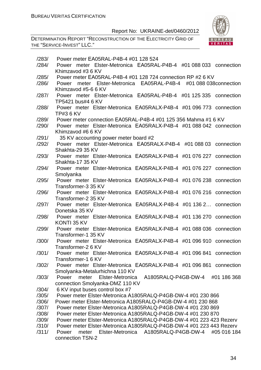

| /283/ | Power meter EA05RAL-P4B-4 #01 128 524                                                   |
|-------|-----------------------------------------------------------------------------------------|
| /284/ | Power meter Elster-Metronica EA05RAL-P4B-4 #01 088 033 connection                       |
|       | Khimzavod #3 6 KV                                                                       |
| /285/ | Power meter EA05RAL-P4B-4 #01 128 724 connection RP #2 6 KV                             |
| /286/ | Power meter Elster-Metronica EA05RAL-P4B-4 #01 088 038 connection                       |
|       | Khimzavod #5-6 6 KV                                                                     |
| /287/ | Power meter Elster-Metronica EA05RAL-P4B-4 #01 125 335 connection                       |
|       | TP5421 bus#4 6 KV                                                                       |
| /288/ | Power meter Elster-Metronica EA05RALX-P4B-4 #01 096 773 connection                      |
|       | <b>TP#3 6 KV</b>                                                                        |
| /289/ | Power meter connection EA05RAL-P4B-4 #01 125 356 Mahma #1 6 KV                          |
| /290/ | Power meter Elster-Metronica EA05RALX-P4B-4 #01 088 042 connection                      |
|       | Khimzavod #6 6 KV                                                                       |
| /291/ | 35 KV accounting power meter board #2                                                   |
| /292/ | Power meter Elster-Metronica EA05RALX-P4B-4 #01 088 03 connection                       |
|       | Shakhta-29 35 KV                                                                        |
| /293/ | Power meter Elster-Metronica EA05RALX-P4B-4 #01 076 227 connection                      |
|       | Shakhta-17 35 KV                                                                        |
| /294/ | Power meter Elster-Metronica EA05RALX-P4B-4 #01 076 227 connection                      |
|       | Smolyanka                                                                               |
| /295/ | Power meter Elster-Metronica EA05RALX-P4B-4 #01 076 238 connection                      |
|       | Transformer-3 35 KV                                                                     |
| /296/ | Power meter Elster-Metronica EA05RALX-P4B-4 #01 076 216 connection                      |
| /297/ | Transformer-2 35 KV<br>Power meter Elster-Metronica EA05RALX-P4B-4 #01 136 2 connection |
|       | Donetska 35 KV                                                                          |
| /298/ | Power meter Elster-Metronica EA05RALX-P4B-4 #01 136 270 connection                      |
|       | KONTI 35 KV                                                                             |
| /299/ | Power meter Elster-Metronica EA05RALX-P4B-4 #01 088 036 connection                      |
|       | Transformer-1 35 KV                                                                     |
| /300/ | Power meter Elster-Metronica EA05RALX-P4B-4 #01 096 910 connection                      |
|       | Transformer-2 6 KV                                                                      |
| /301/ | Power meter Elster-Metronica EA05RALX-P4B-4 #01 096 841 connection                      |
|       | Transformer-1 6 KV                                                                      |
| /302/ | Power meter Elster-Metronica EA05RALX-P4B-4 #01 096 861<br>connection                   |
|       | Smolyanka-Metalurhichna 110 KV                                                          |
| /303/ | Power<br>meter<br>Elster-Metronica<br>A1805RALQ-P4GB-DW-4<br>#01 186 368                |
|       | connection Smolyanka-DMZ 110 KV                                                         |
| /304/ | 6 KV input buses control box #7                                                         |
| /305/ | Power meter Elster-Metronica A1805RALQ-P4GB-DW-4 #01 230 866                            |
| /306/ | Power meter Elster-Metronica A1805RALQ-P4GB-DW-4 #01 230 868                            |
| /307/ | Power meter Elster-Metronica A1805RALQ-P4GB-DW-4 #01 230 869                            |
| /308/ | Power meter Elster-Metronica A1805RALQ-P4GB-DW-4 #01 230 870                            |
| /309/ | Power meter Elster-Metronica A1805RALQ-P4GB-DW-4 #01 223 423 Rezerv                     |
| /310/ | Power meter Elster-Metronica A1805RALQ-P4GB-DW-4 #01 223 443 Rezerv                     |
| /311/ | Elster-Metronica A1805RALQ-P4GB-DW-4<br>#05 016 184<br>meter<br>Power                   |
|       | connection TSN-2                                                                        |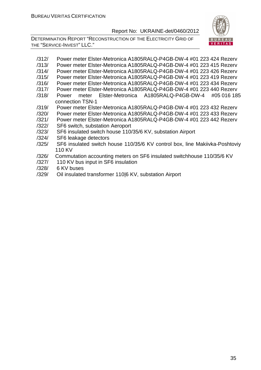

- /312/ Power meter Elster-Metronica А1805RALQ-P4GB-DW-4 #01 223 424 Rezerv /313/ Power meter Elster-Metronica А1805RALQ-P4GB-DW-4 #01 223 415 Rezerv
- /314/ Power meter Elster-Metronica А1805RALQ-P4GB-DW-4 #01 223 426 Rezerv
- /315/ Power meter Elster-Metronica А1805RALQ-P4GB-DW-4 #01 223 419 Rezerv
- /316/ Power meter Elster-Metronica А1805RALQ-P4GB-DW-4 #01 223 434 Rezerv
- /317/ Power meter Elster-Metronica А1805RALQ-P4GB-DW-4 #01 223 440 Rezerv
- /318/ Power meter Elster-Metronica А1805RALQ-P4GB-DW-4 #05 016 185 connection TSN-1
- /319/ Power meter Elster-Metronica А1805RALQ-P4GB-DW-4 #01 223 432 Rezerv
- /320/ Power meter Elster-Metronica А1805RALQ-P4GB-DW-4 #01 223 433 Rezerv
- /321/ Power meter Elster-Metronica А1805RALQ-P4GB-DW-4 #01 223 442 Rezerv
- /322/ SF6 switch, substation Aeroport
- /323/ SF6 insulated switch house 110/35/6 KV, substation Airport
- /324/ SF6 leakage detectors
- /325/ SF6 insulated switch house 110/35/6 KV control box, line Makiivka-Poshtoviy 110 KV
- /326/ Commutation accounting meters on SF6 insulated switchhouse 110/35/6 KV
- /327/ 110 KV bus input in SF6 insulation
- /328/ 6 KV buses
- /329/ Oil insulated transformer 110|6 KV, substation Airport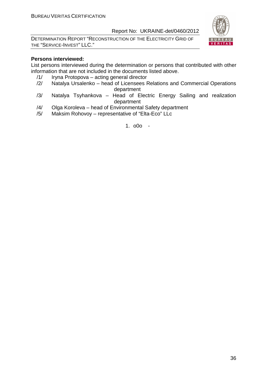DETERMINATION REPORT "RECONSTRUCTION OF THE ELECTRICITY GRID OF THE "SERVICE-INVEST" LLC."



## **Persons interviewed:**

List persons interviewed during the determination or persons that contributed with other information that are not included in the documents listed above.

- /1/ Iryna Protopova acting general director
- /2/ Natalya Ursalenko head of Licensees Relations and Commercial Operations department
- /3/ Natalya Tsyhankova Head of Electric Energy Sailing and realization department
- /4/ Olga Koroleva head of Environmental Safety department
- /5/ Maksim Rohovoy representative of "Elta-Eco" LLc

1. o0o -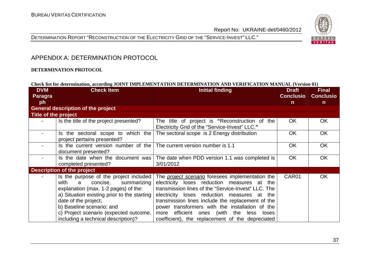DETERMINATION REPORT "RECONSTRUCTION OF THE ELECTRICITY GRID OF THE "SERVICE-INVEST" LLC."



# APPENDIX A: DETERMINATION PROTOCOL

#### **DETERMINATION PROTOCOL**

|                             | Check list for determination, according JOINT IMPLEMENTATION DETERMINATION AND VERIFICATION MANUAL (Version 01)                                                                                                                                                                                             |                                                                                                                                                                                                                                                                                                                                                                                                                            |                  |                  |  |
|-----------------------------|-------------------------------------------------------------------------------------------------------------------------------------------------------------------------------------------------------------------------------------------------------------------------------------------------------------|----------------------------------------------------------------------------------------------------------------------------------------------------------------------------------------------------------------------------------------------------------------------------------------------------------------------------------------------------------------------------------------------------------------------------|------------------|------------------|--|
| <b>DVM</b>                  | <b>Check Item</b>                                                                                                                                                                                                                                                                                           | Initial finding                                                                                                                                                                                                                                                                                                                                                                                                            | <b>Draft</b>     | <b>Final</b>     |  |
| <b>Paragra</b>              |                                                                                                                                                                                                                                                                                                             |                                                                                                                                                                                                                                                                                                                                                                                                                            | <b>Conclusio</b> | <b>Conclusio</b> |  |
| ph                          |                                                                                                                                                                                                                                                                                                             |                                                                                                                                                                                                                                                                                                                                                                                                                            | $\mathsf{n}$     | $\mathsf{n}$     |  |
|                             | <b>General description of the project</b>                                                                                                                                                                                                                                                                   |                                                                                                                                                                                                                                                                                                                                                                                                                            |                  |                  |  |
| <b>Title of the project</b> |                                                                                                                                                                                                                                                                                                             |                                                                                                                                                                                                                                                                                                                                                                                                                            |                  |                  |  |
|                             | Is the title of the project presented?                                                                                                                                                                                                                                                                      | The title of project is "Reconstruction of the<br>Electricity Grid of the "Service-Invest" LLC."                                                                                                                                                                                                                                                                                                                           | <b>OK</b>        | <b>OK</b>        |  |
|                             | Is the sectoral scope to which the<br>project pertains presented?                                                                                                                                                                                                                                           | The sectoral scope is 2 Energy distribution                                                                                                                                                                                                                                                                                                                                                                                | <b>OK</b>        | <b>OK</b>        |  |
|                             | Is the current version number of the<br>document presented?                                                                                                                                                                                                                                                 | The current version number is 1.1                                                                                                                                                                                                                                                                                                                                                                                          | <b>OK</b>        | <b>OK</b>        |  |
|                             | Is the date when the document was<br>completed presented?                                                                                                                                                                                                                                                   | The date when PDD version 1.1 was completed is<br>3/01/2012                                                                                                                                                                                                                                                                                                                                                                | <b>OK</b>        | <b>OK</b>        |  |
|                             | <b>Description of the project</b>                                                                                                                                                                                                                                                                           |                                                                                                                                                                                                                                                                                                                                                                                                                            |                  |                  |  |
|                             | Is the purpose of the project included<br>concise,<br>with<br>a<br>summarizing<br>explanation (max. 1-2 pages) of the:<br>a) Situation existing prior to the starting<br>date of the project;<br>b) Baseline scenario; and<br>c) Project scenario (expected outcome,<br>including a technical description)? | The <i>project scenario</i> foresees implementation the<br>electricity loses reduction measures at the<br>transmission lines of the "Service-Invest" LLC. The<br>electricity loses reduction measures at the<br>transmission lines include the replacement of the<br>power transformers with the installation of the<br>more efficient<br>ones (with the less<br>loses<br>coefficient), the replacement of the depreciated | CAR01            | <b>OK</b>        |  |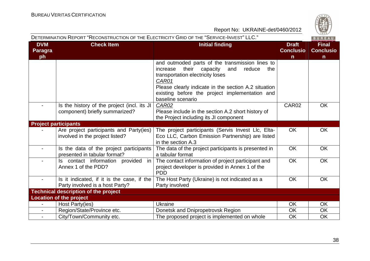

|                                    | DETERMINATION REPORT "RECONSTRUCTION OF THE ELECTRICITY GRID OF THE "SERVICE-INVEST" LLC."<br>BUREAU |                                                                                                                                                                                                                                                                                      |                                                  |                                                  |  |
|------------------------------------|------------------------------------------------------------------------------------------------------|--------------------------------------------------------------------------------------------------------------------------------------------------------------------------------------------------------------------------------------------------------------------------------------|--------------------------------------------------|--------------------------------------------------|--|
| <b>DVM</b><br><b>Paragra</b><br>ph | <b>Check Item</b>                                                                                    | <b>Initial finding</b>                                                                                                                                                                                                                                                               | <b>Draft</b><br><b>Conclusio</b><br>$\mathsf{n}$ | <b>Final</b><br><b>Conclusio</b><br>$\mathsf{n}$ |  |
|                                    |                                                                                                      | and outmoded parts of the transmission lines to<br>their<br>capacity<br>increase<br>and<br>reduce<br>the<br>transportation electricity loses<br>CAR01<br>Please clearly indicate in the section A.2 situation<br>existing before the project implementation and<br>baseline scenario |                                                  |                                                  |  |
|                                    | Is the history of the project (incl. its JI<br>component) briefly summarized?                        | CAR02<br>Please include in the section A.2 short history of<br>the Project including its JI component                                                                                                                                                                                | CAR02                                            | OK                                               |  |
| <b>Project participants</b>        |                                                                                                      |                                                                                                                                                                                                                                                                                      |                                                  |                                                  |  |
|                                    | Are project participants and Party(ies)<br>involved in the project listed?                           | The project participants (Servis Invest Llc, Elta-<br>Eco LLC, Carbon Emission Partnership) are listed<br>in the section A.3                                                                                                                                                         | <b>OK</b>                                        | <b>OK</b>                                        |  |
| $\blacksquare$                     | Is the data of the project participants<br>presented in tabular format?                              | The data of the project participants is presented in<br>a tabular format                                                                                                                                                                                                             | <b>OK</b>                                        | <b>OK</b>                                        |  |
|                                    | Is contact information provided in<br>Annex 1 of the PDD?                                            | The contact information of project participant and<br>project developer is provided in Annex 1 of the<br><b>PDD</b>                                                                                                                                                                  | <b>OK</b>                                        | <b>OK</b>                                        |  |
|                                    | Is it indicated, if it is the case, if the<br>Party involved is a host Party?                        | The Host Party (Ukraine) is not indicated as a<br>Party involved                                                                                                                                                                                                                     | <b>OK</b>                                        | <b>OK</b>                                        |  |
|                                    | <b>Technical description of the project</b>                                                          |                                                                                                                                                                                                                                                                                      |                                                  |                                                  |  |
|                                    | <b>Location of the project</b>                                                                       |                                                                                                                                                                                                                                                                                      |                                                  |                                                  |  |
|                                    | Host Party(ies)                                                                                      | Ukraine                                                                                                                                                                                                                                                                              | <b>OK</b>                                        | <b>OK</b>                                        |  |
|                                    | Region/State/Province etc.                                                                           | Donetsk and Dnipropetrovsk Region                                                                                                                                                                                                                                                    | OK                                               | OK                                               |  |
| $\blacksquare$                     | City/Town/Community etc.                                                                             | The proposed project is implemented on whole                                                                                                                                                                                                                                         | <b>OK</b>                                        | OK                                               |  |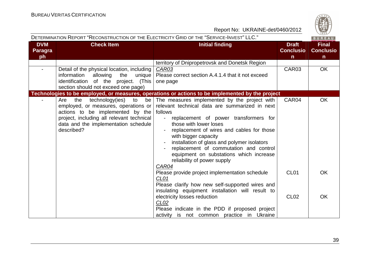

| DETERMINATION REPORT "RECONSTRUCTION OF THE ELECTRICITY GRID OF THE "SERVICE-INVEST" LLC." |                                                                                                                                                                                                                           |                                                                                                                                                                                                                                                                                                                                                                                                                                                   | BUREAU                                           |                                                  |
|--------------------------------------------------------------------------------------------|---------------------------------------------------------------------------------------------------------------------------------------------------------------------------------------------------------------------------|---------------------------------------------------------------------------------------------------------------------------------------------------------------------------------------------------------------------------------------------------------------------------------------------------------------------------------------------------------------------------------------------------------------------------------------------------|--------------------------------------------------|--------------------------------------------------|
| <b>DVM</b><br>Paragra<br>ph                                                                | <b>Check Item</b>                                                                                                                                                                                                         | <b>Initial finding</b>                                                                                                                                                                                                                                                                                                                                                                                                                            | <b>Draft</b><br><b>Conclusio</b><br>$\mathsf{n}$ | <b>Final</b><br><b>Conclusio</b><br>$\mathsf{n}$ |
|                                                                                            |                                                                                                                                                                                                                           | territory of Dnipropetrovsk and Donetsk Region                                                                                                                                                                                                                                                                                                                                                                                                    |                                                  |                                                  |
|                                                                                            | Detail of the physical location, including<br>identification of the project. (This<br>section should not exceed one page)                                                                                                 | CAR03<br>information allowing the unique   Please correct section A.4.1.4 that it not exceed<br>one page                                                                                                                                                                                                                                                                                                                                          | CAR03                                            | <b>OK</b>                                        |
|                                                                                            |                                                                                                                                                                                                                           | Technologies to be employed, or measures, operations or actions to be implemented by the project                                                                                                                                                                                                                                                                                                                                                  |                                                  |                                                  |
|                                                                                            | Are the technology(ies) to<br>employed, or measures, operations or<br>actions to be implemented by the $\vert$ follows<br>project, including all relevant technical<br>data and the implementation schedule<br>described? | be The measures implemented by the project with<br>relevant technical data are summarized in next<br>replacement of power transformers for<br>$\overline{\phantom{a}}$<br>those with lower loses<br>replacement of wires and cables for those<br>with bigger capacity<br>installation of glass and polymer isolators<br>replacement of commutation and control<br>equipment on substations which increase<br>reliability of power supply<br>CAR04 | CAR04                                            | OK                                               |
|                                                                                            |                                                                                                                                                                                                                           | Please provide project implementation schedule<br>CL <sub>01</sub><br>Please clarify how new self-supported wires and<br>insulating equipment installation will result to                                                                                                                                                                                                                                                                         | CL <sub>01</sub>                                 | <b>OK</b>                                        |
|                                                                                            |                                                                                                                                                                                                                           | electricity losses reduction<br>CL <sub>02</sub><br>Please indicate in the PDD if proposed project<br>activity is not common practice in Ukraine                                                                                                                                                                                                                                                                                                  | <b>CL02</b>                                      | <b>OK</b>                                        |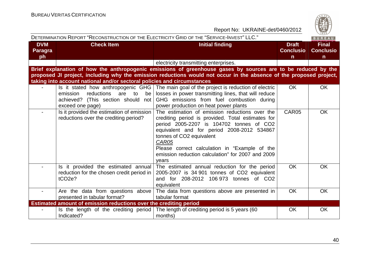

|                                    | DETERMINATION REPORT "RECONSTRUCTION OF THE ELECTRICITY GRID OF THE "SERVICE-INVEST" LLC."    |                                                                                                                                                                                                                                                                                                                                                          |                                                  | BUREAU                                          |
|------------------------------------|-----------------------------------------------------------------------------------------------|----------------------------------------------------------------------------------------------------------------------------------------------------------------------------------------------------------------------------------------------------------------------------------------------------------------------------------------------------------|--------------------------------------------------|-------------------------------------------------|
| <b>DVM</b><br><b>Paragra</b><br>ph | <b>Check Item</b>                                                                             | <b>Initial finding</b>                                                                                                                                                                                                                                                                                                                                   | <b>Draft</b><br><b>Conclusio</b><br>$\mathsf{n}$ | <b>Final</b><br><b>Conclusio</b><br>$\mathbf n$ |
|                                    |                                                                                               | electricity transmitting enterprises.                                                                                                                                                                                                                                                                                                                    |                                                  |                                                 |
|                                    |                                                                                               | Brief explanation of how the anthropogenic emissions of greenhouse gases by sources are to be reduced by the                                                                                                                                                                                                                                             |                                                  |                                                 |
|                                    |                                                                                               | proposed JI project, including why the emission reductions would not occur in the absence of the proposed project,                                                                                                                                                                                                                                       |                                                  |                                                 |
|                                    | taking into account national and/or sectoral policies and circumstances                       |                                                                                                                                                                                                                                                                                                                                                          |                                                  |                                                 |
|                                    | emission<br>reductions are to<br>be<br>achieved? (This section should not<br>exceed one page) | Is it stated how anthropogenic GHG The main goal of the project is reduction of electric<br>losses in power transmitting lines, that will reduce<br>GHG emissions from fuel combustion during<br>power production on heat power plants                                                                                                                   | OK                                               | OK.                                             |
|                                    | Is it provided the estimation of emission<br>reductions over the crediting period?            | The estimation of emission reductions over the<br>crediting period is provided. Total estimates for<br>period 2005-2207 is 104702 tonnes of CO2<br>equivalent and for period 2008-2012 534867<br>tonnes of CO2 equivalent<br><b>CAR05</b><br>Please correct calculation in "Example of the<br>emission reduction calculation" for 2007 and 2009<br>vears | CAR05                                            | <b>OK</b>                                       |
|                                    | reduction for the chosen credit period in  <br>tCO <sub>2</sub> e?                            | Is it provided the estimated annual The estimated annual reduction for the period<br>2005-2007 is 34 901 tonnes of CO2 equivalent<br>and for 208-2012 106 973 tonnes of CO2<br>equivalent                                                                                                                                                                | <b>OK</b>                                        | <b>OK</b>                                       |
|                                    | Are the data from questions above<br>presented in tabular format?                             | The data from questions above are presented in<br>tabular format                                                                                                                                                                                                                                                                                         | <b>OK</b>                                        | <b>OK</b>                                       |
|                                    | Estimated amount of emission reductions over the crediting period                             |                                                                                                                                                                                                                                                                                                                                                          |                                                  |                                                 |
|                                    | Indicated?                                                                                    | Is the length of the crediting period The length of crediting period is 5 years (60)<br>months)                                                                                                                                                                                                                                                          | <b>OK</b>                                        | <b>OK</b>                                       |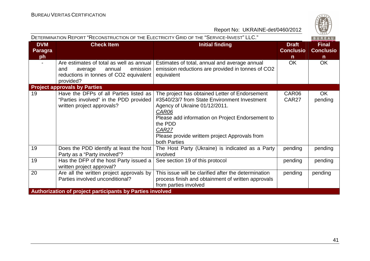

| DETERMINATION REPORT "RECONSTRUCTION OF THE ELECTRICITY GRID OF THE "SERVICE-INVEST" LLC."<br>BUREAU |                                                                                                                                         |                                                                                                                                                                                                                                                                                               |                                                  |                                                  |
|------------------------------------------------------------------------------------------------------|-----------------------------------------------------------------------------------------------------------------------------------------|-----------------------------------------------------------------------------------------------------------------------------------------------------------------------------------------------------------------------------------------------------------------------------------------------|--------------------------------------------------|--------------------------------------------------|
| <b>DVM</b><br><b>Paragra</b><br>ph                                                                   | <b>Check Item</b>                                                                                                                       | <b>Initial finding</b>                                                                                                                                                                                                                                                                        | <b>Draft</b><br><b>Conclusio</b><br>$\mathsf{n}$ | <b>Final</b><br><b>Conclusio</b><br>$\mathsf{n}$ |
|                                                                                                      | Are estimates of total as well as annual<br>emission<br>and<br>annual<br>average<br>reductions in tonnes of CO2 equivalent<br>provided? | Estimates of total, annual and average annual<br>emission reductions are provided in tonnes of CO2<br>equivalent                                                                                                                                                                              | <b>OK</b>                                        | <b>OK</b>                                        |
|                                                                                                      | <b>Project approvals by Parties</b>                                                                                                     |                                                                                                                                                                                                                                                                                               |                                                  |                                                  |
| 19                                                                                                   | Have the DFPs of all Parties listed as<br>"Parties involved" in the PDD provided<br>written project approvals?                          | The project has obtained Letter of Endorsement<br>#3540/23/7 from State Environment Investment<br>Agency of Ukraine 01/12/2011.<br>CAR06<br>Please add information on Project Endorsement to<br>the PDD<br>CAR <sub>27</sub><br>Please provide writtem project Approvals from<br>both Parties | CAR06<br>CAR <sub>27</sub>                       | OK.<br>pending                                   |
| 19                                                                                                   | Does the PDD identify at least the host<br>Party as a "Party involved"?                                                                 | The Host Party (Ukraine) is indicated as a Party<br>involved                                                                                                                                                                                                                                  | pending                                          | pending                                          |
| 19                                                                                                   | Has the DFP of the host Party issued a<br>written project approval?                                                                     | See section 19 of this protocol                                                                                                                                                                                                                                                               | pending                                          | pending                                          |
| 20                                                                                                   | Are all the written project approvals by<br>Parties involved unconditional?                                                             | This issue will be clarified after the determination<br>process finish and obtainment of written approvals<br>from parties involved                                                                                                                                                           | pending                                          | pending                                          |
|                                                                                                      | Authorization of project participants by Parties involved                                                                               |                                                                                                                                                                                                                                                                                               |                                                  |                                                  |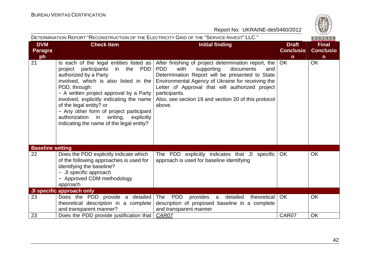

Report No: UKRAINE-det/0460/2012<br>\VICE-INVEST" LLC."

| DETERMINATION REPORT "RECONSTRUCTION OF THE ELECTRICITY GRID OF THE "SERVICE-INVEST" LLC." |                                                                                                                                                                                                                                                                                                                                                                                                                              |                                                                                                                                                                                                                                                                                                                                                            |                                       |                                                  |
|--------------------------------------------------------------------------------------------|------------------------------------------------------------------------------------------------------------------------------------------------------------------------------------------------------------------------------------------------------------------------------------------------------------------------------------------------------------------------------------------------------------------------------|------------------------------------------------------------------------------------------------------------------------------------------------------------------------------------------------------------------------------------------------------------------------------------------------------------------------------------------------------------|---------------------------------------|--------------------------------------------------|
| <b>DVM</b><br><b>Paragra</b><br>ph                                                         | <b>Check Item</b>                                                                                                                                                                                                                                                                                                                                                                                                            | <b>Initial finding</b>                                                                                                                                                                                                                                                                                                                                     | <b>Draft</b><br><b>Conclusio</b><br>n | <b>Final</b><br><b>Conclusio</b><br>$\mathsf{n}$ |
| 21                                                                                         | Is each of the legal entities listed as $ $<br>in the PDD<br>participants<br>project<br>authorized by a Party<br>involved, which is also listed in the  <br>PDD, through:<br>- A written project approval by a Party<br>involved, explicitly indicating the name  <br>of the legal entity? or<br>- Any other form of project participant<br>authorization in writing, explicitly<br>indicating the name of the legal entity? | After finishing of project determination report, the<br><b>PDD</b><br>with<br>supporting<br>documents<br>and<br>Determination Report will be presented to State<br>Environmental Agency of Ukraine for receiving the<br>Letter of Approval that will authorized project<br>participants.<br>Also, see section 19 and section 20 of this protocol<br>above. | OK                                    | <b>OK</b>                                        |
| <b>Baseline setting</b>                                                                    |                                                                                                                                                                                                                                                                                                                                                                                                                              |                                                                                                                                                                                                                                                                                                                                                            |                                       |                                                  |
| 22                                                                                         | Does the PDD explicitly indicate which<br>of the following approaches is used for<br>identifying the baseline?<br>- JI specific approach<br>- Approved CDM methodology<br>approach                                                                                                                                                                                                                                           | The PDD explicitly indicates that JI specific<br>approach is used for baseline identifying                                                                                                                                                                                                                                                                 | <b>OK</b>                             | <b>OK</b>                                        |
|                                                                                            | JI specific approach only                                                                                                                                                                                                                                                                                                                                                                                                    |                                                                                                                                                                                                                                                                                                                                                            |                                       |                                                  |
| 23                                                                                         | Does the PDD provide a detailed<br>theoretical description in a complete<br>and transparent manner?                                                                                                                                                                                                                                                                                                                          | PDD provides a<br>The<br>detailed<br>theoretical<br>description of proposed baseline in a complete<br>and transparent manner                                                                                                                                                                                                                               | OK.                                   | <b>OK</b>                                        |
| 23                                                                                         | Does the PDD provide justification that                                                                                                                                                                                                                                                                                                                                                                                      | CAR07                                                                                                                                                                                                                                                                                                                                                      | CAR07                                 | <b>OK</b>                                        |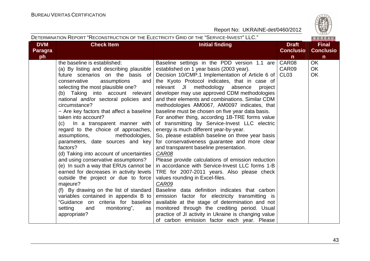

|                                    |                                                                                                                                                                                                                                                                                                                                                                                                                                                                                                                                                                                                                                                                                                                                                                                                                                                                                                                                               | DETERMINATION REPORT "RECONSTRUCTION OF THE ELECTRICITY GRID OF THE "SERVICE-INVEST" LLC."                                                                                                                                                                                                                                                                                                                                                                                                                                                                                                                                                                                                                                                                                                                                                                                                                                                                                                                                                                                                                                                                                                                                                                                              |                                                  | 1828<br>BUREAU                                   |
|------------------------------------|-----------------------------------------------------------------------------------------------------------------------------------------------------------------------------------------------------------------------------------------------------------------------------------------------------------------------------------------------------------------------------------------------------------------------------------------------------------------------------------------------------------------------------------------------------------------------------------------------------------------------------------------------------------------------------------------------------------------------------------------------------------------------------------------------------------------------------------------------------------------------------------------------------------------------------------------------|-----------------------------------------------------------------------------------------------------------------------------------------------------------------------------------------------------------------------------------------------------------------------------------------------------------------------------------------------------------------------------------------------------------------------------------------------------------------------------------------------------------------------------------------------------------------------------------------------------------------------------------------------------------------------------------------------------------------------------------------------------------------------------------------------------------------------------------------------------------------------------------------------------------------------------------------------------------------------------------------------------------------------------------------------------------------------------------------------------------------------------------------------------------------------------------------------------------------------------------------------------------------------------------------|--------------------------------------------------|--------------------------------------------------|
| <b>DVM</b><br><b>Paragra</b><br>ph | <b>Check Item</b>                                                                                                                                                                                                                                                                                                                                                                                                                                                                                                                                                                                                                                                                                                                                                                                                                                                                                                                             | <b>Initial finding</b>                                                                                                                                                                                                                                                                                                                                                                                                                                                                                                                                                                                                                                                                                                                                                                                                                                                                                                                                                                                                                                                                                                                                                                                                                                                                  | <b>Draft</b><br><b>Conclusio</b><br>$\mathsf{n}$ | <b>Final</b><br><b>Conclusio</b><br>$\mathsf{n}$ |
|                                    | the baseline is established:<br>(a) By listing and describing plausible<br>future scenarios on the basis of<br>conservative<br>assumptions<br>and<br>selecting the most plausible one?<br>(b) Taking into account relevant<br>national and/or sectoral policies and<br>circumstance?<br>- Are key factors that affect a baseline  <br>taken into account?<br>(c) In a transparent manner with<br>regard to the choice of approaches,<br>assumptions,<br>methodologies,<br>parameters, date sources and key<br>factors?<br>(d) Taking into account of uncertainties<br>and using conservative assumptions?<br>(e) In such a way that ERUs cannot be<br>earned for decreases in activity levels<br>outside the project or due to force<br>majeure?<br>(f) By drawing on the list of standard $\vert$<br>variables contained in appendix $B$ to<br>criteria for baseline<br>"Guidance on<br>setting<br>monitoring",<br>and<br>as<br>appropriate? | Baseline settings in the PDD version 1.1 are<br>established on 1 year basis (2003 year).<br>Decision 10/CMP.1 Implementation of Article 6 of<br>the Kyoto Protocol indicates, that in case of<br>relevant JI methodology<br>absence<br>project<br>developer may use approved CDM methodologies<br>and their elements and combinations. Similar CDM<br>methodologies AM0067, AM0097 indicates, that<br>baseline must be chosen on five year data basis.<br>For another thing, according 1B-TRE forms value<br>of transmitting by Service-Invest LLC electric<br>energy is much different year-by-year.<br>So, please establish baseline on three year basis<br>for conservativeness guarantee and more clear<br>and transparent baseline presentation.<br><b>CAR08</b><br>Please provide calculations of emission reduction<br>in accordance with Service-Invest LLC forms 1-B<br>TRE for 2007-2011 years. Also please check<br>values rounding in Excel-files.<br>CAR09<br>Baseline data definition indicates that carbon<br>emission factor for electricity transmitting is<br>available at the stage of determination and not<br>monitored through the crediting period. Usual<br>practice of JI activity in Ukraine is changing value<br>of carbon emission factor each year. Please | CAR08<br>CAR09<br><b>CL03</b>                    | <b>OK</b><br><b>OK</b><br>OK                     |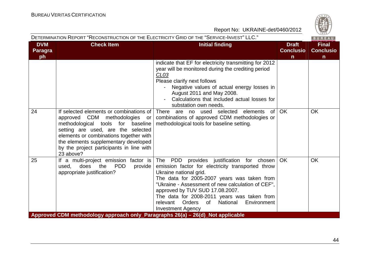|                                    |                                                                                                                                                                                                                                                     | DETERMINATION REPORT "RECONSTRUCTION OF THE ELECTRICITY GRID OF THE "SERVICE-INVEST" LLC."                                                                                                                                                                                                                                                                                                        |                                                  | BUREAU                                           |
|------------------------------------|-----------------------------------------------------------------------------------------------------------------------------------------------------------------------------------------------------------------------------------------------------|---------------------------------------------------------------------------------------------------------------------------------------------------------------------------------------------------------------------------------------------------------------------------------------------------------------------------------------------------------------------------------------------------|--------------------------------------------------|--------------------------------------------------|
| <b>DVM</b><br><b>Paragra</b><br>ph | <b>Check Item</b>                                                                                                                                                                                                                                   | <b>Initial finding</b>                                                                                                                                                                                                                                                                                                                                                                            | <b>Draft</b><br><b>Conclusio</b><br>$\mathsf{n}$ | <b>Final</b><br><b>Conclusio</b><br>$\mathsf{n}$ |
| 24                                 | If selected elements or combinations of                                                                                                                                                                                                             | indicate that EF for electricity transmitting for 2012<br>year will be monitored during the crediting period<br>CL <sub>03</sub><br>Please clarify next follows<br>Negative values of actual energy losses in<br>August 2011 and May 2008.<br>Calculations that included actual losses for<br>substation own needs.<br>There are no used selected<br>elements<br>0f                               | <b>OK</b>                                        | <b>OK</b>                                        |
|                                    | approved CDM methodologies or<br>methodological tools for baseline<br>setting are used, are the selected<br>elements or combinations together with<br>the elements supplementary developed<br>by the project participants in line with<br>23 above? | combinations of approved CDM methodologies or<br>methodological tools for baseline setting.                                                                                                                                                                                                                                                                                                       |                                                  |                                                  |
| 25                                 | If a multi-project emission factor is<br><b>PDD</b><br>does<br>the<br>provide  <br>used,<br>appropriate justification?                                                                                                                              | The PDD provides justification for chosen<br>emission factor for electricity transported throw<br>Ukraine national grid.<br>The data for 2005-2007 years was taken from<br>"Ukraine - Assessment of new calculation of CEF",<br>approved by TUV SUD 17.08.2007.<br>The data for 2008-2011 years was taken from<br>relevant<br>Orders<br>Environment<br>of<br>National<br><b>Investment Agency</b> | <b>OK</b>                                        | <b>OK</b>                                        |
|                                    | Approved CDM methodology approach only_Paragraphs 26(a) - 26(d)_Not applicable                                                                                                                                                                      |                                                                                                                                                                                                                                                                                                                                                                                                   |                                                  |                                                  |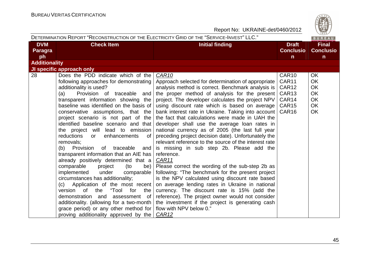|                             | DETERMINATION REPORT "RECONSTRUCTION OF THE ELECTRICITY GRID OF THE "SERVICE-INVEST" LLC."                                                                                                                                                                                                                                                                                                                                                                                                                        |                                                                                                                                                                                                                                                                                                                                                                                                                                                                                                                                                                                                        |                                                                                        | BUREAU                                                |
|-----------------------------|-------------------------------------------------------------------------------------------------------------------------------------------------------------------------------------------------------------------------------------------------------------------------------------------------------------------------------------------------------------------------------------------------------------------------------------------------------------------------------------------------------------------|--------------------------------------------------------------------------------------------------------------------------------------------------------------------------------------------------------------------------------------------------------------------------------------------------------------------------------------------------------------------------------------------------------------------------------------------------------------------------------------------------------------------------------------------------------------------------------------------------------|----------------------------------------------------------------------------------------|-------------------------------------------------------|
| <b>DVM</b><br>Paragra<br>ph | <b>Check Item</b>                                                                                                                                                                                                                                                                                                                                                                                                                                                                                                 | <b>Initial finding</b>                                                                                                                                                                                                                                                                                                                                                                                                                                                                                                                                                                                 | <b>Draft</b><br><b>Conclusio</b><br>$\mathsf{n}$                                       | <b>Final</b><br><b>Conclusio</b><br>n                 |
| <b>Additionality</b>        |                                                                                                                                                                                                                                                                                                                                                                                                                                                                                                                   |                                                                                                                                                                                                                                                                                                                                                                                                                                                                                                                                                                                                        |                                                                                        |                                                       |
|                             | JI specific approach only                                                                                                                                                                                                                                                                                                                                                                                                                                                                                         |                                                                                                                                                                                                                                                                                                                                                                                                                                                                                                                                                                                                        |                                                                                        |                                                       |
|                             | following approaches for demonstrating  <br>additionality is used?<br>Provision of traceable and<br>(a)<br>transparent information showing the<br>baseline was identified on the basis of<br>conservative assumptions, that the                                                                                                                                                                                                                                                                                   | Approach selected for determination of appropriate<br>analysis method is correct. Benchmark analysis is<br>the proper method of analysis for the present<br>project. The developer calculates the project NPV<br>using discount rate which is based on average<br>bank interest rate in Ukraine. Taking into account                                                                                                                                                                                                                                                                                   | CAR11<br>CAR <sub>12</sub><br>CAR <sub>13</sub><br>CAR14<br>CAR15<br>CAR <sub>16</sub> | <b>OK</b><br><b>OK</b><br>OK<br><b>OK</b><br>OK<br>OK |
|                             | project scenario is not part of the<br>identified baseline scenario and that<br>the project will lead to emission<br>reductions<br>enhancements<br>0f<br>or<br>removals;<br>(b)<br>Provision<br>of traceable<br>and<br>transparent information that an AIE has<br>already positively determined that a<br>comparable<br>(to<br>project<br>$be)$  <br>implemented<br>under<br>comparable  <br>circumstances has additionality;<br>(c) Application of the most recent<br>of<br>"Tool for<br>the<br>the  <br>version | the fact that calculations were made in UAH the<br>developer shall use the average loan rates in<br>national currency as of 2005 (the last full year<br>preceding project decision date). Unfortunately the<br>relevant reference to the source of the interest rate<br>is missing in sub step 2b. Please add the<br>reference.<br>CAR11<br>Please correct the wording of the sub-step 2b as<br>following: "The benchmark for the present project<br>is the NPV calculated using discount rate based<br>on average lending rates in Ukraine in national<br>currency. The discount rate is 15% (add the |                                                                                        |                                                       |
|                             | assessment of<br>demonstration and<br>additionality. (allowing for a two-month  <br>grace period) or any other method for $\vert$<br>proving additionality approved by the                                                                                                                                                                                                                                                                                                                                        | reference). The project owner would not consider<br>the investment if the project is generating cash<br>flow with NPV below 0."<br>CAR12                                                                                                                                                                                                                                                                                                                                                                                                                                                               |                                                                                        |                                                       |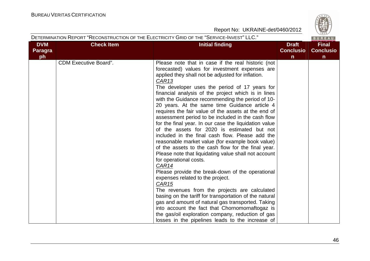

|                                    |                              | DETERMINATION REPORT "RECONSTRUCTION OF THE ELECTRICITY GRID OF THE "SERVICE-INVEST" LLC."                                                                                                                                                                                                                                                                                                                                                                                                                                                                                                                                                                                                                                                                                                                                                                                                                                                                                                                                                                                                                                                                                                                                                                                                                              |                                                  | BUREAU                                |
|------------------------------------|------------------------------|-------------------------------------------------------------------------------------------------------------------------------------------------------------------------------------------------------------------------------------------------------------------------------------------------------------------------------------------------------------------------------------------------------------------------------------------------------------------------------------------------------------------------------------------------------------------------------------------------------------------------------------------------------------------------------------------------------------------------------------------------------------------------------------------------------------------------------------------------------------------------------------------------------------------------------------------------------------------------------------------------------------------------------------------------------------------------------------------------------------------------------------------------------------------------------------------------------------------------------------------------------------------------------------------------------------------------|--------------------------------------------------|---------------------------------------|
| <b>DVM</b><br><b>Paragra</b><br>ph | <b>Check Item</b>            | <b>Initial finding</b>                                                                                                                                                                                                                                                                                                                                                                                                                                                                                                                                                                                                                                                                                                                                                                                                                                                                                                                                                                                                                                                                                                                                                                                                                                                                                                  | <b>Draft</b><br><b>Conclusio</b><br>$\mathsf{n}$ | <b>Final</b><br><b>Conclusio</b><br>n |
|                                    | <b>CDM Executive Board".</b> | Please note that in case if the real historic (not<br>forecasted) values for investment expenses are<br>applied they shall not be adjusted for inflation.<br>CAR <sub>13</sub><br>The developer uses the period of 17 years for<br>financial analysis of the project which is in lines<br>with the Guidance recommending the period of 10-<br>20 years. At the same time Guidance article 4<br>requires the fair value of the assets at the end of<br>assessment period to be included in the cash flow<br>for the final year. In our case the liquidation value<br>of the assets for 2020 is estimated but not<br>included in the final cash flow. Please add the<br>reasonable market value (for example book value)<br>of the assets to the cash flow for the final year.<br>Please note that liquidating value shall not account<br>for operational costs.<br><b>CAR14</b><br>Please provide the break-down of the operational<br>expenses related to the project.<br>CAR <sub>15</sub><br>The revenues from the projects are calculated<br>basing on the tariff for transportation of the natural<br>gas and amount of natural gas transported. Taking<br>into account the fact that Chornomornaftogaz is<br>the gas/oil exploration company, reduction of gas<br>losses in the pipelines leads to the increase of |                                                  |                                       |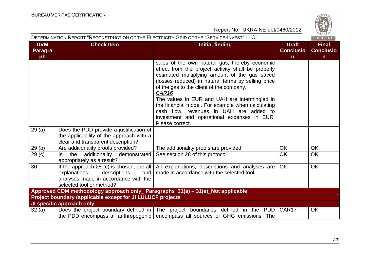Report No: UKRAINE-det/0460/2012<br>\VICE-INVEST" LLC."

|                                    |                                                                                                                           | DETERMINATION REPORT "RECONSTRUCTION OF THE ELECTRICITY GRID OF THE "SERVICE-INVEST" LLC."                                                                                                                                                                                                                                                                                                                                                                                                      |                                                  | $\vee$ 829/<br>BUREAU                            |
|------------------------------------|---------------------------------------------------------------------------------------------------------------------------|-------------------------------------------------------------------------------------------------------------------------------------------------------------------------------------------------------------------------------------------------------------------------------------------------------------------------------------------------------------------------------------------------------------------------------------------------------------------------------------------------|--------------------------------------------------|--------------------------------------------------|
| <b>DVM</b><br><b>Paragra</b><br>ph | <b>Check Item</b>                                                                                                         | <b>Initial finding</b>                                                                                                                                                                                                                                                                                                                                                                                                                                                                          | <b>Draft</b><br><b>Conclusio</b><br>$\mathsf{n}$ | <b>Final</b><br><b>Conclusio</b><br>$\mathsf{n}$ |
|                                    |                                                                                                                           | sales of the own natural gas, thereby economic<br>effect from the project activity shall be properly<br>estimated multiplying amount of the gas saved<br>(losses reduced) in natural terms by selling price<br>of the gas to the client of the company.<br>CAR <sub>16</sub><br>The values in EUR and UAH are intermingled in<br>the financial model. For example when calculating<br>cash flow, revenues in UAH are added to<br>investment and operational expenses in EUR.<br>Please correct. |                                                  |                                                  |
| 29(a)                              | Does the PDD provide a justification of<br>the applicability of the approach with a<br>clear and transparent description? |                                                                                                                                                                                                                                                                                                                                                                                                                                                                                                 |                                                  |                                                  |
| 29(b)                              | Are additionality proofs provided?                                                                                        | The additionality proofs are provided                                                                                                                                                                                                                                                                                                                                                                                                                                                           | <b>OK</b>                                        | <b>OK</b>                                        |
| 29 <sub>(c)</sub>                  | the additionality demonstrated<br>ls.<br>appropriately as a result?                                                       | See section 28 of this protocol                                                                                                                                                                                                                                                                                                                                                                                                                                                                 | <b>OK</b>                                        | <b>OK</b>                                        |
| 30                                 | explanations,<br>descriptions<br>and<br>analyses made in accordance with the<br>selected tool or method?                  | If the approach 28 (c) is chosen, are all $\vert$ All explanations, descriptions and analyses are<br>made in accordance with the selected tool                                                                                                                                                                                                                                                                                                                                                  | <b>OK</b>                                        | <b>OK</b>                                        |
|                                    | Approved CDM methodology approach only_ Paragraphs 31(a) - 31(e)_Not applicable                                           |                                                                                                                                                                                                                                                                                                                                                                                                                                                                                                 |                                                  |                                                  |
|                                    | Project boundary (applicable except for JI LULUCF projects                                                                |                                                                                                                                                                                                                                                                                                                                                                                                                                                                                                 |                                                  |                                                  |
|                                    | JI specific approach only                                                                                                 |                                                                                                                                                                                                                                                                                                                                                                                                                                                                                                 |                                                  |                                                  |
| 32(a)                              |                                                                                                                           | Does the project boundary defined in The project boundaries defined in the PDD CAR17<br>the PDD encompass all anthropogenic encompass all sources of GHG emissions. The                                                                                                                                                                                                                                                                                                                         |                                                  | <b>OK</b>                                        |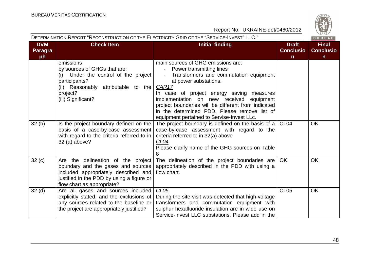|                                    |                                                                                                                                                                                                                   | DETERMINATION REPORT "RECONSTRUCTION OF THE ELECTRICITY GRID OF THE "SERVICE-INVEST" LLC."                                                                                                                                                                                                                                                                                                                                                                         |                                                  | BUREAU                                           |
|------------------------------------|-------------------------------------------------------------------------------------------------------------------------------------------------------------------------------------------------------------------|--------------------------------------------------------------------------------------------------------------------------------------------------------------------------------------------------------------------------------------------------------------------------------------------------------------------------------------------------------------------------------------------------------------------------------------------------------------------|--------------------------------------------------|--------------------------------------------------|
| <b>DVM</b><br><b>Paragra</b><br>ph | <b>Check Item</b>                                                                                                                                                                                                 | <b>Initial finding</b>                                                                                                                                                                                                                                                                                                                                                                                                                                             | <b>Draft</b><br><b>Conclusio</b><br>$\mathsf{n}$ | <b>Final</b><br><b>Conclusio</b><br>$\mathsf{n}$ |
| 32(b)                              | emissions<br>by sources of GHGs that are:<br>Under the control of the project<br>participants?<br>(ii) Reasonably attributable to the<br>project?<br>(iii) Significant?<br>Is the project boundary defined on the | main sources of GHG emissions are:<br>Power transmitting lines<br>Transformers and commutation equipment<br>at power substations.<br>CAR <sub>17</sub><br>In case of project energy saving measures<br>implementation on new received equipment<br>project boundaries will be different from indicated<br>in the determined PDD. Please remove list of<br>equipment pertained to Servise-Invest LLc.<br>The project boundary is defined on the basis of a $ $ CL04 |                                                  | <b>OK</b>                                        |
|                                    | basis of a case-by-case assessment<br>with regard to the criteria referred to in<br>32 (a) above?                                                                                                                 | case-by-case assessment with regard to the<br>criteria referred to in 32(a) above<br>CL <sub>04</sub><br>Please clarify name of the GHG sources on Table                                                                                                                                                                                                                                                                                                           |                                                  |                                                  |
| 32(c)                              | Are the delineation of the project<br>boundary and the gases and sources<br>included appropriately described and<br>justified in the PDD by using a figure or<br>flow chart as appropriate?                       | The delineation of the project boundaries are<br>appropriately described in the PDD with using a<br>flow chart.                                                                                                                                                                                                                                                                                                                                                    | <b>OK</b>                                        | OK                                               |
| 32 <sub>(d)</sub>                  | Are all gases and sources included<br>explicitly stated, and the exclusions of<br>any sources related to the baseline or<br>the project are appropriately justified?                                              | CL <sub>05</sub><br>During the site-visit was detected that high-voltage<br>transformers and commutation equipment with<br>sulphur hexafluoride insulation are in wide use on<br>Service-Invest LLC substations. Please add in the                                                                                                                                                                                                                                 | <b>CL05</b>                                      | <b>OK</b>                                        |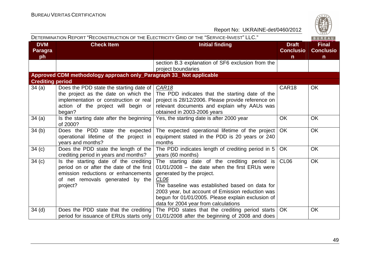

|                                    |                                                                                                                                                                            | DETERMINATION REPORT "RECONSTRUCTION OF THE ELECTRICITY GRID OF THE "SERVICE-INVEST" LLC."                                                                                                                                                                                                                                                           |                                                  | BUREAU                                           |
|------------------------------------|----------------------------------------------------------------------------------------------------------------------------------------------------------------------------|------------------------------------------------------------------------------------------------------------------------------------------------------------------------------------------------------------------------------------------------------------------------------------------------------------------------------------------------------|--------------------------------------------------|--------------------------------------------------|
| <b>DVM</b><br><b>Paragra</b><br>ph | <b>Check Item</b>                                                                                                                                                          | <b>Initial finding</b>                                                                                                                                                                                                                                                                                                                               | <b>Draft</b><br><b>Conclusio</b><br>$\mathsf{n}$ | <b>Final</b><br><b>Conclusio</b><br>$\mathsf{n}$ |
|                                    |                                                                                                                                                                            | section B.3 explanation of SF6 exclusion from the<br>project boundaries                                                                                                                                                                                                                                                                              |                                                  |                                                  |
|                                    | Approved CDM methodology approach only_Paragraph 33_Not applicable                                                                                                         |                                                                                                                                                                                                                                                                                                                                                      |                                                  |                                                  |
| <b>Crediting period</b>            |                                                                                                                                                                            |                                                                                                                                                                                                                                                                                                                                                      |                                                  |                                                  |
| 34(a)                              | Does the PDD state the starting date of<br>the project as the date on which the<br>implementation or construction or real<br>action of the project will begin or<br>began? | <b>CAR18</b><br>The PDD indicates that the starting date of the<br>project is 28/12/2006. Please provide reference on<br>relevant documents and explain why AAUs was<br>obtained in 2003-2006 years                                                                                                                                                  | CAR18                                            | <b>OK</b>                                        |
| 34(a)                              | Is the starting date after the beginning<br>of 2000?                                                                                                                       | Yes, the starting date is after 2000 year                                                                                                                                                                                                                                                                                                            | OK.                                              | <b>OK</b>                                        |
| 34(b)                              | Does the PDD state the expected<br>operational lifetime of the project in<br>years and months?                                                                             | The expected operational lifetime of the project<br>equipment stated in the PDD is 20 years or 240<br>months                                                                                                                                                                                                                                         | OK.                                              | <b>OK</b>                                        |
| 34(c)                              | Does the PDD state the length of the<br>crediting period in years and months?                                                                                              | The PDD indicates length of crediting period in 5<br>years (60 months)                                                                                                                                                                                                                                                                               | <b>OK</b>                                        | <b>OK</b>                                        |
| 34(c)                              | Is the starting date of the crediting<br>period on or after the date of the first<br>emission reductions or enhancements<br>of net removals generated by the<br>project?   | The starting date of the crediting period is<br>$01/01/2008$ – the date when the first ERUs were<br>generated by the project.<br>CL <sub>06</sub><br>The baseline was established based on data for<br>2003 year, but account of Emission reduction was<br>begun for 01/01/2005. Please explain exclusion of<br>data for 2004 year from calculations | CL <sub>06</sub>                                 | <b>OK</b>                                        |
| $34$ (d)                           | Does the PDD state that the crediting<br>period for issuance of ERUs starts only                                                                                           | The PDD states that the crediting period starts<br>01/01/2008 after the beginning of 2008 and does                                                                                                                                                                                                                                                   | <b>OK</b>                                        | <b>OK</b>                                        |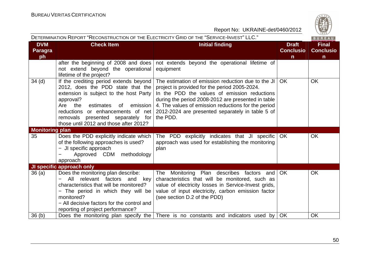|                                    |                                                                                                                                                                                                                                                                     | DETERMINATION REPORT "RECONSTRUCTION OF THE ELECTRICITY GRID OF THE "SERVICE-INVEST" LLC."                                                                                                                                                                                                                                                                    |                                       | BUREAU                                           |
|------------------------------------|---------------------------------------------------------------------------------------------------------------------------------------------------------------------------------------------------------------------------------------------------------------------|---------------------------------------------------------------------------------------------------------------------------------------------------------------------------------------------------------------------------------------------------------------------------------------------------------------------------------------------------------------|---------------------------------------|--------------------------------------------------|
| <b>DVM</b><br><b>Paragra</b><br>ph | <b>Check Item</b>                                                                                                                                                                                                                                                   | <b>Initial finding</b>                                                                                                                                                                                                                                                                                                                                        | <b>Draft</b><br><b>Conclusio</b><br>n | <b>Final</b><br><b>Conclusio</b><br>$\mathsf{n}$ |
|                                    | not extend beyond the operational<br>lifetime of the project?                                                                                                                                                                                                       | after the beginning of 2008 and does   not extends beyond the operational lifetime of<br>equipment                                                                                                                                                                                                                                                            |                                       |                                                  |
| $34$ (d)                           | 2012, does the PDD state that the<br>extension is subject to the host Party<br>approval?<br>Are<br>the estimates<br>emission  <br>of<br>reductions or enhancements of net<br>removals presented separately for   the PDD.<br>those until 2012 and those after 2012? | If the crediting period extends beyond   The estimation of emission reduction due to the JI<br>project is provided for the period 2005-2024.<br>In the PDD the values of emission reductions<br>during the period 2008-2012 are presented in table<br>4. The values of emission reductions for the period<br>2012-2024 are presented separately in table 5 of | OK.                                   | <b>OK</b>                                        |
| <b>Monitoring plan</b>             |                                                                                                                                                                                                                                                                     |                                                                                                                                                                                                                                                                                                                                                               |                                       |                                                  |
| 35                                 | Does the PDD explicitly indicate which  <br>of the following approaches is used?<br>- JI specific approach<br>Approved CDM methodology<br>approach                                                                                                                  | The PDD explicitly indicates that JI specific<br>approach was used for establishing the monitoring<br>plan                                                                                                                                                                                                                                                    | OK.                                   | <b>OK</b>                                        |
|                                    | <b>JI specific approach only</b>                                                                                                                                                                                                                                    |                                                                                                                                                                                                                                                                                                                                                               |                                       |                                                  |
| 36(a)                              | Does the monitoring plan describe:<br>All relevant factors and<br>key<br>characteristics that will be monitored?<br>- The period in which they will be<br>monitored?<br>- All decisive factors for the control and<br>reporting of project performance?             | The Monitoring Plan describes factors and<br>characteristics that will be monitored, such as<br>value of electricity losses in Service-Invest grids,<br>value of input electricity, carbon emission factor<br>(see section D.2 of the PDD)                                                                                                                    | <b>OK</b>                             | <b>OK</b>                                        |
| 36 <sub>(b)</sub>                  |                                                                                                                                                                                                                                                                     | Does the monitoring plan specify the There is no constants and indicators used by                                                                                                                                                                                                                                                                             | OK                                    | <b>OK</b>                                        |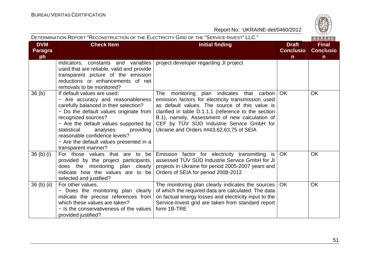

| DETERMINATION REPORT "RECONSTRUCTION OF THE ELECTRICITY GRID OF THE "SERVICE-INVEST" LLC."<br>BUREAU |                                                                                                                                                                                                                                                                                                                                                                 |                                                                                                                                                                                                                                                                                                                                                                  |                                                  |                                                 |
|------------------------------------------------------------------------------------------------------|-----------------------------------------------------------------------------------------------------------------------------------------------------------------------------------------------------------------------------------------------------------------------------------------------------------------------------------------------------------------|------------------------------------------------------------------------------------------------------------------------------------------------------------------------------------------------------------------------------------------------------------------------------------------------------------------------------------------------------------------|--------------------------------------------------|-------------------------------------------------|
| <b>DVM</b><br><b>Paragra</b><br>ph                                                                   | <b>Check Item</b>                                                                                                                                                                                                                                                                                                                                               | <b>Initial finding</b>                                                                                                                                                                                                                                                                                                                                           | <b>Draft</b><br><b>Conclusio</b><br>$\mathsf{n}$ | <b>Final</b><br><b>Conclusio</b><br>$\mathbf n$ |
|                                                                                                      | indicators, constants and variables<br>used that are reliable, valid and provide<br>transparent picture of the emission<br>reductions or enhancements of net<br>removals to be monitored?                                                                                                                                                                       | project developer regarding JI project                                                                                                                                                                                                                                                                                                                           |                                                  |                                                 |
| 36 (b)                                                                                               | If default values are used:<br>- Are accuracy and reasonableness<br>carefully balanced in their selection?<br>- Do the default values originate from<br>recognized sources?<br>- Are the default values supported by<br>statistical<br>analyses<br>providing<br>reasonable confidence levels?<br>- Are the default values presented in a<br>transparent manner? | The monitoring<br>plan<br>indicates<br>that<br>carbon<br>emission factors for electricity transmission used<br>as default values. The source of this value is<br>clarified in table D.1.1.1 (reference to the section<br>B.1), namely, Assessment of new calculation of<br>CEF by TÜV SÜD Industrie Service GmbH for<br>Ukraine and Orders ##43,62,63,75 of SEIA | <b>OK</b>                                        | <b>OK</b>                                       |
| 36 (b) (i)                                                                                           | For those values that are to<br>be<br>provided by the project participants,<br>does the monitoring plan clearly<br>indicate how the values are to be<br>selected and justified?                                                                                                                                                                                 | Emission factor for electricity transmitting is<br>assessed TÜV SÜD Industrie Service GmbH for JI<br>projects in Ukraine for period 2005-2007 years and<br>Orders of SEIA for period 2008-2012                                                                                                                                                                   | <b>OK</b>                                        | OK                                              |
| 36 (b) (ii)                                                                                          | For other values,<br>- Does the monitoring plan clearly<br>indicate the precise references from<br>which these values are taken?<br>- Is the conservativeness of the values<br>provided justified?                                                                                                                                                              | The monitoring plan clearly indicates the sources<br>of which the required data are calculated. The data<br>on factual energy losses and electricity input to the<br>Service-Invest grid are taken from standard report<br>form 1B-TRE                                                                                                                           | <b>OK</b>                                        | <b>OK</b>                                       |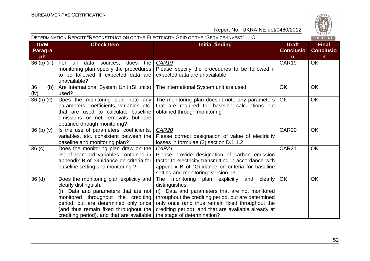|                                    | DETERMINATION REPORT "RECONSTRUCTION OF THE ELECTRICITY GRID OF THE "SERVICE-INVEST" LLC."                                                                                                                                                                                  |                                                                                                                                                                                                                                                                                                                       |                                                  | BUREAU                                           |
|------------------------------------|-----------------------------------------------------------------------------------------------------------------------------------------------------------------------------------------------------------------------------------------------------------------------------|-----------------------------------------------------------------------------------------------------------------------------------------------------------------------------------------------------------------------------------------------------------------------------------------------------------------------|--------------------------------------------------|--------------------------------------------------|
| <b>DVM</b><br><b>Paragra</b><br>ph | <b>Check Item</b>                                                                                                                                                                                                                                                           | <b>Initial finding</b>                                                                                                                                                                                                                                                                                                | <b>Draft</b><br><b>Conclusio</b><br>$\mathsf{n}$ | <b>Final</b><br><b>Conclusio</b><br>$\mathsf{n}$ |
| 36 (b) (iii)                       | For all data sources, does<br>the<br>monitoring plan specify the procedures<br>to be followed if expected data are<br>unavailable?                                                                                                                                          | <b>CAR19</b><br>Please specify the procedures to be followed if<br>expected data are unavailable                                                                                                                                                                                                                      | CAR19                                            | OK                                               |
| 36<br>(b)<br>(iv)                  | Are International System Unit (SI units)<br>used?                                                                                                                                                                                                                           | The international System unit are used                                                                                                                                                                                                                                                                                | <b>OK</b>                                        | <b>OK</b>                                        |
| 36 <sub>(b)</sub> <sub>(v)</sub>   | Does the monitoring plan note any<br>parameters, coefficients, variables, etc.<br>that are used to calculate baseline<br>emissions or net removals but are<br>obtained through monitoring?                                                                                  | The monitoring plan doesn't note any parameters<br>that are required for baseline calculations but<br>obtained through monitoring                                                                                                                                                                                     | <b>OK</b>                                        | <b>OK</b>                                        |
| 36(b)(v)                           | Is the use of parameters, coefficients,<br>variables, etc. consistent between the<br>baseline and monitoring plan?                                                                                                                                                          | CAR <sub>20</sub><br>Please correct designation of value of electricity<br>losses in formulae (3) section D.1.1.2                                                                                                                                                                                                     | CAR <sub>20</sub>                                | <b>OK</b>                                        |
| 36 <sub>(c)</sub>                  | Does the monitoring plan draw on the<br>list of standard variables contained in<br>appendix B of "Guidance on criteria for<br>baseline setting and monitoring"?                                                                                                             | <b>CAR21</b><br>Please provide designation of carbon emission<br>factor to electricity transmitting in accordance with<br>appendix B of "Guidance on criteria for baseline<br>setting and monitoring" version 03                                                                                                      | CAR21                                            | OK                                               |
| 36 <sub>(d)</sub>                  | Does the monitoring plan explicitly and<br>clearly distinguish:<br>(i) Data and parameters that are not<br>monitored throughout the crediting<br>period, but are determined only once<br>(and thus remain fixed throughout the<br>crediting period), and that are available | The monitoring plan explicitly<br>and<br>clearly<br>distinguishes:<br>(i) Data and parameters that are not monitored<br>throughout the crediting period, but are determined<br>only once (and thus remain fixed throughout the<br>crediting period), and that are available already at<br>the stage of determination? | OK                                               | OK                                               |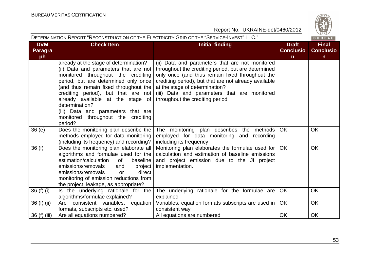

Report No: UKRAINE-det/0460/2012  $\frac{1}{2}$ 

|                                    | DETERMINATION REPORT "RECONSTRUCTION OF THE ELECTRICITY GRID OF THE "SERVICE-INVEST" LLC."                                                                                                                                                                                                                                                                                                  |                                                                                                                                                                                                                                                                                                                                         |                                                  | BUREAU                                           |
|------------------------------------|---------------------------------------------------------------------------------------------------------------------------------------------------------------------------------------------------------------------------------------------------------------------------------------------------------------------------------------------------------------------------------------------|-----------------------------------------------------------------------------------------------------------------------------------------------------------------------------------------------------------------------------------------------------------------------------------------------------------------------------------------|--------------------------------------------------|--------------------------------------------------|
| <b>DVM</b><br><b>Paragra</b><br>ph | <b>Check Item</b>                                                                                                                                                                                                                                                                                                                                                                           | <b>Initial finding</b>                                                                                                                                                                                                                                                                                                                  | <b>Draft</b><br><b>Conclusio</b><br>$\mathsf{n}$ | <b>Final</b><br><b>Conclusio</b><br>$\mathsf{n}$ |
|                                    | already at the stage of determination?<br>(ii) Data and parameters that are not<br>monitored throughout the crediting<br>period, but are determined only once<br>(and thus remain fixed throughout the<br>crediting period), but that are not<br>already available at the stage of<br>determination?<br>(iii) Data and parameters that are<br>monitored throughout the crediting<br>period? | (ii) Data and parameters that are not monitored<br>throughout the crediting period, but are determined<br>only once (and thus remain fixed throughout the<br>crediting period), but that are not already available<br>at the stage of determination?<br>(iii) Data and parameters that are monitored<br>throughout the crediting period |                                                  |                                                  |
| 36(e)                              | Does the monitoring plan describe the<br>methods employed for data monitoring<br>(including its frequency) and recording?                                                                                                                                                                                                                                                                   | The monitoring plan describes the methods<br>employed for data monitoring and<br>recording<br>including its frequency                                                                                                                                                                                                                   | <b>OK</b>                                        | <b>OK</b>                                        |
| 36(f)                              | Does the monitoring plan elaborate all<br>algorithms and formulae used for the<br>estimation/calculation<br>of<br>baseline<br>emissions/removals<br>project<br>and<br>emissions/removals<br>direct<br>or<br>monitoring of emission reductions from<br>the project, leakage, as appropriate?                                                                                                 | Monitoring plan elaborates the formulae used for<br>calculation and estimation of baseline emissions<br>and project emission due to the JI project<br>implementation.                                                                                                                                                                   | <b>OK</b>                                        | OK                                               |
| $36(f)$ (i)                        | Is the underlying rationale for the<br>algorithms/formulae explained?                                                                                                                                                                                                                                                                                                                       | The underlying rationale for the formulae are<br>explained                                                                                                                                                                                                                                                                              | <b>OK</b>                                        | <b>OK</b>                                        |
| 36 (f) (ii)                        | Are consistent variables,<br>equation<br>formats, subscripts etc. used?                                                                                                                                                                                                                                                                                                                     | Variables, equation formats subscripts are used in<br>consistent way                                                                                                                                                                                                                                                                    | OK                                               | OK                                               |
| 36 (f) (iii)                       | Are all equations numbered?                                                                                                                                                                                                                                                                                                                                                                 | All equations are numbered                                                                                                                                                                                                                                                                                                              | <b>OK</b>                                        | OK                                               |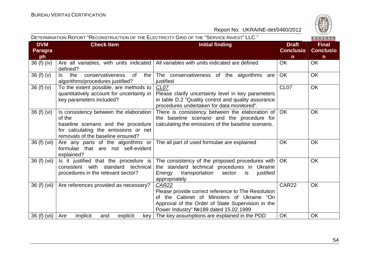|                              |                                                                                                                                                                      | DETERMINATION REPORT. RECONSTRUCTION OF THE ELECTRICITY GRID OF THE "SERVICE-INVEST" LLC.                                                                                                                         |                                  | B U R E A U                      |
|------------------------------|----------------------------------------------------------------------------------------------------------------------------------------------------------------------|-------------------------------------------------------------------------------------------------------------------------------------------------------------------------------------------------------------------|----------------------------------|----------------------------------|
| <b>DVM</b><br><b>Paragra</b> | <b>Check Item</b>                                                                                                                                                    | <b>Initial finding</b>                                                                                                                                                                                            | <b>Draft</b><br><b>Conclusio</b> | <b>Final</b><br><b>Conclusio</b> |
| ph                           |                                                                                                                                                                      |                                                                                                                                                                                                                   | n                                | n                                |
| $36(f)$ (iv)                 | defined?                                                                                                                                                             | Are all variables, with units indicated   All variables with units indicated are defined                                                                                                                          | <b>OK</b>                        | <b>OK</b>                        |
| 36 $(f)(v)$                  | Is the<br>conservativeness<br>the<br>0f<br>algorithms/procedures justified?                                                                                          | The conservativeness of the algorithms are<br>justified                                                                                                                                                           | <b>OK</b>                        | <b>OK</b>                        |
| 36 $(f)(v)$                  | To the extent possible, are methods to<br>quantitatively account for uncertainty in<br>key parameters included?                                                      | CL07<br>Please clarify uncertainty level in key parameters<br>in table D.2 "Quality control and quality assurance<br>procedures undertaken for data monitored".                                                   | CL <sub>07</sub>                 | <b>OK</b>                        |
| 36 (f) (vi)                  | Is consistency between the elaboration<br>of the<br>baseline scenario and the procedure<br>for calculating the emissions or net<br>removals of the baseline ensured? | There is consistency between the elaboration of<br>the baseline scenario and the procedure for<br>calculating the emissions of the baseline scenario.                                                             | <b>OK</b>                        | <b>OK</b>                        |
| 36 (f) (vii)                 | formulae that are not self-evident<br>explained?                                                                                                                     | Are any parts of the algorithms or   The all part of used formulae are explained                                                                                                                                  | <b>OK</b>                        | <b>OK</b>                        |
| 36 (f) (vii)                 | consistent with standard technical<br>procedures in the relevant sector?                                                                                             | Is it justified that the procedure is   The consistency of the proposed procedures with<br>the standard technical procedures in Ukraine<br>transportation<br>Energy<br>justified<br>sector<br>is<br>appropriately | <b>OK</b>                        | <b>OK</b>                        |
| 36 (f) (vii)                 | Are references provided as necessary?                                                                                                                                | <b>CAR22</b><br>Please provide correct reference to The Resolution<br>of the Cabinet of Ministers of Ukraine "On<br>Approval of the Order of State Supervision in the<br>Power Industry" Nº189 dated 15.02.1999   | <b>CAR22</b>                     | <b>OK</b>                        |
| $36(f)$ (vii)                | Are<br>implicit<br>explicit<br>and<br>key l                                                                                                                          | The key assumptions are explained in the PDD                                                                                                                                                                      | <b>OK</b>                        | <b>OK</b>                        |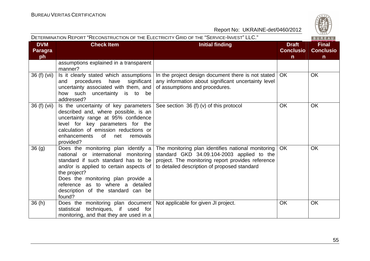| Ù.            |  |
|---------------|--|
| N<br>٠<br>828 |  |

| Report No: UKRAINE-det/0460/2012   |                                                                                                                                                                                                                                                                                                         |                                                                                                                                                                                                       |                                                  | $\frac{72.8}{1828}$                              |
|------------------------------------|---------------------------------------------------------------------------------------------------------------------------------------------------------------------------------------------------------------------------------------------------------------------------------------------------------|-------------------------------------------------------------------------------------------------------------------------------------------------------------------------------------------------------|--------------------------------------------------|--------------------------------------------------|
|                                    |                                                                                                                                                                                                                                                                                                         | DETERMINATION REPORT "RECONSTRUCTION OF THE ELECTRICITY GRID OF THE "SERVICE-INVEST" LLC."                                                                                                            |                                                  | BUREAU                                           |
| <b>DVM</b><br><b>Paragra</b><br>ph | <b>Check Item</b>                                                                                                                                                                                                                                                                                       | <b>Initial finding</b>                                                                                                                                                                                | <b>Draft</b><br><b>Conclusio</b><br>$\mathsf{n}$ | <b>Final</b><br><b>Conclusio</b><br>$\mathsf{n}$ |
|                                    | assumptions explained in a transparent<br>manner?                                                                                                                                                                                                                                                       |                                                                                                                                                                                                       |                                                  |                                                  |
| 36 (f) (vii)                       | Is it clearly stated which assumptions<br>procedures have<br>significant<br>and<br>uncertainty associated with them, and<br>how such uncertainty is to be<br>addressed?                                                                                                                                 | In the project design document there is not stated<br>any information about significant uncertainty level<br>of assumptions and procedures.                                                           | OK.                                              | <b>OK</b>                                        |
| 36 (f) (vii)                       | Is the uncertainty of key parameters  <br>described and, where possible, is an<br>uncertainty range at 95% confidence<br>level for key parameters for the<br>calculation of emission reductions or<br>enhancements<br>of<br>net<br>removals<br>provided?                                                | See section $36(f)(v)$ of this protocol                                                                                                                                                               | <b>OK</b>                                        | <b>OK</b>                                        |
| 36(9)                              | Does the monitoring plan identify a<br>national or international monitoring<br>standard if such standard has to be<br>and/or is applied to certain aspects of<br>the project?<br>Does the monitoring plan provide a<br>reference as to where a detailed<br>description of the standard can be<br>found? | The monitoring plan identifies national monitoring<br>standard GKD 34.09.104-2003 applied to the<br>project. The monitoring report provides reference<br>to detailed description of proposed standard | <b>OK</b>                                        | <b>OK</b>                                        |
| 36(h)                              | Does the monitoring plan document Not applicable for given JI project.<br>techniques, if used for<br>statistical<br>monitoring, and that they are used in a                                                                                                                                             |                                                                                                                                                                                                       | <b>OK</b>                                        | <b>OK</b>                                        |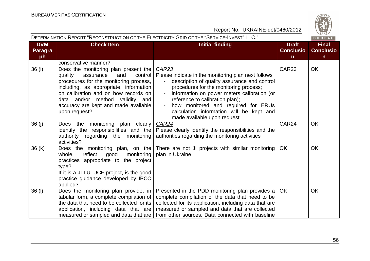

| DETERMINATION REPORT "RECONSTRUCTION OF THE ELECTRICITY GRID OF THE "SERVICE-INVEST" LLC." |
|--------------------------------------------------------------------------------------------|
|--------------------------------------------------------------------------------------------|

| <b>DVM</b><br><b>Paragra</b> | <b>Check Item</b>                                                                                                                                                                                                                                                                                      | <b>Initial finding</b>                                                                                                                                                                                                                                                                                                                                                 | <b>Draft</b><br><b>Conclusio</b> | <b>Final</b><br><b>Conclusio</b> |
|------------------------------|--------------------------------------------------------------------------------------------------------------------------------------------------------------------------------------------------------------------------------------------------------------------------------------------------------|------------------------------------------------------------------------------------------------------------------------------------------------------------------------------------------------------------------------------------------------------------------------------------------------------------------------------------------------------------------------|----------------------------------|----------------------------------|
| ph                           | conservative manner?                                                                                                                                                                                                                                                                                   |                                                                                                                                                                                                                                                                                                                                                                        | $\mathsf{n}$                     | $\mathbf n$                      |
| 36 (i)                       | Does the monitoring plan present the<br>quality<br>and<br>control<br>assurance<br>procedures for the monitoring process,<br>including, as appropriate, information<br>on calibration and on how records on<br>data and/or method validity and<br>accuracy are kept and made available<br>upon request? | CAR <sub>23</sub><br>Please indicate in the monitoring plan next follows<br>description of quality assurance and control<br>procedures for the monitoring process;<br>information on power meters calibration (or<br>reference to calibration plan);<br>how monitored and required for ERUs<br>calculation information will be kept and<br>made available upon request | CAR23                            | <b>OK</b>                        |
| 36 (j)                       | monitoring plan clearly<br>Does the<br>identify the responsibilities and the<br>authority regarding the monitoring<br>activities?                                                                                                                                                                      | CAR24<br>Please clearly identify the responsibilities and the<br>authorities regarding the monitoring activities                                                                                                                                                                                                                                                       | CAR24                            | <b>OK</b>                        |
| 36(k)                        | Does the monitoring plan, on the<br>reflect<br>good<br>monitoring<br>whole,<br>practices appropriate to the project<br>type?<br>If it is a JI LULUCF project, is the good<br>practice guidance developed by IPCC<br>applied?                                                                           | There are not JI projects with similar monitoring<br>plan in Ukraine                                                                                                                                                                                                                                                                                                   | OK                               | <b>OK</b>                        |
| 36 (l)                       | Does the monitoring plan provide, in<br>tabular form, a complete compilation of<br>the data that need to be collected for its<br>application, including data that are<br>measured or sampled and data that are                                                                                         | Presented in the PDD monitoring plan provides a  <br>complete compilation of the data that need to be<br>collected for its application, including data that are<br>measured or sampled and data that are collected<br>from other sources. Data connected with baseline                                                                                                 | <b>OK</b>                        | <b>OK</b>                        |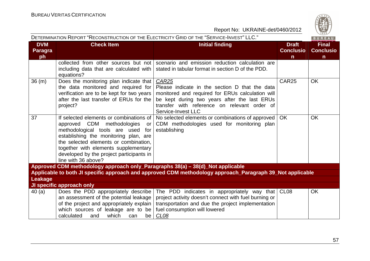|                                    |                                                                                                                                                                                                                                                                                                                    | Report No: UKRAINE-det/0460/2012                                                                                                                                                                                                              |                                                  | $\frac{120}{1828}$                               |
|------------------------------------|--------------------------------------------------------------------------------------------------------------------------------------------------------------------------------------------------------------------------------------------------------------------------------------------------------------------|-----------------------------------------------------------------------------------------------------------------------------------------------------------------------------------------------------------------------------------------------|--------------------------------------------------|--------------------------------------------------|
|                                    |                                                                                                                                                                                                                                                                                                                    | DETERMINATION REPORT "RECONSTRUCTION OF THE ELECTRICITY GRID OF THE "SERVICE-INVEST" LLC."                                                                                                                                                    |                                                  | BUREAU                                           |
| <b>DVM</b><br><b>Paragra</b><br>ph | <b>Check Item</b>                                                                                                                                                                                                                                                                                                  | <b>Initial finding</b>                                                                                                                                                                                                                        | <b>Draft</b><br><b>Conclusio</b><br>$\mathsf{n}$ | <b>Final</b><br><b>Conclusio</b><br>$\mathsf{n}$ |
|                                    | collected from other sources but not<br>including data that are calculated with<br>equations?                                                                                                                                                                                                                      | scenario and emission reduction calculation are<br>stated in tabular format in section D of the PDD.                                                                                                                                          |                                                  |                                                  |
| 36 (m)                             | Does the monitoring plan indicate that<br>the data monitored and required for<br>verification are to be kept for two years<br>after the last transfer of ERUs for the<br>project?                                                                                                                                  | CAR <sub>25</sub><br>Please indicate in the section D that the data<br>monitored and required for ERUs calculation will<br>be kept during two years after the last ERUs<br>transfer with reference on relevant order of<br>Service-Invest LLC | <b>CAR25</b>                                     | <b>OK</b>                                        |
| 37                                 | If selected elements or combinations of<br>approved CDM methodologies<br>or l<br>methodological tools are used<br>for<br>establishing the monitoring plan, are<br>the selected elements or combination,<br>together with elements supplementary<br>developed by the project participants in<br>line with 36 above? | No selected elements or combinations of approved<br>CDM methodologies used for monitoring plan<br>establishing                                                                                                                                | <b>OK</b>                                        | <b>OK</b>                                        |
|                                    | Approved CDM methodology approach only_Paragraphs 38(a) - 38(d)_Not applicable                                                                                                                                                                                                                                     |                                                                                                                                                                                                                                               |                                                  |                                                  |
|                                    |                                                                                                                                                                                                                                                                                                                    | Applicable to both JI specific approach and approved CDM methodology approach_Paragraph 39_Not applicable                                                                                                                                     |                                                  |                                                  |
| <b>Leakage</b>                     | <b>JI specific approach only</b>                                                                                                                                                                                                                                                                                   |                                                                                                                                                                                                                                               |                                                  |                                                  |
| 40(a)                              | Does the PDD appropriately describe<br>an assessment of the potential leakage<br>of the project and appropriately explain<br>which sources of leakage are to be<br>which<br>calculated<br>and<br>can<br>be l                                                                                                       | The PDD indicates in appropriately way that<br>project activity doesn't connect with fuel burning or<br>transportation and due the project implementation<br>fuel consumption will lowered<br>CL <sub>08</sub>                                | CL <sub>08</sub>                                 | <b>OK</b>                                        |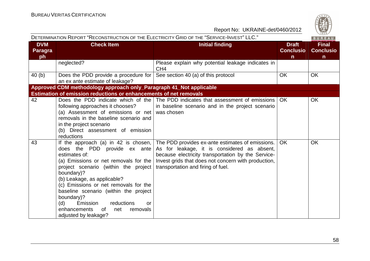

| DETERMINATION REPORT "RECONSTRUCTION OF THE ELECTRICITY GRID OF THE "SERVICE-INVEST" LLC." |
|--------------------------------------------------------------------------------------------|
|--------------------------------------------------------------------------------------------|

| <b>DVM</b><br><b>Paragra</b> | <b>Check Item</b>                                                                                                                                                                                                                                                                                                                                                                                                                  | <b>Initial finding</b>                                                                                                                                                                                                                             | <b>Draft</b><br><b>Conclusio</b> | <b>Final</b><br><b>Conclusio</b> |
|------------------------------|------------------------------------------------------------------------------------------------------------------------------------------------------------------------------------------------------------------------------------------------------------------------------------------------------------------------------------------------------------------------------------------------------------------------------------|----------------------------------------------------------------------------------------------------------------------------------------------------------------------------------------------------------------------------------------------------|----------------------------------|----------------------------------|
| ph                           |                                                                                                                                                                                                                                                                                                                                                                                                                                    |                                                                                                                                                                                                                                                    | $\mathsf{n}$                     | $\mathsf{n}$                     |
|                              | neglected?                                                                                                                                                                                                                                                                                                                                                                                                                         | Please explain why potential leakage indicates in<br>CH <sub>4</sub>                                                                                                                                                                               |                                  |                                  |
| 40(b)                        | Does the PDD provide a procedure for<br>an ex ante estimate of leakage?                                                                                                                                                                                                                                                                                                                                                            | See section 40 (a) of this protocol                                                                                                                                                                                                                | <b>OK</b>                        | OK                               |
|                              | Approved CDM methodology approach only_Paragraph 41_Not applicable                                                                                                                                                                                                                                                                                                                                                                 |                                                                                                                                                                                                                                                    |                                  |                                  |
|                              | <b>Estimation of emission reductions or enhancements of net removals</b>                                                                                                                                                                                                                                                                                                                                                           |                                                                                                                                                                                                                                                    |                                  |                                  |
| 42                           | following approaches it chooses?<br>(a) Assessment of emissions or net was chosen<br>removals in the baseline scenario and<br>in the project scenario<br>(b) Direct assessment of emission<br>reductions                                                                                                                                                                                                                           | Does the PDD indicate which of the The PDD indicates that assessment of emissions<br>in baseline scenario and in the project scenario                                                                                                              | OK                               | OK                               |
| 43                           | If the approach (a) in 42 is chosen,<br>does the PDD provide ex ante<br>estimates of:<br>(a) Emissions or net removals for the<br>project scenario (within the project<br>boundary)?<br>(b) Leakage, as applicable?<br>(c) Emissions or net removals for the<br>baseline scenario (within the project<br>boundary)?<br>Emission<br>reductions<br>(d)<br><b>or</b><br>0f<br>enhancements<br>net<br>removals<br>adjusted by leakage? | The PDD provides ex-ante estimates of emissions.<br>As for leakage, it is considered as absent,<br>because electricity transportation by the Service-<br>Invest grids that does not concern with production,<br>transportation and firing of fuel. | <b>OK</b>                        | <b>OK</b>                        |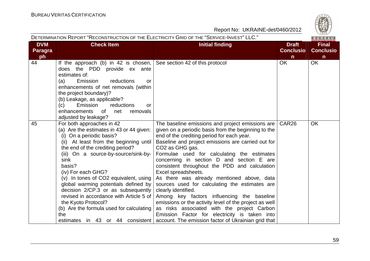| CO.<br>N |
|----------|
| 828      |

| DETERMINATION REPORT "RECONSTRUCTION OF THE ELECTRICITY GRID OF THE "SERVICE-INVEST" LLC."<br>BUREAU |                                                                                                                                                                                                                                                                                                                                                                                                                                                                                                                                                 |                                                                                                                                                                                                                                                                                                                                                                                                                                                                                                                                                                                                                                                                                                                                                                                                                  |                                                  |                                                  |  |
|------------------------------------------------------------------------------------------------------|-------------------------------------------------------------------------------------------------------------------------------------------------------------------------------------------------------------------------------------------------------------------------------------------------------------------------------------------------------------------------------------------------------------------------------------------------------------------------------------------------------------------------------------------------|------------------------------------------------------------------------------------------------------------------------------------------------------------------------------------------------------------------------------------------------------------------------------------------------------------------------------------------------------------------------------------------------------------------------------------------------------------------------------------------------------------------------------------------------------------------------------------------------------------------------------------------------------------------------------------------------------------------------------------------------------------------------------------------------------------------|--------------------------------------------------|--------------------------------------------------|--|
| <b>DVM</b><br><b>Paragra</b><br>ph                                                                   | <b>Check Item</b>                                                                                                                                                                                                                                                                                                                                                                                                                                                                                                                               | <b>Initial finding</b>                                                                                                                                                                                                                                                                                                                                                                                                                                                                                                                                                                                                                                                                                                                                                                                           | <b>Draft</b><br><b>Conclusio</b><br>$\mathsf{n}$ | <b>Final</b><br><b>Conclusio</b><br>$\mathsf{n}$ |  |
| 44                                                                                                   | If the approach (b) in 42 is chosen,<br>does the PDD provide ex ante<br>estimates of:<br>Emission<br>reductions<br>(a)<br>or<br>enhancements of net removals (within<br>the project boundary)?<br>(b) Leakage, as applicable?<br>Emission<br>(c)<br>reductions<br>or<br>enhancements<br>0f<br>net<br>removals<br>adjusted by leakage?                                                                                                                                                                                                           | See section 42 of this protocol                                                                                                                                                                                                                                                                                                                                                                                                                                                                                                                                                                                                                                                                                                                                                                                  | <b>OK</b>                                        | OK                                               |  |
| 45                                                                                                   | For both approaches in 42<br>(a) Are the estimates in 43 or 44 given:<br>(i) On a periodic basis?<br>(ii) At least from the beginning until<br>the end of the crediting period?<br>(iii) On a source-by-source/sink-by-<br>sink<br>basis?<br>(iv) For each GHG?<br>(v) In tones of CO2 equivalent, using<br>global warming potentials defined by<br>decision 2/CP.3 or as subsequently<br>revised in accordance with Article 5 of<br>the Kyoto Protocol?<br>(b) Are the formula used for calculating<br>the<br>estimates in 43 or 44 consistent | The baseline emissions and project emissions are<br>given on a periodic basis from the beginning to the<br>end of the crediting period for each year.<br>Baseline and project emissions are carried out for<br>CO <sub>2</sub> as GH <sub>G</sub> gas.<br>Formulae used for calculating the estimates<br>concerning in section D and section E are<br>consistent throughout the PDD and calculation<br>Excel spreadsheets.<br>As there was already mentioned above, data<br>sources used for calculating the estimates are<br>clearly identified.<br>Among key factors influencing the baseline<br>emissions or the activity level of the project as well<br>as risks associated with the project Carbon<br>Emission Factor for electricity is taken into<br>account. The emission factor of Ukrainian grid that | CAR <sub>26</sub>                                | <b>OK</b>                                        |  |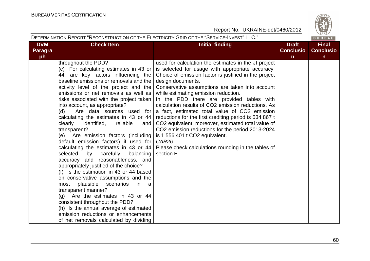

|                                    | DETERMINATION REPORT "RECONSTRUCTION OF THE ELECTRICITY GRID OF THE "SERVICE-INVEST" LLC."                                                                                                                                                                                                                                                                                                                                                                                                                                                                                                                                                                                                                                                                                                                                                                                                                                                                                                                                                                      |                                                                                                                                                                                                                                                                                                                                                                                                                                                                                                                                                                                                                                                                                                                                      |                                                 |                                                  |  |
|------------------------------------|-----------------------------------------------------------------------------------------------------------------------------------------------------------------------------------------------------------------------------------------------------------------------------------------------------------------------------------------------------------------------------------------------------------------------------------------------------------------------------------------------------------------------------------------------------------------------------------------------------------------------------------------------------------------------------------------------------------------------------------------------------------------------------------------------------------------------------------------------------------------------------------------------------------------------------------------------------------------------------------------------------------------------------------------------------------------|--------------------------------------------------------------------------------------------------------------------------------------------------------------------------------------------------------------------------------------------------------------------------------------------------------------------------------------------------------------------------------------------------------------------------------------------------------------------------------------------------------------------------------------------------------------------------------------------------------------------------------------------------------------------------------------------------------------------------------------|-------------------------------------------------|--------------------------------------------------|--|
| <b>DVM</b><br><b>Paragra</b><br>ph | <b>Check Item</b>                                                                                                                                                                                                                                                                                                                                                                                                                                                                                                                                                                                                                                                                                                                                                                                                                                                                                                                                                                                                                                               | <b>Initial finding</b>                                                                                                                                                                                                                                                                                                                                                                                                                                                                                                                                                                                                                                                                                                               | <b>Draft</b><br><b>Conclusio</b><br>$\mathbf n$ | <b>Final</b><br><b>Conclusio</b><br>$\mathsf{n}$ |  |
|                                    | throughout the PDD?<br>(c) For calculating estimates in 43 or<br>44, are key factors influencing the<br>baseline emissions or removals and the<br>activity level of the project and the<br>emissions or net removals as well as<br>risks associated with the project taken<br>into account, as appropriate?<br>Are data sources used for<br>(d)<br>calculating the estimates in 43 or 44<br>clearly identified,<br>reliable<br>and<br>transparent?<br>(e) Are emission factors (including<br>default emission factors) if used for<br>calculating the estimates in 43 or 44<br>selected<br>by carefully<br>balancing<br>accuracy and reasonableness, and<br>appropriately justified of the choice?<br>(f) Is the estimation in 43 or 44 based<br>on conservative assumptions and the<br>most plausible scenarios<br>in<br>$\mathbf{a}$<br>transparent manner?<br>(g) Are the estimates in 43 or 44<br>consistent throughout the PDD?<br>(h) Is the annual average of estimated<br>emission reductions or enhancements<br>of net removals calculated by dividing | used for calculation the estimates in the JI project<br>is selected for usage with appropriate accuracy.<br>Choice of emission factor is justified in the project<br>design documents.<br>Conservative assumptions are taken into account<br>while estimating emission reduction.<br>In the PDD there are provided tables with<br>calculation results of CO2 emission reductions. As<br>a fact, estimated total value of CO2 emission<br>reductions for the first crediting period is 534 867 t<br>CO2 equivalent; moreover, estimated total value of<br>CO2 emission reductions for the period 2013-2024<br>is 1 556 401 t CO2 equivalent.<br>CAR <sub>26</sub><br>Please check calculations rounding in the tables of<br>section E |                                                 |                                                  |  |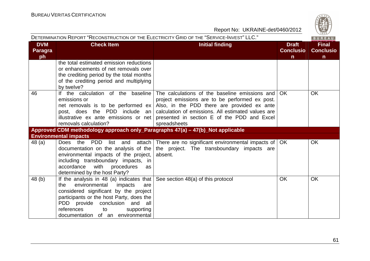| Report No: UKRAINE-det/0460/2012                                               |                                                                                                                                                                                                                                                                                                                             |                                                                                                                                                                                                                                                                                                                                              |                                       |                                                  |  |
|--------------------------------------------------------------------------------|-----------------------------------------------------------------------------------------------------------------------------------------------------------------------------------------------------------------------------------------------------------------------------------------------------------------------------|----------------------------------------------------------------------------------------------------------------------------------------------------------------------------------------------------------------------------------------------------------------------------------------------------------------------------------------------|---------------------------------------|--------------------------------------------------|--|
|                                                                                |                                                                                                                                                                                                                                                                                                                             | DETERMINATION REPORT "RECONSTRUCTION OF THE ELECTRICITY GRID OF THE "SERVICE-INVEST" LLC."                                                                                                                                                                                                                                                   |                                       | $\frac{72}{1828}$<br>BUREAU                      |  |
| <b>DVM</b><br><b>Paragra</b><br>ph                                             | <b>Check Item</b>                                                                                                                                                                                                                                                                                                           | <b>Initial finding</b>                                                                                                                                                                                                                                                                                                                       | <b>Draft</b><br><b>Conclusio</b><br>n | <b>Final</b><br><b>Conclusio</b><br>$\mathsf{n}$ |  |
|                                                                                | the total estimated emission reductions<br>or enhancements of net removals over<br>the crediting period by the total months<br>of the crediting period and multiplying<br>by twelve?                                                                                                                                        |                                                                                                                                                                                                                                                                                                                                              |                                       |                                                  |  |
| 46                                                                             | emissions or<br>post, does the PDD include an<br>illustrative ex ante emissions or net<br>removals calculation?                                                                                                                                                                                                             | If the calculation of the baseline The calculations of the baseline emissions and<br>project emissions are to be performed ex post.<br>net removals is to be performed $ex$ Also, in the PDD there are provided ex ante<br>calculation of emissions. All estimated values are<br>presented in section E of the PDD and Excel<br>spreadsheets | OK.                                   | <b>OK</b>                                        |  |
| Approved CDM methodology approach only_Paragraphs 47(a) - 47(b)_Not applicable |                                                                                                                                                                                                                                                                                                                             |                                                                                                                                                                                                                                                                                                                                              |                                       |                                                  |  |
|                                                                                | <b>Environmental impacts</b>                                                                                                                                                                                                                                                                                                |                                                                                                                                                                                                                                                                                                                                              |                                       |                                                  |  |
| 48 (a)                                                                         | Does the PDD<br>list and<br>documentation on the analysis of the $ $<br>environmental impacts of the project,<br>including transboundary impacts, in<br>accordance<br>with<br>procedures<br>as<br>determined by the host Party?                                                                                             | attach   There are no significant environmental impacts of   OK<br>the project. The transboundary impacts are<br>absent.                                                                                                                                                                                                                     |                                       | <b>OK</b>                                        |  |
| 48 (b)                                                                         | If the analysis in 48 (a) indicates that $\vert$ See section 48(a) of this protocol<br>environmental<br>the<br>impacts<br>are<br>considered significant by the project<br>participants or the host Party, does the<br>PDD provide conclusion and all<br>references<br>supporting<br>to<br>documentation of an environmental |                                                                                                                                                                                                                                                                                                                                              | <b>OK</b>                             | <b>OK</b>                                        |  |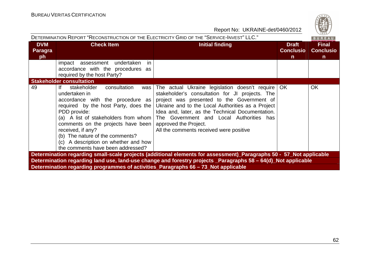| Report No: UKRAINE-det/0460/2012                                                                                    |                                                                                                                                                                                                                                                                                                                                                                           |                                                                                                                                                                                                                                                                                                                                                                             |                                                  |                                                 |  |
|---------------------------------------------------------------------------------------------------------------------|---------------------------------------------------------------------------------------------------------------------------------------------------------------------------------------------------------------------------------------------------------------------------------------------------------------------------------------------------------------------------|-----------------------------------------------------------------------------------------------------------------------------------------------------------------------------------------------------------------------------------------------------------------------------------------------------------------------------------------------------------------------------|--------------------------------------------------|-------------------------------------------------|--|
|                                                                                                                     | DETERMINATION REPORT "RECONSTRUCTION OF THE ELECTRICITY GRID OF THE "SERVICE-INVEST" LLC."                                                                                                                                                                                                                                                                                |                                                                                                                                                                                                                                                                                                                                                                             |                                                  | $\frac{72}{1828}$<br><b>BUREAU</b>              |  |
| <b>DVM</b><br><b>Paragra</b><br>ph                                                                                  | <b>Check Item</b>                                                                                                                                                                                                                                                                                                                                                         | <b>Initial finding</b>                                                                                                                                                                                                                                                                                                                                                      | <b>Draft</b><br><b>Conclusio</b><br>$\mathsf{n}$ | <b>Final</b><br><b>Conclusio</b><br>$\mathbf n$ |  |
|                                                                                                                     | impact assessment undertaken<br><i>in</i><br>accordance with the procedures as<br>required by the host Party?                                                                                                                                                                                                                                                             |                                                                                                                                                                                                                                                                                                                                                                             |                                                  |                                                 |  |
|                                                                                                                     | <b>Stakeholder consultation</b>                                                                                                                                                                                                                                                                                                                                           |                                                                                                                                                                                                                                                                                                                                                                             |                                                  |                                                 |  |
| 49                                                                                                                  | lf.<br>stakeholder<br>consultation<br>was<br>undertaken in<br>accordance with the procedure as<br>required by the host Party, does the<br>PDD provide:<br>(a) A list of stakeholders from whom<br>comments on the projects have been<br>received, if any?<br>(b) The nature of the comments?<br>(c) A description on whether and how<br>the comments have been addressed? | The actual Ukraine legislation doesn't require OK<br>stakeholder's consultation for JI projects. The<br>project was presented to the Government of<br>Ukraine and to the Local Authorities as a Project<br>Idea and, later, as the Technical Documentation.<br>The Government and Local Authorities has<br>approved the Project.<br>All the comments received were positive |                                                  | <b>OK</b>                                       |  |
| Determination regarding small-scale projects (additional elements for assessment)_Paragraphs 50 - 57_Not applicable |                                                                                                                                                                                                                                                                                                                                                                           |                                                                                                                                                                                                                                                                                                                                                                             |                                                  |                                                 |  |
| Determination regarding land use, land-use change and forestry projects _Paragraphs 58 - 64(d)_Not applicable       |                                                                                                                                                                                                                                                                                                                                                                           |                                                                                                                                                                                                                                                                                                                                                                             |                                                  |                                                 |  |
| Determination regarding programmes of activities_Paragraphs 66 – 73_Not applicable                                  |                                                                                                                                                                                                                                                                                                                                                                           |                                                                                                                                                                                                                                                                                                                                                                             |                                                  |                                                 |  |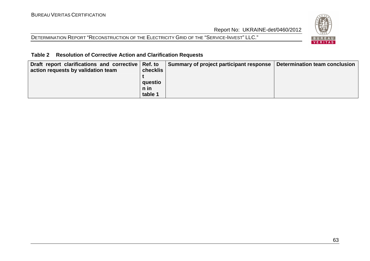DETERMINATION REPORT "RECONSTRUCTION OF THE ELECTRICITY GRID OF THE "SERVICE-INVEST" LLC."



# **Table 2 Resolution of Corrective Action and Clarification Requests**

| Draft report clarifications and corrective Ref. to<br>action requests by validation team | checklis                   | Summary of project participant response | Determination team conclusion |
|------------------------------------------------------------------------------------------|----------------------------|-----------------------------------------|-------------------------------|
|                                                                                          | questio<br>n in<br>table 1 |                                         |                               |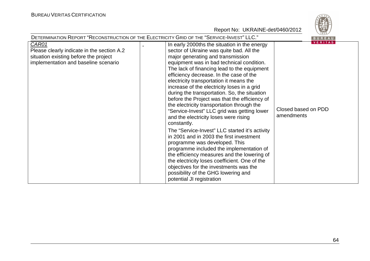| √°29<br>DETERMINATION REPORT "RECONSTRUCTION OF THE ELECTRICITY GRID OF THE "SERVICE-INVEST" LLC."<br><b>BUREAU</b>                  |  |                                                                                                                                                                                                                                                                                                                                                                                                                                                                                                                                                                                                                                                                                                                                                                                                                                                                                                                                                                                                               |                                                     |  |  |
|--------------------------------------------------------------------------------------------------------------------------------------|--|---------------------------------------------------------------------------------------------------------------------------------------------------------------------------------------------------------------------------------------------------------------------------------------------------------------------------------------------------------------------------------------------------------------------------------------------------------------------------------------------------------------------------------------------------------------------------------------------------------------------------------------------------------------------------------------------------------------------------------------------------------------------------------------------------------------------------------------------------------------------------------------------------------------------------------------------------------------------------------------------------------------|-----------------------------------------------------|--|--|
| CAR01<br>Please clearly indicate in the section A.2<br>situation existing before the project<br>implementation and baseline scenario |  | In early 2000ths the situation in the energy<br>sector of Ukraine was quite bad. All the<br>major generating and transmission<br>equipment was in bad technical condition.<br>The lack of financing lead to the equipment<br>efficiency decrease. In the case of the<br>electricity transportation it means the<br>increase of the electricity loses in a grid<br>during the transportation. So, the situation<br>before the Project was that the efficiency of<br>the electricity transportation through the<br>"Service-Invest" LLC grid was getting lower<br>and the electricity loses were rising<br>constantly.<br>The "Service-Invest" LLC started it's activity<br>in 2001 and in 2003 the first investment<br>programme was developed. This<br>programme included the implementation of<br>the efficiency measures and the lowering of<br>the electricity loses coefficient. One of the<br>objectives for the investments was the<br>possibility of the GHG lowering and<br>potential JI registration | <b>VERITAS</b><br>Closed based on PDD<br>amendments |  |  |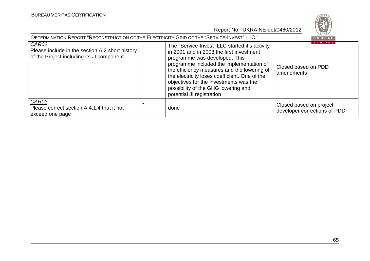

| ╰。。<br>DETERMINATION REPORT "RECONSTRUCTION OF THE ELECTRICITY GRID OF THE "SERVICE-INVEST" LLC."<br><b>BUREAU</b> |  |                                                                                                                                                                                                                                                                                                                                                                                       |                                                         |  |  |
|--------------------------------------------------------------------------------------------------------------------|--|---------------------------------------------------------------------------------------------------------------------------------------------------------------------------------------------------------------------------------------------------------------------------------------------------------------------------------------------------------------------------------------|---------------------------------------------------------|--|--|
| CAR02<br>Please include in the section A.2 short history<br>of the Project including its JI component              |  | The "Service-Invest" LLC started it's activity<br>in 2001 and in 2003 the first investment<br>programme was developed. This<br>programme included the implementation of<br>the efficiency measures and the lowering of<br>the electricity loses coefficient. One of the<br>objectives for the investments was the<br>possibility of the GHG lowering and<br>potential JI registration | <b>VERITAS</b><br>Closed based on PDD<br>amendments     |  |  |
| CAR03<br>Please correct section A.4.1.4 that it not<br>exceed one page                                             |  | done                                                                                                                                                                                                                                                                                                                                                                                  | Closed based on project<br>developer corrections of PDD |  |  |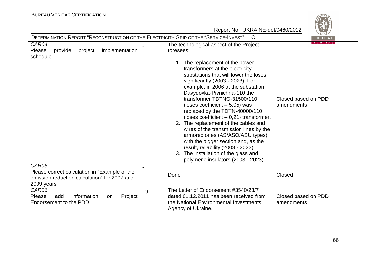

| DETERMINATION REPORT "RECONSTRUCTION OF THE ELECTRICITY GRID OF THE "SERVICE-INVEST" LLC."<br>BUREAU                        |    |                                                                                                                                                                                                                                                                                                                                                                                                                                                                                                                                                                                                                                                         |                                   |  |  |
|-----------------------------------------------------------------------------------------------------------------------------|----|---------------------------------------------------------------------------------------------------------------------------------------------------------------------------------------------------------------------------------------------------------------------------------------------------------------------------------------------------------------------------------------------------------------------------------------------------------------------------------------------------------------------------------------------------------------------------------------------------------------------------------------------------------|-----------------------------------|--|--|
| <b>CAR04</b><br>implementation<br>Please<br>provide<br>project<br>schedule                                                  |    | The technological aspect of the Project<br>foresees:                                                                                                                                                                                                                                                                                                                                                                                                                                                                                                                                                                                                    | VERITAS                           |  |  |
|                                                                                                                             |    | 1. The replacement of the power<br>transformers at the electricity<br>substations that will lower the loses<br>significantly (2003 - 2023). For<br>example, in 2006 at the substation<br>Davydovka-Pivnichna-110 the<br>transformer TDTNG-31500/110<br>(loses coefficient $-5,05$ ) was<br>replaced by the TDTN-40000/110<br>(loses coefficient $-0.21$ ) transformer.<br>2. The replacement of the cables and<br>wires of the transmission lines by the<br>armored ones (AS/ASO/ASU types)<br>with the bigger section and, as the<br>result, reliability (2003 - 2023).<br>3. The installation of the glass and<br>polymeric insulators (2003 - 2023). | Closed based on PDD<br>amendments |  |  |
| <b>CAR05</b><br>Please correct calculation in "Example of the<br>emission reduction calculation" for 2007 and<br>2009 years |    | Done                                                                                                                                                                                                                                                                                                                                                                                                                                                                                                                                                                                                                                                    | Closed                            |  |  |
| <b>CAR06</b><br>Project<br>Please<br>add<br>information<br>on<br>Endorsement to the PDD                                     | 19 | The Letter of Endorsement #3540/23/7<br>dated 01.12.2011 has been received from<br>the National Environmental Investments<br>Agency of Ukraine.                                                                                                                                                                                                                                                                                                                                                                                                                                                                                                         | Closed based on PDD<br>amendments |  |  |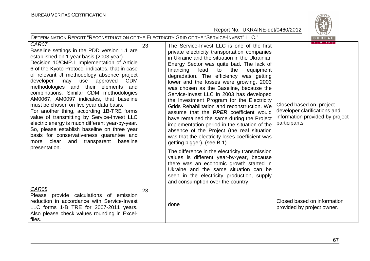

| DETERMINATION REPORT "RECONSTRUCTION OF THE ELECTRICITY GRID OF THE "SERVICE-INVEST" LLC."<br>BUREAU                                                                                                                                                                                                                                                                                                                                                                                                                                                                                                                                                                                                                                                                                             |    |                                                                                                                                                                                                                                                                                                                                                                                                                                                                                                                                                                                                                                                                                                                                                                                                                                                                                                                                                                                                                                                                     |                                                                                                                              |  |
|--------------------------------------------------------------------------------------------------------------------------------------------------------------------------------------------------------------------------------------------------------------------------------------------------------------------------------------------------------------------------------------------------------------------------------------------------------------------------------------------------------------------------------------------------------------------------------------------------------------------------------------------------------------------------------------------------------------------------------------------------------------------------------------------------|----|---------------------------------------------------------------------------------------------------------------------------------------------------------------------------------------------------------------------------------------------------------------------------------------------------------------------------------------------------------------------------------------------------------------------------------------------------------------------------------------------------------------------------------------------------------------------------------------------------------------------------------------------------------------------------------------------------------------------------------------------------------------------------------------------------------------------------------------------------------------------------------------------------------------------------------------------------------------------------------------------------------------------------------------------------------------------|------------------------------------------------------------------------------------------------------------------------------|--|
| CAR07<br>Baseline settings in the PDD version 1.1 are<br>established on 1 year basis (2003 year).<br>Decision 10/CMP.1 Implementation of Article<br>6 of the Kyoto Protocol indicates, that in case<br>of relevant JI methodology absence project<br>developer<br><b>CDM</b><br>may<br>use<br>approved<br>methodologies and their elements<br>and<br>combinations. Similar CDM methodologies<br>AM0067, AM0097 indicates, that baseline<br>must be chosen on five year data basis.<br>For another thing, according 1B-TRE forms<br>value of transmitting by Service-Invest LLC<br>electric energy is much different year-by-year.<br>So, please establish baseline on three year<br>basis for conservativeness guarantee and<br>clear<br>transparent<br>and<br>baseline<br>more<br>presentation. | 23 | The Service-Invest LLC is one of the first<br>private electricity transportation companies<br>in Ukraine and the situation in the Ukrainian<br>Energy Sector was quite bad. The lack of<br>lead<br>financing<br>to<br>the<br>equipment<br>degradation. The efficiency was getting<br>lower and the losses were growing. 2003<br>was chosen as the Baseline, because the<br>Service-Invest LLC in 2003 has developed<br>the Investment Program for the Electricity<br>Grids Rehabilitation and reconstruction. We<br>assume that the <b>PPER</b> coefficient would<br>have remained the same during the Project<br>implementation period in the situation of the<br>absence of the Project (the real situation<br>was that the electricity loses coefficient was<br>getting bigger). (see B.1)<br>The difference in the electricity transmission<br>values is different year-by-year, because<br>there was an economic growth started in<br>Ukraine and the same situation can be<br>seen in the electricity production, supply<br>and consumption over the country. | <b>VERITAS</b><br>Closed based on project<br>developer clarifications and<br>information provided by project<br>participants |  |
| CAR08<br>Please provide calculations of emission<br>reduction in accordance with Service-Invest<br>LLC forms 1-B TRE for 2007-2011 years.<br>Also please check values rounding in Excel-<br>files.                                                                                                                                                                                                                                                                                                                                                                                                                                                                                                                                                                                               | 23 | done                                                                                                                                                                                                                                                                                                                                                                                                                                                                                                                                                                                                                                                                                                                                                                                                                                                                                                                                                                                                                                                                | Closed based on information<br>provided by project owner.                                                                    |  |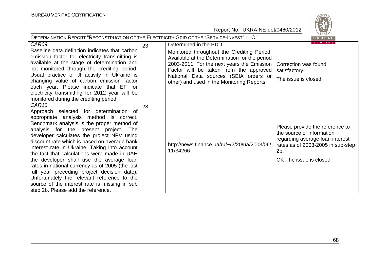

| DETERMINATION REPORT "RECONSTRUCTION OF THE ELECTRICITY GRID OF THE "SERVICE-INVEST" LLC."<br>BUREAU                                                                                                                                                                                                                                                                                                                                                                                                                                                                                                                                                                       |    |                                                                                                                                                                                                                                                                                                      |                                                                                                                                                                       |  |  |
|----------------------------------------------------------------------------------------------------------------------------------------------------------------------------------------------------------------------------------------------------------------------------------------------------------------------------------------------------------------------------------------------------------------------------------------------------------------------------------------------------------------------------------------------------------------------------------------------------------------------------------------------------------------------------|----|------------------------------------------------------------------------------------------------------------------------------------------------------------------------------------------------------------------------------------------------------------------------------------------------------|-----------------------------------------------------------------------------------------------------------------------------------------------------------------------|--|--|
| CAR09<br>Baseline data definition indicates that carbon<br>emission factor for electricity transmitting is<br>available at the stage of determination and<br>not monitored through the crediting period.<br>Usual practice of JI activity in Ukraine is<br>changing value of carbon emission factor<br>each year. Please indicate that EF for<br>electricity transmitting for 2012 year will be<br>monitored during the crediting period                                                                                                                                                                                                                                   | 23 | Determined in the PDD.<br>Monitored throughout the Crediting Period.<br>Available at the Determination for the period<br>2003-2011. For the next years the Emission<br>Factor will be taken from the approved<br>National Data sources (SEIA orders or<br>other) and used in the Monitoring Reports. | <b>VERITAS</b><br>Correction was found<br>satisfactory.<br>The issue is closed                                                                                        |  |  |
| <b>CAR10</b><br>Approach selected for determination of<br>appropriate analysis method is correct.<br>Benchmark analysis is the proper method of<br>analysis for the present project. The<br>developer calculates the project NPV using<br>discount rate which is based on average bank<br>interest rate in Ukraine. Taking into account<br>the fact that calculations were made in UAH<br>the developer shall use the average loan<br>rates in national currency as of 2005 (the last<br>full year preceding project decision date).<br>Unfortunately the relevant reference to the<br>source of the interest rate is missing in sub<br>step 2b. Please add the reference. | 28 | http://news.finance.ua/ru/~/2/20/ua/2003/06/<br>11/34266                                                                                                                                                                                                                                             | Please provide the reference to<br>the source of information<br>regarding average loan interest<br>rates as of 2003-2005 in sub-step<br>2b.<br>OK The issue is closed |  |  |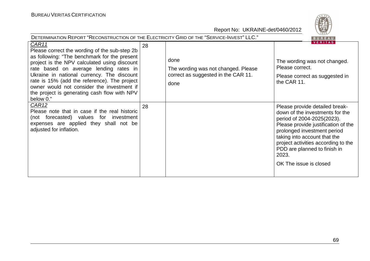| DETERMINATION REPORT "RECONSTRUCTION OF THE ELECTRICITY GRID OF THE "SERVICE-INVEST" LLC."<br>BUREAU                                                                                                                                                                                                                                                                                                      |    |                                                                                            |                                                                                                                                                                                                                                                                                                                 |  |
|-----------------------------------------------------------------------------------------------------------------------------------------------------------------------------------------------------------------------------------------------------------------------------------------------------------------------------------------------------------------------------------------------------------|----|--------------------------------------------------------------------------------------------|-----------------------------------------------------------------------------------------------------------------------------------------------------------------------------------------------------------------------------------------------------------------------------------------------------------------|--|
| CAR11<br>Please correct the wording of the sub-step 2b<br>as following: "The benchmark for the present<br>project is the NPV calculated using discount<br>rate based on average lending rates in<br>Ukraine in national currency. The discount<br>rate is 15% (add the reference). The project<br>owner would not consider the investment if<br>the project is generating cash flow with NPV<br>below 0." | 28 | done<br>The wording was not changed. Please<br>correct as suggested in the CAR 11.<br>done | VERITAS<br>The wording was not changed.<br>Please correct.<br>Please correct as suggested in<br>the CAR 11.                                                                                                                                                                                                     |  |
| CAR12<br>Please note that in case if the real historic<br>(not forecasted) values for investment<br>expenses are applied they shall not be<br>adjusted for inflation.                                                                                                                                                                                                                                     | 28 |                                                                                            | Please provide detailed break-<br>down of the investments for the<br>period of 2004-2025(2023).<br>Please provide justification of the<br>prolonged investment period<br>taking into account that the<br>project activities according to the<br>PDD are planned to finish in<br>2023.<br>OK The issue is closed |  |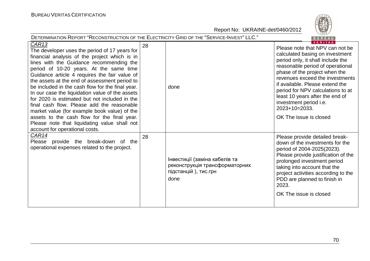

| DETERMINATION REPORT "RECONSTRUCTION OF THE ELECTRICITY GRID OF THE "SERVICE-INVEST" LLC."<br>BUREAU                                                                                                                                                                                                                                                                                                                                                                                                                                                                                                                                                                                                |    |                                                                                                 |                                                                                                                                                                                                                                                                                                                                                                                                                   |  |  |
|-----------------------------------------------------------------------------------------------------------------------------------------------------------------------------------------------------------------------------------------------------------------------------------------------------------------------------------------------------------------------------------------------------------------------------------------------------------------------------------------------------------------------------------------------------------------------------------------------------------------------------------------------------------------------------------------------------|----|-------------------------------------------------------------------------------------------------|-------------------------------------------------------------------------------------------------------------------------------------------------------------------------------------------------------------------------------------------------------------------------------------------------------------------------------------------------------------------------------------------------------------------|--|--|
| CAR <sub>13</sub><br>The developer uses the period of 17 years for<br>financial analysis of the project which is in<br>lines with the Guidance recommending the<br>period of 10-20 years. At the same time<br>Guidance article 4 requires the fair value of<br>the assets at the end of assessment period to<br>be included in the cash flow for the final year.<br>In our case the liquidation value of the assets<br>for 2020 is estimated but not included in the<br>final cash flow. Please add the reasonable<br>market value (for example book value) of the<br>assets to the cash flow for the final year.<br>Please note that liquidating value shall not<br>account for operational costs. | 28 | done                                                                                            | <b>VERITAS</b><br>Please note that NPV can not be<br>calculated basing on investment<br>period only, it shall include the<br>reasonable period of operational<br>phase of the project when the<br>revenues exceed the investments<br>if available. Please extend the<br>period for NPV calculations to at<br>least 10 years after the end of<br>investment period i.e.<br>2023+10=2033.<br>OK The issue is closed |  |  |
| CAR14<br>Please provide the break-down of the<br>operational expenses related to the project.                                                                                                                                                                                                                                                                                                                                                                                                                                                                                                                                                                                                       | 28 | Інвестиції (заміна кабелів та<br>реконструкція трансформаторних<br>підстанцій), тис.грн<br>done | Please provide detailed break-<br>down of the investments for the<br>period of 2004-2025(2023).<br>Please provide justification of the<br>prolonged investment period<br>taking into account that the<br>project activities according to the<br>PDD are planned to finish in<br>2023.<br>OK The issue is closed                                                                                                   |  |  |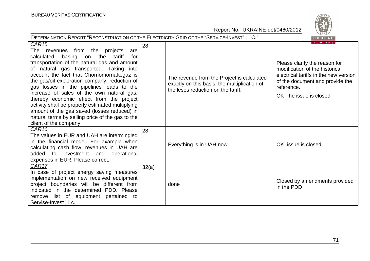| Report No: UKRAINE-det/0460/2012<br>$\frac{720}{15}$                                                                                                                                                                                                                                                                                                                                                                                                                                                                                                                                                                             |       |                                                                                                                                  |                                                                                                                                                                                                       |
|----------------------------------------------------------------------------------------------------------------------------------------------------------------------------------------------------------------------------------------------------------------------------------------------------------------------------------------------------------------------------------------------------------------------------------------------------------------------------------------------------------------------------------------------------------------------------------------------------------------------------------|-------|----------------------------------------------------------------------------------------------------------------------------------|-------------------------------------------------------------------------------------------------------------------------------------------------------------------------------------------------------|
| DETERMINATION REPORT "RECONSTRUCTION OF THE ELECTRICITY GRID OF THE "SERVICE-INVEST" LLC."<br>BUREAU                                                                                                                                                                                                                                                                                                                                                                                                                                                                                                                             |       |                                                                                                                                  |                                                                                                                                                                                                       |
| CAR <sub>15</sub><br>The revenues from the projects<br>are<br>basing<br>the<br>for<br>calculated<br>tariff<br>on<br>transportation of the natural gas and amount<br>of natural gas transported. Taking into<br>account the fact that Chornomornaftogaz is<br>the gas/oil exploration company, reduction of<br>gas losses in the pipelines leads to the<br>increase of sales of the own natural gas,<br>thereby economic effect from the project<br>activity shall be properly estimated multiplying<br>amount of the gas saved (losses reduced) in<br>natural terms by selling price of the gas to the<br>client of the company. | 28    | The revenue from the Project is calculated<br>exactly on this basis: the multiplication of<br>the leses reduction on the tariff. | <b>VERITAS</b><br>Please clarify the reason for<br>modification of the historical<br>electrical tariffs in the new version<br>of the document and provide the<br>reference.<br>OK The issue is closed |
| CAR <sub>16</sub><br>The values in EUR and UAH are intermingled<br>in the financial model. For example when<br>calculating cash flow, revenues in UAH are<br>added to investment and operational<br>expenses in EUR. Please correct.                                                                                                                                                                                                                                                                                                                                                                                             | 28    | Everything is in UAH now.                                                                                                        | OK, issue is closed                                                                                                                                                                                   |
| CAR17<br>In case of project energy saving measures<br>implementation on new received equipment<br>project boundaries will be different from<br>indicated in the determined PDD. Please<br>remove list of equipment pertained to<br>Servise-Invest LLc.                                                                                                                                                                                                                                                                                                                                                                           | 32(a) | done                                                                                                                             | Closed by amendments provided<br>in the PDD                                                                                                                                                           |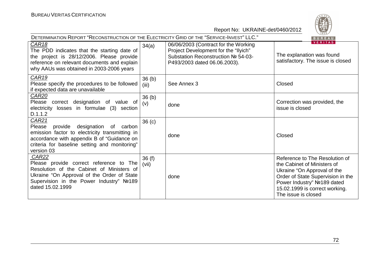

| DETERMINATION REPORT "RECONSTRUCTION OF THE ELECTRICITY GRID OF THE "SERVICE-INVEST" LLC."<br>BUREAU                                                                                                                        |                            |                                                                                                                                                    |                                                                                                                                                                                                                           |  |  |
|-----------------------------------------------------------------------------------------------------------------------------------------------------------------------------------------------------------------------------|----------------------------|----------------------------------------------------------------------------------------------------------------------------------------------------|---------------------------------------------------------------------------------------------------------------------------------------------------------------------------------------------------------------------------|--|--|
| CAR <sub>18</sub><br>The PDD indicates that the starting date of<br>the project is 28/12/2006. Please provide<br>reference on relevant documents and explain<br>why AAUs was obtained in 2003-2006 years                    | 34(a)                      | 06/06/2003 (Contract for the Working<br>Project Development for the "Ilyich"<br>Substation Reconstruction № 54-03-<br>P493/2003 dated 06.06.2003). | VERITAS<br>The explanation was found<br>satisfactory. The issue is closed                                                                                                                                                 |  |  |
| CAR <sub>19</sub><br>Please specify the procedures to be followed<br>if expected data are unavailable                                                                                                                       | 36 <sub>(b)</sub><br>(iii) | See Annex 3                                                                                                                                        | Closed                                                                                                                                                                                                                    |  |  |
| <u>CAR20</u><br>Please correct designation of value of<br>electricity losses in formulae (3) section<br>D.1.1.2                                                                                                             | 36(b)<br>(v)               | done                                                                                                                                               | Correction was provided, the<br>issue is closed                                                                                                                                                                           |  |  |
| CAR <sub>21</sub><br>provide designation of carbon<br>Please<br>emission factor to electricity transmitting in<br>accordance with appendix B of "Guidance on<br>criteria for baseline setting and monitoring"<br>version 03 | 36 <sub>(c)</sub>          | done                                                                                                                                               | Closed                                                                                                                                                                                                                    |  |  |
| CAR <sub>22</sub><br>Please provide correct reference to The<br>Resolution of the Cabinet of Ministers of<br>Ukraine "On Approval of the Order of State<br>Supervision in the Power Industry" Nº189<br>dated 15.02.1999     | 36(f)<br>(vii)             | done                                                                                                                                               | Reference to The Resolution of<br>the Cabinet of Ministers of<br>Ukraine "On Approval of the<br>Order of State Supervision in the<br>Power Industry" Nº189 dated<br>15.02.1999 is correct working.<br>The issue is closed |  |  |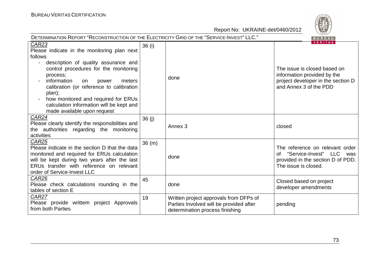

| DETERMINATION REPORT "RECONSTRUCTION OF THE ELECTRICITY GRID OF THE "SERVICE-INVEST" LLC."<br>BUREAU                                                                                                                                                                                                                                                                         |        |                                                                                                                      |                                                                                                                                               |  |
|------------------------------------------------------------------------------------------------------------------------------------------------------------------------------------------------------------------------------------------------------------------------------------------------------------------------------------------------------------------------------|--------|----------------------------------------------------------------------------------------------------------------------|-----------------------------------------------------------------------------------------------------------------------------------------------|--|
| CAR23<br>Please indicate in the monitoring plan next<br>follows<br>description of quality assurance and<br>control procedures for the monitoring<br>process;<br>information<br>meters<br>power<br>on<br>calibration (or reference to calibration<br>plan);<br>how monitored and required for ERUs<br>calculation information will be kept and<br>made available upon request | 36(i)  | done                                                                                                                 | <b>VERITAS</b><br>The issue is closed based on<br>information provided by the<br>project developer in the section D<br>and Annex 3 of the PDD |  |
| CAR <sub>24</sub><br>Please clearly identify the responsibilities and<br>authorities regarding the monitoring<br>the<br>activities                                                                                                                                                                                                                                           | 36 (j) | Annex <sub>3</sub>                                                                                                   | closed                                                                                                                                        |  |
| CAR <sub>25</sub><br>Please indicate in the section D that the data<br>monitored and required for ERUs calculation<br>will be kept during two years after the last<br>ERUs transfer with reference on relevant<br>order of Service-Invest LLC                                                                                                                                | 36(m)  | done                                                                                                                 | The reference on relevant order<br>"Service-Invest" LLC<br>was<br>of<br>provided in the section D of PDD.<br>The issue is closed.             |  |
| CAR <sub>26</sub><br>Please check calculations rounding in the<br>tables of section E                                                                                                                                                                                                                                                                                        | 45     | done                                                                                                                 | Closed based on project<br>developer amendments                                                                                               |  |
| CAR <sub>27</sub><br>Please provide writtem project Approvals<br>from both Parties                                                                                                                                                                                                                                                                                           | 19     | Written project approvals from DFPs of<br>Parties Involved will be provided after<br>determination process finishing | pending                                                                                                                                       |  |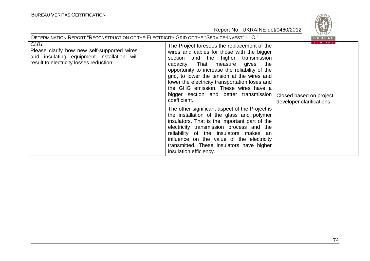| DETERMINATION REPORT "RECONSTRUCTION OF THE ELECTRICITY GRID OF THE "SERVICE-INVEST" LLC."<br><b>BUREAU</b>                                 |                                                                                                                                                                                                                                                                                                                                                                                                                                                                                                                                                                                                                                                                                                                                                                                 |                                                                              |  |  |  |  |  |
|---------------------------------------------------------------------------------------------------------------------------------------------|---------------------------------------------------------------------------------------------------------------------------------------------------------------------------------------------------------------------------------------------------------------------------------------------------------------------------------------------------------------------------------------------------------------------------------------------------------------------------------------------------------------------------------------------------------------------------------------------------------------------------------------------------------------------------------------------------------------------------------------------------------------------------------|------------------------------------------------------------------------------|--|--|--|--|--|
| CLO1<br>Please clarify how new self-supported wires<br>and insulating equipment installation will<br>result to electricity losses reduction | The Project foresees the replacement of the<br>wires and cables for those with the bigger<br>section and the higher transmission<br>capacity. That measure gives<br>opportunity to increase the reliability of the<br>grid, to lower the tension at the wires and<br>lower the electricity transportation loses and<br>the GHG emission. These wires have a<br>bigger section and better transmission<br>coefficient.<br>The other significant aspect of the Project is<br>the installation of the glass and polymer<br>insulators. That is the important part of the<br>electricity transmission process and the<br>reliability of the insulators makes an<br>influence on the value of the electricity<br>transmitted. These insulators have higher<br>insulation efficiency. | <b>VERITAS</b><br>the<br>Closed based on project<br>developer clarifications |  |  |  |  |  |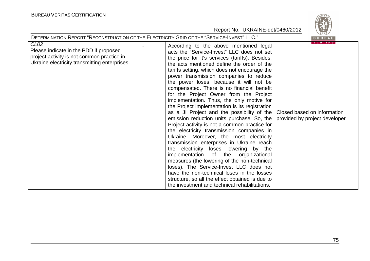| DETERMINATION REPORT "RECONSTRUCTION OF THE ELECTRICITY GRID OF THE "SERVICE-INVEST" LLC."<br>BUREAU                                          |                                                                                                                                                                                                                                                                                                                                                                                                                                                                                                                                                                                                                                                                                                                                                                                                                                                                                                                                                                                                                                                                                                                                   |                                                                                |  |  |  |  |
|-----------------------------------------------------------------------------------------------------------------------------------------------|-----------------------------------------------------------------------------------------------------------------------------------------------------------------------------------------------------------------------------------------------------------------------------------------------------------------------------------------------------------------------------------------------------------------------------------------------------------------------------------------------------------------------------------------------------------------------------------------------------------------------------------------------------------------------------------------------------------------------------------------------------------------------------------------------------------------------------------------------------------------------------------------------------------------------------------------------------------------------------------------------------------------------------------------------------------------------------------------------------------------------------------|--------------------------------------------------------------------------------|--|--|--|--|
| CLO2<br>Please indicate in the PDD if proposed<br>project activity is not common practice in<br>Ukraine electricity transmitting enterprises. | According to the above mentioned legal<br>acts the "Service-Invest" LLC does not set<br>the price for it's services (tariffs). Besides,<br>the acts mentioned define the order of the<br>tariffs setting, which does not encourage the<br>power transmission companies to reduce<br>the power loses, because it will not be<br>compensated. There is no financial benefit<br>for the Project Owner from the Project<br>implementation. Thus, the only motive for<br>the Project implementation is its registration<br>as a JI Project and the possibility of the<br>emission reduction units purchase. So, the<br>Project activity is not a common practice for<br>the electricity transmission companies in<br>Ukraine. Moreover, the most electricity<br>transmission enterprises in Ukraine reach<br>the electricity loses lowering by the<br>implementation of the organizational<br>measures (the lowering of the non-technical<br>loses). The Service-Invest LLC does not<br>have the non-technical loses in the losses<br>structure, so all the effect obtained is due to<br>the investment and technical rehabilitations. | <b>VERITAS</b><br>Closed based on information<br>provided by project developer |  |  |  |  |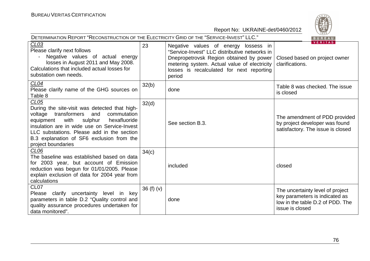

| DETERMINATION REPORT "RECONSTRUCTION OF THE ELECTRICITY GRID OF THE "SERVICE-INVEST" LLC."<br>BUREAU                                                                                                                                                                                                                       |             |                                                                                                                                                                                                                                         |                                                                                                                           |  |  |  |
|----------------------------------------------------------------------------------------------------------------------------------------------------------------------------------------------------------------------------------------------------------------------------------------------------------------------------|-------------|-----------------------------------------------------------------------------------------------------------------------------------------------------------------------------------------------------------------------------------------|---------------------------------------------------------------------------------------------------------------------------|--|--|--|
| CL <sub>03</sub><br>Please clarify next follows<br>Negative values of actual energy<br>losses in August 2011 and May 2008.<br>Calculations that included actual losses for<br>substation own needs.                                                                                                                        | 23          | Negative values of energy lossess in<br>"Service-Invest" LLC distributive networks in<br>Dnepropetrovsk Region obtained by power<br>metering system. Actual value of electricity<br>losses is recalculated for next reporting<br>period | <b>VERITAS</b><br>Closed based on project owner<br>clarifications.                                                        |  |  |  |
| CL04<br>Please clarify name of the GHG sources on<br>Table 8                                                                                                                                                                                                                                                               | 32(b)       | done                                                                                                                                                                                                                                    | Table 8 was checked. The issue<br>is closed                                                                               |  |  |  |
| CL <sub>05</sub><br>During the site-visit was detected that high-<br>voltage transformers<br>commutation<br>and<br>equipment with sulphur<br>hexafluoride<br>insulation are in wide use on Service-Invest<br>LLC substations. Please add in the section<br>B.3 explanation of SF6 exclusion from the<br>project boundaries | 32(d)       | See section B.3.                                                                                                                                                                                                                        | The amendment of PDD provided<br>by project developer was found<br>satisfactory. The issue is closed                      |  |  |  |
| CL <sub>06</sub><br>The baseline was established based on data<br>for 2003 year, but account of Emission<br>reduction was begun for 01/01/2005. Please<br>explain exclusion of data for 2004 year from<br>calculations                                                                                                     | 34(c)       | included                                                                                                                                                                                                                                | closed                                                                                                                    |  |  |  |
| CL <sub>07</sub><br>Please clarify uncertainty level in key<br>parameters in table D.2 "Quality control and<br>quality assurance procedures undertaken for<br>data monitored".                                                                                                                                             | 36 $(f)(v)$ | done                                                                                                                                                                                                                                    | The uncertainty level of project<br>key parameters is indicated as<br>low in the table D.2 of PDD. The<br>issue is closed |  |  |  |